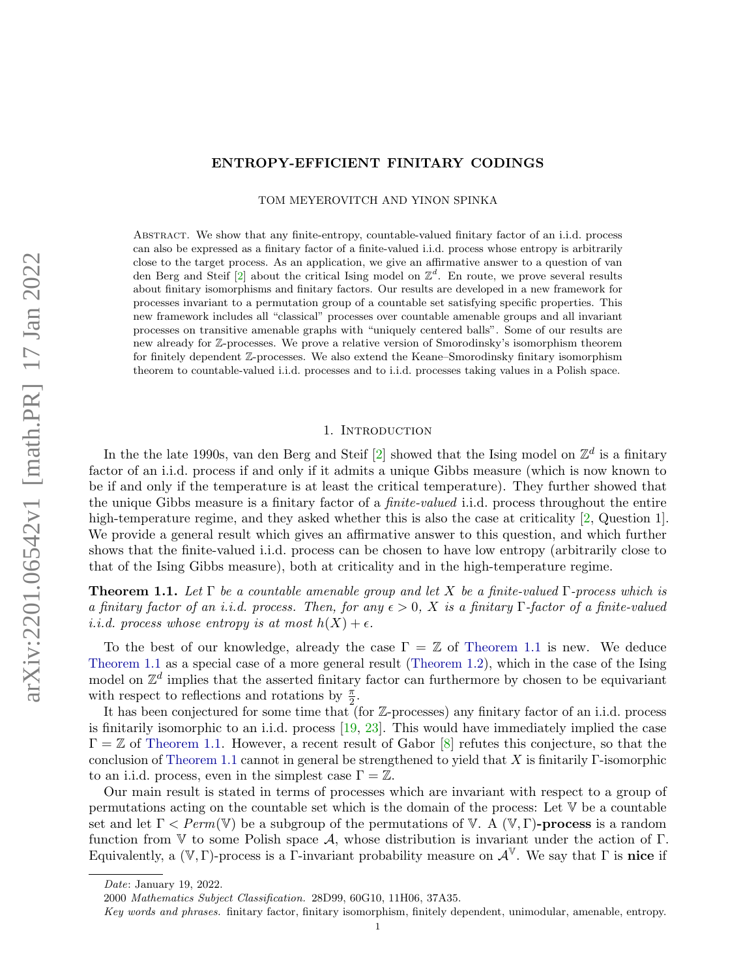# ENTROPY-EFFICIENT FINITARY CODINGS

TOM MEYEROVITCH AND YINON SPINKA

Abstract. We show that any finite-entropy, countable-valued finitary factor of an i.i.d. process can also be expressed as a finitary factor of a finite-valued i.i.d. process whose entropy is arbitrarily close to the target process. As an application, we give an affirmative answer to a question of van den Berg and Steif [\[2\]](#page-35-0) about the critical Ising model on  $\mathbb{Z}^d$ . En route, we prove several results about finitary isomorphisms and finitary factors. Our results are developed in a new framework for processes invariant to a permutation group of a countable set satisfying specific properties. This new framework includes all "classical" processes over countable amenable groups and all invariant processes on transitive amenable graphs with "uniquely centered balls". Some of our results are new already for Z-processes. We prove a relative version of Smorodinsky's isomorphism theorem for finitely dependent Z-processes. We also extend the Keane–Smorodinsky finitary isomorphism theorem to countable-valued i.i.d. processes and to i.i.d. processes taking values in a Polish space.

## 1. INTRODUCTION

In the the late 1990s, van den Berg and Steif  $[2]$  showed that the Ising model on  $\mathbb{Z}^d$  is a finitary factor of an i.i.d. process if and only if it admits a unique Gibbs measure (which is now known to be if and only if the temperature is at least the critical temperature). They further showed that the unique Gibbs measure is a finitary factor of a finite-valued i.i.d. process throughout the entire high-temperature regime, and they asked whether this is also the case at criticality [\[2,](#page-35-0) Question 1]. We provide a general result which gives an affirmative answer to this question, and which further shows that the finite-valued i.i.d. process can be chosen to have low entropy (arbitrarily close to that of the Ising Gibbs measure), both at criticality and in the high-temperature regime.

<span id="page-0-0"></span>**Theorem 1.1.** Let  $\Gamma$  be a countable amenable group and let X be a finite-valued  $\Gamma$ -process which is a finitary factor of an i.i.d. process. Then, for any  $\epsilon > 0$ , X is a finitary Γ-factor of a finite-valued *i.i.d.* process whose entropy is at most  $h(X) + \epsilon$ .

To the best of our knowledge, already the case  $\Gamma = \mathbb{Z}$  of [Theorem 1.1](#page-0-0) is new. We deduce [Theorem 1.1](#page-0-0) as a special case of a more general result [\(Theorem 1.2\)](#page-1-0), which in the case of the Ising model on  $\mathbb{Z}^d$  implies that the asserted finitary factor can furthermore by chosen to be equivariant with respect to reflections and rotations by  $\frac{\pi}{2}$ .

It has been conjectured for some time that (for  $\mathbb{Z}$ -processes) any finitary factor of an i.i.d. process is finitarily isomorphic to an i.i.d. process [\[19,](#page-36-0) [23\]](#page-36-1). This would have immediately implied the case  $\Gamma = \mathbb{Z}$  of [Theorem 1.1.](#page-0-0) However, a recent result of Gabor [\[8\]](#page-35-1) refutes this conjecture, so that the conclusion of [Theorem 1.1](#page-0-0) cannot in general be strengthened to yield that X is finitarily  $\Gamma$ -isomorphic to an i.i.d. process, even in the simplest case  $\Gamma = \mathbb{Z}$ .

Our main result is stated in terms of processes which are invariant with respect to a group of permutations acting on the countable set which is the domain of the process: Let V be a countable set and let  $\Gamma \leq Perm(\mathbb{V})$  be a subgroup of the permutations of V. A  $(\mathbb{V}, \Gamma)$ -process is a random function from V to some Polish space A, whose distribution is invariant under the action of  $\Gamma$ . Equivalently, a  $(\mathbb{V}, \Gamma)$ -process is a Γ-invariant probability measure on  $\mathcal{A}^{\mathbb{V}}$ . We say that Γ is nice if

Date: January 19, 2022.

<sup>2000</sup> Mathematics Subject Classification. 28D99, 60G10, 11H06, 37A35.

Key words and phrases. finitary factor, finitary isomorphism, finitely dependent, unimodular, amenable, entropy.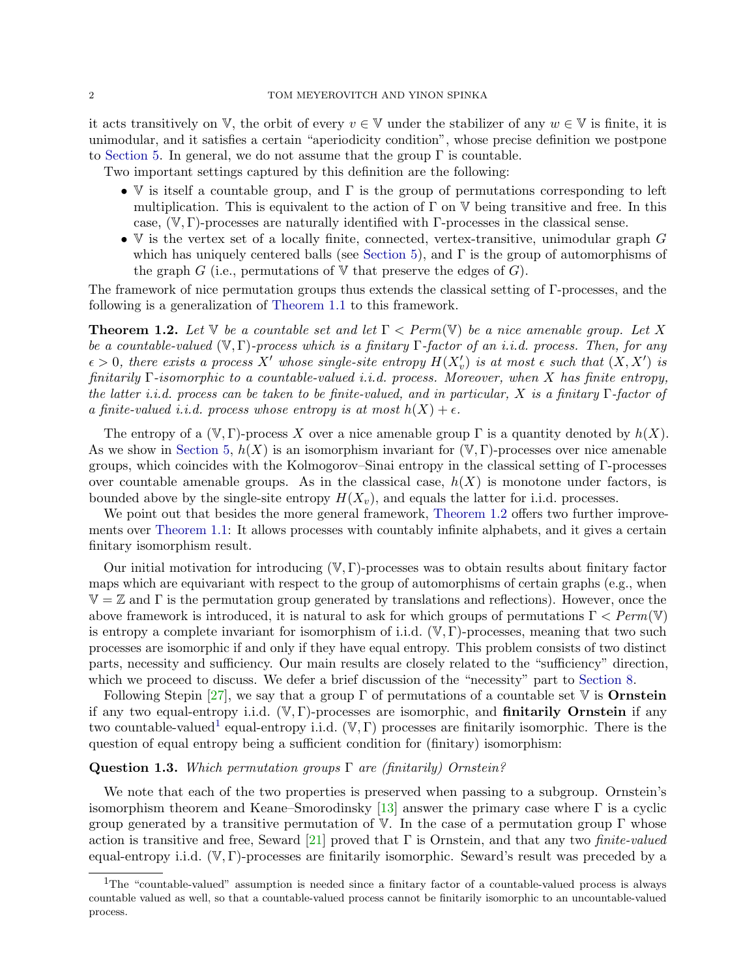it acts transitively on  $\mathbb{V}$ , the orbit of every  $v \in \mathbb{V}$  under the stabilizer of any  $w \in \mathbb{V}$  is finite, it is unimodular, and it satisfies a certain "aperiodicity condition", whose precise definition we postpone to [Section 5.](#page-21-0) In general, we do not assume that the group  $\Gamma$  is countable.

Two important settings captured by this definition are the following:

- V is itself a countable group, and  $\Gamma$  is the group of permutations corresponding to left multiplication. This is equivalent to the action of  $\Gamma$  on  $\mathbb V$  being transitive and free. In this case,  $(\mathbb{V}, \Gamma)$ -processes are naturally identified with Γ-processes in the classical sense.
- $V$  is the vertex set of a locally finite, connected, vertex-transitive, unimodular graph  $G$ which has uniquely centered balls (see [Section 5\)](#page-21-0), and  $\Gamma$  is the group of automorphisms of the graph G (i.e., permutations of  $\nabla$  that preserve the edges of G).

The framework of nice permutation groups thus extends the classical setting of Γ-processes, and the following is a generalization of [Theorem 1.1](#page-0-0) to this framework.

<span id="page-1-0"></span>**Theorem 1.2.** Let V be a countable set and let  $\Gamma$  < Perm(V) be a nice amenable group. Let X be a countable-valued  $(\mathbb{V}, \Gamma)$ -process which is a finitary  $\Gamma$ -factor of an i.i.d. process. Then, for any  $\epsilon > 0$ , there exists a process X' whose single-site entropy  $H(X'_{v})$  is at most  $\epsilon$  such that  $(X, X')$  is finitarily Γ-isomorphic to a countable-valued i.i.d. process. Moreover, when X has finite entropy, the latter i.i.d. process can be taken to be finite-valued, and in particular, X is a finitary  $\Gamma$ -factor of a finite-valued i.i.d. process whose entropy is at most  $h(X) + \epsilon$ .

The entropy of a  $(\mathbb{V}, \Gamma)$ -process X over a nice amenable group  $\Gamma$  is a quantity denoted by  $h(X)$ . As we show in [Section 5,](#page-21-0)  $h(X)$  is an isomorphism invariant for  $(\mathbb{V}, \Gamma)$ -processes over nice amenable groups, which coincides with the Kolmogorov–Sinai entropy in the classical setting of Γ-processes over countable amenable groups. As in the classical case,  $h(X)$  is monotone under factors, is bounded above by the single-site entropy  $H(X_v)$ , and equals the latter for i.i.d. processes.

We point out that besides the more general framework, [Theorem 1.2](#page-1-0) offers two further improvements over [Theorem 1.1:](#page-0-0) It allows processes with countably infinite alphabets, and it gives a certain finitary isomorphism result.

Our initial motivation for introducing  $(V, \Gamma)$ -processes was to obtain results about finitary factor maps which are equivariant with respect to the group of automorphisms of certain graphs (e.g., when  $\mathbb{V} = \mathbb{Z}$  and  $\Gamma$  is the permutation group generated by translations and reflections). However, once the above framework is introduced, it is natural to ask for which groups of permutations  $\Gamma < Perm(V)$ is entropy a complete invariant for isomorphism of i.i.d.  $(\mathbb{V}, \Gamma)$ -processes, meaning that two such processes are isomorphic if and only if they have equal entropy. This problem consists of two distinct parts, necessity and sufficiency. Our main results are closely related to the "sufficiency" direction, which we proceed to discuss. We defer a brief discussion of the "necessity" part to [Section 8.](#page-33-0)

Following Stepin [\[27\]](#page-36-2), we say that a group  $\Gamma$  of permutations of a countable set  $\nabla$  is **Ornstein** if any two equal-entropy i.i.d.  $(\mathbb{V}, \Gamma)$ -processes are isomorphic, and **finitarily Ornstein** if any two countable-valued<sup>[1](#page-1-1)</sup> equal-entropy i.i.d.  $(\mathbb{V}, \Gamma)$  processes are finitarily isomorphic. There is the question of equal entropy being a sufficient condition for (finitary) isomorphism:

## **Question 1.3.** Which permutation groups  $\Gamma$  are (finitarily) Ornstein?

We note that each of the two properties is preserved when passing to a subgroup. Ornstein's isomorphism theorem and Keane–Smorodinsky  $[13]$  answer the primary case where  $\Gamma$  is a cyclic group generated by a transitive permutation of V. In the case of a permutation group Γ whose action is transitive and free, Seward [\[21\]](#page-36-3) proved that  $\Gamma$  is Ornstein, and that any two *finite-valued* equal-entropy i.i.d.  $(\mathbb{V}, \Gamma)$ -processes are finitarily isomorphic. Seward's result was preceded by a

<span id="page-1-1"></span><sup>1</sup>The "countable-valued" assumption is needed since a finitary factor of a countable-valued process is always countable valued as well, so that a countable-valued process cannot be finitarily isomorphic to an uncountable-valued process.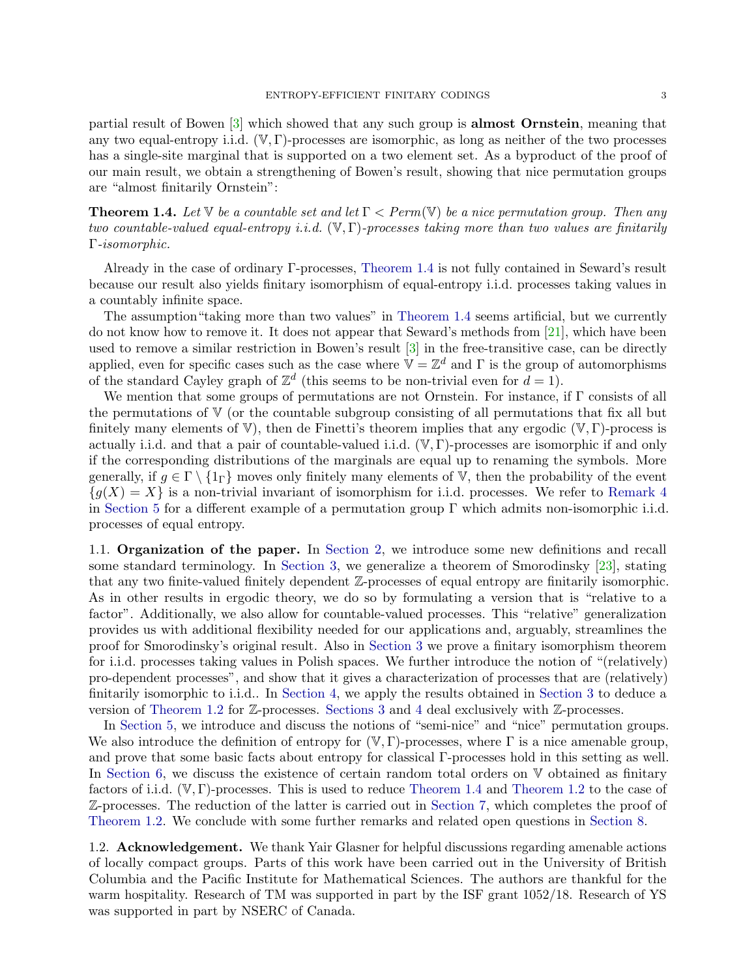partial result of Bowen [\[3\]](#page-35-3) which showed that any such group is almost Ornstein, meaning that any two equal-entropy i.i.d.  $(\mathbb{V}, \Gamma)$ -processes are isomorphic, as long as neither of the two processes has a single-site marginal that is supported on a two element set. As a byproduct of the proof of our main result, we obtain a strengthening of Bowen's result, showing that nice permutation groups are "almost finitarily Ornstein":

<span id="page-2-0"></span>**Theorem 1.4.** Let  $\mathbb{V}$  be a countable set and let  $\Gamma$  < Perm( $\mathbb{V}$ ) be a nice permutation group. Then any two countable-valued equal-entropy i.i.d.  $(\mathbb{V}, \Gamma)$ -processes taking more than two values are finitarily Γ-isomorphic.

Already in the case of ordinary Γ-processes, [Theorem 1.4](#page-2-0) is not fully contained in Seward's result because our result also yields finitary isomorphism of equal-entropy i.i.d. processes taking values in a countably infinite space.

The assumption"taking more than two values" in [Theorem 1.4](#page-2-0) seems artificial, but we currently do not know how to remove it. It does not appear that Seward's methods from [\[21\]](#page-36-3), which have been used to remove a similar restriction in Bowen's result [\[3\]](#page-35-3) in the free-transitive case, can be directly applied, even for specific cases such as the case where  $\mathbb{V} = \mathbb{Z}^d$  and  $\Gamma$  is the group of automorphisms of the standard Cayley graph of  $\mathbb{Z}^d$  (this seems to be non-trivial even for  $d=1$ ).

We mention that some groups of permutations are not Ornstein. For instance, if Γ consists of all the permutations of  $V$  (or the countable subgroup consisting of all permutations that fix all but finitely many elements of  $V$ ), then de Finetti's theorem implies that any ergodic  $(V, \Gamma)$ -process is actually i.i.d. and that a pair of countable-valued i.i.d.  $(\mathbb{V}, \Gamma)$ -processes are isomorphic if and only if the corresponding distributions of the marginals are equal up to renaming the symbols. More generally, if  $q \in \Gamma \setminus \{1\}$  moves only finitely many elements of V, then the probability of the event  $\{g(X) = X\}$  is a non-trivial invariant of isomorphism for i.i.d. processes. We refer to [Remark 4](#page-23-0) in [Section 5](#page-21-0) for a different example of a permutation group Γ which admits non-isomorphic i.i.d. processes of equal entropy.

1.1. Organization of the paper. In [Section 2,](#page-3-0) we introduce some new definitions and recall some standard terminology. In [Section 3,](#page-5-0) we generalize a theorem of Smorodinsky [\[23\]](#page-36-1), stating that any two finite-valued finitely dependent Z-processes of equal entropy are finitarily isomorphic. As in other results in ergodic theory, we do so by formulating a version that is "relative to a factor". Additionally, we also allow for countable-valued processes. This "relative" generalization provides us with additional flexibility needed for our applications and, arguably, streamlines the proof for Smorodinsky's original result. Also in [Section 3](#page-5-0) we prove a finitary isomorphism theorem for i.i.d. processes taking values in Polish spaces. We further introduce the notion of "(relatively) pro-dependent processes", and show that it gives a characterization of processes that are (relatively) finitarily isomorphic to i.i.d.. In [Section 4,](#page-19-0) we apply the results obtained in [Section 3](#page-5-0) to deduce a version of [Theorem 1.2](#page-1-0) for Z-processes. [Sections 3](#page-5-0) and [4](#page-19-0) deal exclusively with Z-processes.

In [Section 5,](#page-21-0) we introduce and discuss the notions of "semi-nice" and "nice" permutation groups. We also introduce the definition of entropy for  $(\mathbb{V}, \Gamma)$ -processes, where  $\Gamma$  is a nice amenable group, and prove that some basic facts about entropy for classical Γ-processes hold in this setting as well. In [Section 6,](#page-26-0) we discuss the existence of certain random total orders on  $V$  obtained as finitary factors of i.i.d. (V, Γ)-processes. This is used to reduce [Theorem 1.4](#page-2-0) and [Theorem 1.2](#page-1-0) to the case of Z-processes. The reduction of the latter is carried out in [Section 7,](#page-31-0) which completes the proof of [Theorem 1.2.](#page-1-0) We conclude with some further remarks and related open questions in [Section 8.](#page-33-0)

1.2. Acknowledgement. We thank Yair Glasner for helpful discussions regarding amenable actions of locally compact groups. Parts of this work have been carried out in the University of British Columbia and the Pacific Institute for Mathematical Sciences. The authors are thankful for the warm hospitality. Research of TM was supported in part by the ISF grant  $1052/18$ . Research of YS was supported in part by NSERC of Canada.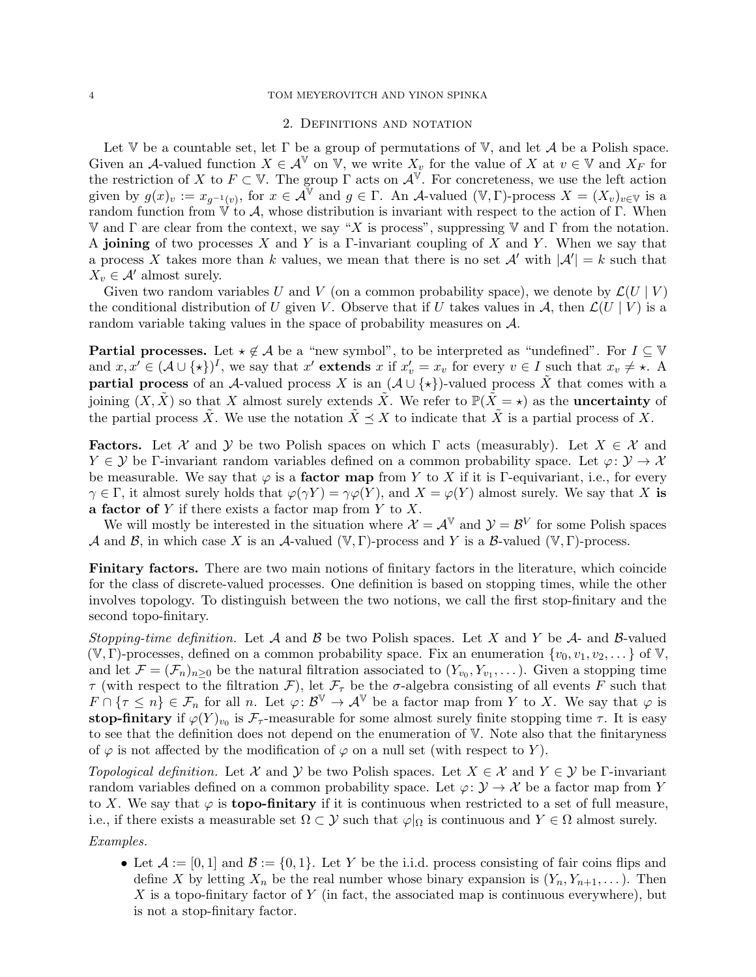## <span id="page-3-0"></span>4 TOM MEYEROVITCH AND YINON SPINKA

#### 2. Definitions and notation

Let  $\mathbb V$  be a countable set, let  $\Gamma$  be a group of permutations of  $\mathbb V$ , and let  $\mathcal A$  be a Polish space. Given an A-valued function  $X \in \mathcal{A}^{\mathbb{V}}$  on  $\mathbb{V}$ , we write  $X_v$  for the value of X at  $v \in \mathbb{V}$  and  $X_F$  for the restriction of X to  $F \subset V$ . The group  $\Gamma$  acts on  $\mathcal{A}^{\Psi}$ . For concreteness, we use the left action given by  $g(x)_v := x_{g^{-1}(v)}$ , for  $x \in \mathcal{A}^{\mathbb{V}}$  and  $g \in \Gamma$ . An A-valued  $(\mathbb{V}, \Gamma)$ -process  $X = (X_v)_{v \in \mathbb{V}}$  is a random function from  $\vec{V}$  to A, whose distribution is invariant with respect to the action of Γ. When V and Γ are clear from the context, we say "X is process", suppressing V and Γ from the notation. A joining of two processes X and Y is a Γ-invariant coupling of X and Y. When we say that a process X takes more than k values, we mean that there is no set  $\mathcal{A}'$  with  $|\mathcal{A}'| = k$  such that  $X_v \in \mathcal{A}'$  almost surely.

Given two random variables U and V (on a common probability space), we denote by  $\mathcal{L}(U | V)$ the conditional distribution of U given V. Observe that if U takes values in A, then  $\mathcal{L}(U | V)$  is a random variable taking values in the space of probability measures on A.

**Partial processes.** Let  $\star \notin A$  be a "new symbol", to be interpreted as "undefined". For  $I \subseteq V$ and  $x, x' \in (\mathcal{A} \cup \{ \star \})^I$ , we say that  $x'$  extends  $x$  if  $x'_v = x_v$  for every  $v \in I$  such that  $x_v \neq \star$ . A **partial process** of an A-valued process X is an  $(A \cup \{*\})$ -valued process X that comes with a joining  $(X, \tilde{X})$  so that X almost surely extends  $\tilde{X}$ . We refer to  $\mathbb{P}(\tilde{X} = \star)$  as the **uncertainty** of the partial process X. We use the notation  $X \preceq X$  to indicate that X is a partial process of X.

**Factors.** Let X and Y be two Polish spaces on which  $\Gamma$  acts (measurably). Let  $X \in \mathcal{X}$  and  $Y \in \mathcal{Y}$  be Γ-invariant random variables defined on a common probability space. Let  $\varphi \colon \mathcal{Y} \to \mathcal{X}$ be measurable. We say that  $\varphi$  is a **factor map** from Y to X if it is Γ-equivariant, i.e., for every  $\gamma \in \Gamma$ , it almost surely holds that  $\varphi(\gamma Y) = \gamma \varphi(Y)$ , and  $X = \varphi(Y)$  almost surely. We say that X is a factor of  $Y$  if there exists a factor map from  $Y$  to  $X$ .

We will mostly be interested in the situation where  $\mathcal{X} = \mathcal{A}^{\mathbb{V}}$  and  $\mathcal{Y} = \mathcal{B}^V$  for some Polish spaces A and B, in which case X is an A-valued ( $V, \Gamma$ )-process and Y is a B-valued ( $V, \Gamma$ )-process.

Finitary factors. There are two main notions of finitary factors in the literature, which coincide for the class of discrete-valued processes. One definition is based on stopping times, while the other involves topology. To distinguish between the two notions, we call the first stop-finitary and the second topo-finitary.

Stopping-time definition. Let A and B be two Polish spaces. Let X and Y be A- and B-valued  $(V, \Gamma)$ -processes, defined on a common probability space. Fix an enumeration  $\{v_0, v_1, v_2, \dots\}$  of V, and let  $\mathcal{F} = (\mathcal{F}_n)_{n \geq 0}$  be the natural filtration associated to  $(Y_{v_0}, Y_{v_1}, \dots)$ . Given a stopping time  $\tau$  (with respect to the filtration  $\mathcal{F}$ ), let  $\mathcal{F}_{\tau}$  be the  $\sigma$ -algebra consisting of all events F such that  $F \cap {\tau \leq n} \in \mathcal{F}_n$  for all n. Let  $\varphi: \mathcal{B}^{\mathbb{V}} \to \mathcal{A}^{\mathbb{V}}$  be a factor map from Y to X. We say that  $\varphi$  is stop-finitary if  $\varphi(Y)_{v_0}$  is  $\mathcal{F}_{\tau}$ -measurable for some almost surely finite stopping time  $\tau$ . It is easy to see that the definition does not depend on the enumeration of V. Note also that the finitaryness of  $\varphi$  is not affected by the modification of  $\varphi$  on a null set (with respect to Y).

Topological definition. Let X and Y be two Polish spaces. Let  $X \in \mathcal{X}$  and  $Y \in \mathcal{Y}$  be Γ-invariant random variables defined on a common probability space. Let  $\varphi \colon \mathcal{Y} \to \mathcal{X}$  be a factor map from Y to X. We say that  $\varphi$  is **topo-finitary** if it is continuous when restricted to a set of full measure, i.e., if there exists a measurable set  $\Omega \subset \mathcal{Y}$  such that  $\varphi|_{\Omega}$  is continuous and  $Y \in \Omega$  almost surely.

Examples.

• Let  $\mathcal{A} := [0, 1]$  and  $\mathcal{B} := \{0, 1\}$ . Let Y be the i.i.d. process consisting of fair coins flips and define X by letting  $X_n$  be the real number whose binary expansion is  $(Y_n, Y_{n+1}, \dots)$ . Then X is a topo-finitary factor of Y (in fact, the associated map is continuous everywhere), but is not a stop-finitary factor.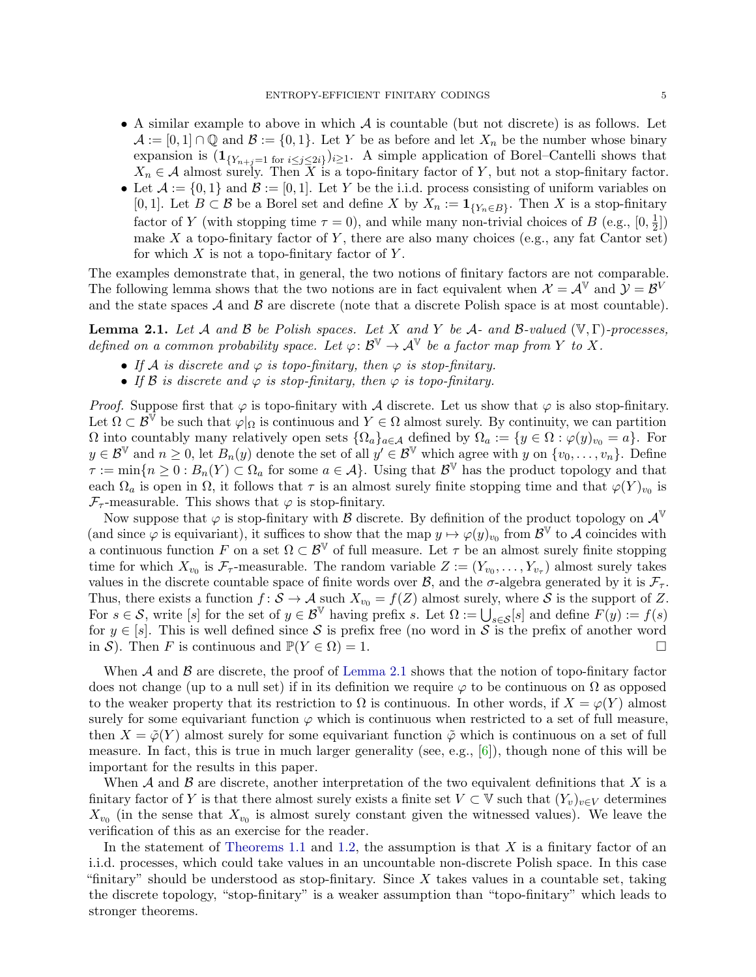- A similar example to above in which  $A$  is countable (but not discrete) is as follows. Let  $\mathcal{A} := [0,1] \cap \mathbb{Q}$  and  $\mathcal{B} := \{0,1\}$ . Let Y be as before and let  $X_n$  be the number whose binary expansion is  $(1_{\{Y_{n+j}=1 \text{ for } i \leq j \leq 2i\}})_{i\geq 1}$ . A simple application of Borel–Cantelli shows that  $X_n \in \mathcal{A}$  almost surely. Then X is a topo-finitary factor of Y, but not a stop-finitary factor.
- Let  $\mathcal{A} := \{0,1\}$  and  $\mathcal{B} := [0,1]$ . Let Y be the i.i.d. process consisting of uniform variables on [0, 1]. Let  $B \subset \mathcal{B}$  be a Borel set and define X by  $X_n := \mathbf{1}_{\{Y_n \in B\}}$ . Then X is a stop-finitary factor of Y (with stopping time  $\tau = 0$ ), and while many non-trivial choices of B (e.g., [0,  $\frac{1}{2}$ )  $\frac{1}{2}$ ) make X a topo-finitary factor of Y, there are also many choices (e.g., any fat Cantor set) for which  $X$  is not a topo-finitary factor of  $Y$ .

The examples demonstrate that, in general, the two notions of finitary factors are not comparable. The following lemma shows that the two notions are in fact equivalent when  $\mathcal{X} = \mathcal{A}^{\mathbb{V}}$  and  $\mathcal{Y} = \mathcal{B}^{\mathbb{V}}$ and the state spaces  $A$  and  $B$  are discrete (note that a discrete Polish space is at most countable).

<span id="page-4-0"></span>**Lemma 2.1.** Let A and B be Polish spaces. Let X and Y be A- and B-valued  $(\mathbb{V}, \Gamma)$ -processes, defined on a common probability space. Let  $\varphi: \mathcal{B}^{\mathbb{V}} \to \mathcal{A}^{\mathbb{V}}$  be a factor map from Y to X.

- If A is discrete and  $\varphi$  is topo-finitary, then  $\varphi$  is stop-finitary.
- If B is discrete and  $\varphi$  is stop-finitary, then  $\varphi$  is topo-finitary.

*Proof.* Suppose first that  $\varphi$  is topo-finitary with A discrete. Let us show that  $\varphi$  is also stop-finitary. Let  $\Omega \subset \mathcal{B}^{\mathbb{V}}$  be such that  $\varphi|_{\Omega}$  is continuous and  $Y \in \Omega$  almost surely. By continuity, we can partition  $\Omega$  into countably many relatively open sets  $\{\Omega_a\}_{a\in\mathcal{A}}$  defined by  $\Omega_a := \{y \in \Omega : \varphi(y)_{v_0} = a\}$ . For  $y \in \mathcal{B}^{\mathbb{V}}$  and  $n \geq 0$ , let  $B_n(y)$  denote the set of all  $y' \in \mathcal{B}^{\mathbb{V}}$  which agree with y on  $\{v_0, \ldots, v_n\}$ . Define  $\tau := \min\{n \geq 0 : B_n(Y) \subset \Omega_a \text{ for some } a \in \mathcal{A}\}\.$  Using that  $\mathcal{B}^{\mathbb{V}}$  has the product topology and that each  $\Omega_a$  is open in  $\Omega$ , it follows that  $\tau$  is an almost surely finite stopping time and that  $\varphi(Y)_{v_0}$  is  $\mathcal{F}_{\tau}$ -measurable. This shows that  $\varphi$  is stop-finitary.

Now suppose that  $\varphi$  is stop-finitary with  $\beta$  discrete. By definition of the product topology on  $\mathcal{A}^{\mathbb{V}}$ (and since  $\varphi$  is equivariant), it suffices to show that the map  $y \mapsto \varphi(y)_{v_0}$  from  $\mathcal{B}^{\mathbb{V}}$  to A coincides with a continuous function F on a set  $\Omega \subset \mathcal{B}^{\mathbb{V}}$  of full measure. Let  $\tau$  be an almost surely finite stopping time for which  $X_{v_0}$  is  $\mathcal{F}_{\tau}$ -measurable. The random variable  $Z := (Y_{v_0}, \ldots, Y_{v_{\tau}})$  almost surely takes values in the discrete countable space of finite words over  $\mathcal{B}$ , and the  $\sigma$ -algebra generated by it is  $\mathcal{F}_{\tau}$ . Thus, there exists a function  $f: \mathcal{S} \to \mathcal{A}$  such  $X_{v_0} = f(Z)$  almost surely, where  $\mathcal{S}$  is the support of Z. For  $s \in \mathcal{S}$ , write [s] for the set of  $y \in \mathcal{B}^{\mathbb{V}}$  having prefix s. Let  $\Omega := \bigcup_{s \in \mathcal{S}} [s]$  and define  $F(y) := f(s)$ for  $y \in [s]$ . This is well defined since S is prefix free (no word in S is the prefix of another word in S). Then F is continuous and  $\mathbb{P}(Y \in \Omega) = 1$ .

When  $A$  and  $B$  are discrete, the proof of [Lemma 2.1](#page-4-0) shows that the notion of topo-finitary factor does not change (up to a null set) if in its definition we require  $\varphi$  to be continuous on  $\Omega$  as opposed to the weaker property that its restriction to  $\Omega$  is continuous. In other words, if  $X = \varphi(Y)$  almost surely for some equivariant function  $\varphi$  which is continuous when restricted to a set of full measure, then  $X = \tilde{\varphi}(Y)$  almost surely for some equivariant function  $\tilde{\varphi}$  which is continuous on a set of full measure. In fact, this is true in much larger generality (see, e.g.,  $[6]$ ), though none of this will be important for the results in this paper.

When A and B are discrete, another interpretation of the two equivalent definitions that X is a finitary factor of Y is that there almost surely exists a finite set  $V \subset V$  such that  $(Y_v)_{v \in V}$  determines  $X_{v_0}$  (in the sense that  $X_{v_0}$  is almost surely constant given the witnessed values). We leave the verification of this as an exercise for the reader.

In the statement of [Theorems 1.1](#page-0-0) and [1.2,](#page-1-0) the assumption is that  $X$  is a finitary factor of an i.i.d. processes, which could take values in an uncountable non-discrete Polish space. In this case "finitary" should be understood as stop-finitary. Since  $X$  takes values in a countable set, taking the discrete topology, "stop-finitary" is a weaker assumption than "topo-finitary" which leads to stronger theorems.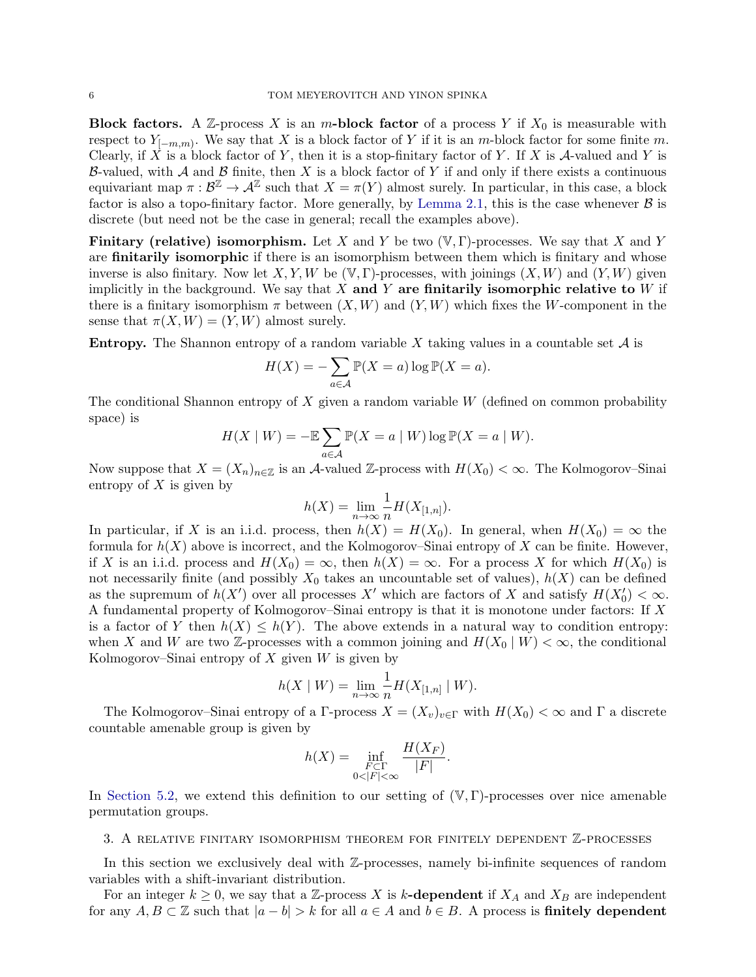**Block factors.** A Z-process X is an m-block factor of a process Y if  $X_0$  is measurable with respect to  $Y_{[-m,m)}$ . We say that X is a block factor of Y if it is an m-block factor for some finite m. Clearly, if X is a block factor of Y, then it is a stop-finitary factor of Y. If X is  $A$ -valued and Y is B-valued, with  $A$  and  $B$  finite, then X is a block factor of Y if and only if there exists a continuous equivariant map  $\pi: \mathcal{B}^{\mathbb{Z}} \to \mathcal{A}^{\mathbb{Z}}$  such that  $X = \pi(Y)$  almost surely. In particular, in this case, a block factor is also a topo-finitary factor. More generally, by [Lemma 2.1,](#page-4-0) this is the case whenever  $\beta$  is discrete (but need not be the case in general; recall the examples above).

**Finitary (relative) isomorphism.** Let X and Y be two  $(V, \Gamma)$ -processes. We say that X and Y are finitarily isomorphic if there is an isomorphism between them which is finitary and whose inverse is also finitary. Now let X, Y, W be  $(\mathbb{V}, \Gamma)$ -processes, with joinings  $(X, W)$  and  $(Y, W)$  given implicitly in the background. We say that X and Y are finitarily isomorphic relative to  $W$  if there is a finitary isomorphism  $\pi$  between  $(X, W)$  and  $(Y, W)$  which fixes the W-component in the sense that  $\pi(X, W) = (Y, W)$  almost surely.

**Entropy.** The Shannon entropy of a random variable X taking values in a countable set  $\mathcal A$  is

$$
H(X) = -\sum_{a \in \mathcal{A}} \mathbb{P}(X = a) \log \mathbb{P}(X = a).
$$

The conditional Shannon entropy of  $X$  given a random variable  $W$  (defined on common probability space) is

$$
H(X \mid W) = -\mathbb{E}\sum_{a \in \mathcal{A}} \mathbb{P}(X = a \mid W) \log \mathbb{P}(X = a \mid W).
$$

Now suppose that  $X = (X_n)_{n \in \mathbb{Z}}$  is an A-valued Z-process with  $H(X_0) < \infty$ . The Kolmogorov–Sinai entropy of  $X$  is given by

$$
h(X)=\lim_{n\to\infty}\frac{1}{n}H(X_{[1,n]}).
$$

In particular, if X is an i.i.d. process, then  $h(X) = H(X_0)$ . In general, when  $H(X_0) = \infty$  the formula for  $h(X)$  above is incorrect, and the Kolmogorov–Sinai entropy of X can be finite. However, if X is an i.i.d. process and  $H(X_0) = \infty$ , then  $h(X) = \infty$ . For a process X for which  $H(X_0)$  is not necessarily finite (and possibly  $X_0$  takes an uncountable set of values),  $h(X)$  can be defined as the supremum of  $h(X')$  over all processes X' which are factors of X and satisfy  $H(X'_0) < \infty$ . A fundamental property of Kolmogorov–Sinai entropy is that it is monotone under factors: If X is a factor of Y then  $h(X) \leq h(Y)$ . The above extends in a natural way to condition entropy: when X and W are two Z-processes with a common joining and  $H(X_0 | W) < \infty$ , the conditional Kolmogorov–Sinai entropy of  $X$  given  $W$  is given by

$$
h(X \mid W) = \lim_{n \to \infty} \frac{1}{n} H(X_{[1,n]} \mid W).
$$

The Kolmogorov–Sinai entropy of a Γ-process  $X = (X_v)_{v \in \Gamma}$  with  $H(X_0) < \infty$  and Γ a discrete countable amenable group is given by

$$
h(X) = \inf_{\substack{F \subset \Gamma \\ 0 < |F| < \infty}} \frac{H(X_F)}{|F|}.
$$

In [Section 5.2,](#page-23-1) we extend this definition to our setting of  $(\mathbb{V}, \Gamma)$ -processes over nice amenable permutation groups.

## <span id="page-5-0"></span>3. A relative finitary isomorphism theorem for finitely dependent Z-processes

In this section we exclusively deal with Z-processes, namely bi-infinite sequences of random variables with a shift-invariant distribution.

For an integer  $k \geq 0$ , we say that a Z-process X is k-dependent if  $X_A$  and  $X_B$  are independent for any  $A, B \subset \mathbb{Z}$  such that  $|a - b| > k$  for all  $a \in A$  and  $b \in B$ . A process is **finitely dependent**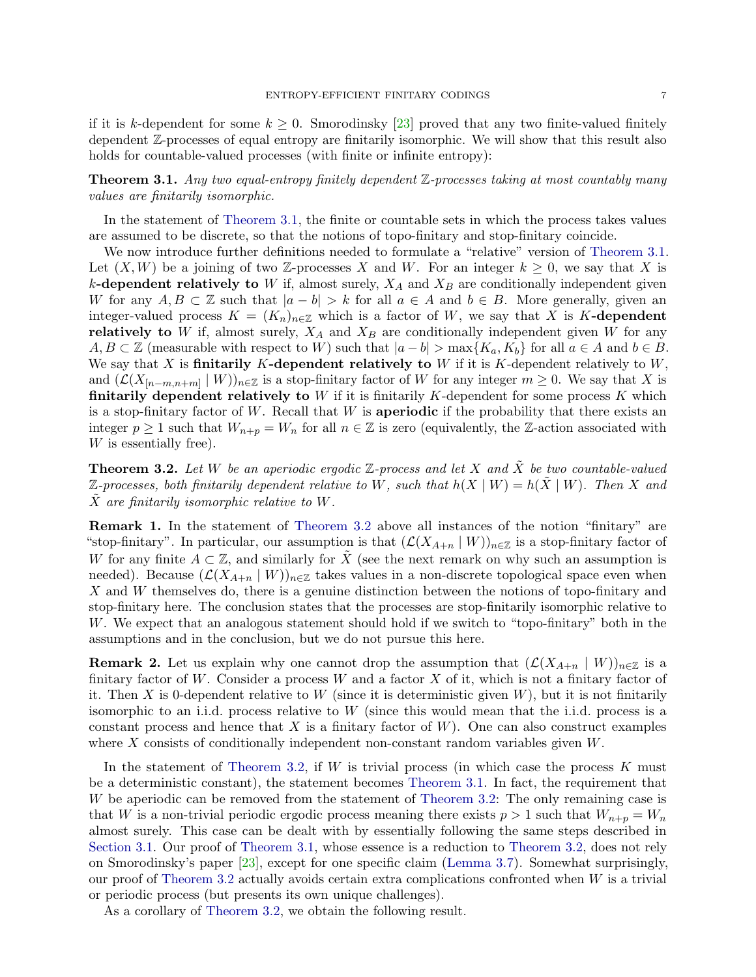if it is k-dependent for some  $k \geq 0$ . Smorodinsky [\[23\]](#page-36-1) proved that any two finite-valued finitely dependent Z-processes of equal entropy are finitarily isomorphic. We will show that this result also holds for countable-valued processes (with finite or infinite entropy):

## <span id="page-6-0"></span>**Theorem 3.1.** Any two equal-entropy finitely dependent  $\mathbb{Z}$ -processes taking at most countably many values are finitarily isomorphic.

In the statement of [Theorem 3.1,](#page-6-0) the finite or countable sets in which the process takes values are assumed to be discrete, so that the notions of topo-finitary and stop-finitary coincide.

We now introduce further definitions needed to formulate a "relative" version of [Theorem 3.1.](#page-6-0) Let  $(X, W)$  be a joining of two Z-processes X and W. For an integer  $k \geq 0$ , we say that X is k-dependent relatively to W if, almost surely,  $X_A$  and  $X_B$  are conditionally independent given W for any  $A, B \subset \mathbb{Z}$  such that  $|a - b| > k$  for all  $a \in A$  and  $b \in B$ . More generally, given an integer-valued process  $K = (K_n)_{n \in \mathbb{Z}}$  which is a factor of W, we say that X is K-dependent relatively to W if, almost surely,  $X_A$  and  $X_B$  are conditionally independent given W for any  $A, B \subset \mathbb{Z}$  (measurable with respect to W) such that  $|a - b| > \max\{K_a, K_b\}$  for all  $a \in A$  and  $b \in B$ . We say that  $X$  is finitarily  $K$ -dependent relatively to  $W$  if it is  $K$ -dependent relatively to  $W$ , and  $(\mathcal{L}(X_{[n-m,n+m]} | W))_{n \in \mathbb{Z}}$  is a stop-finitary factor of W for any integer  $m \geq 0$ . We say that X is finitarily dependent relatively to  $W$  if it is finitarily  $K$ -dependent for some process  $K$  which is a stop-finitary factor of  $W$ . Recall that  $W$  is aperiodic if the probability that there exists an integer  $p \ge 1$  such that  $W_{n+p} = W_n$  for all  $n \in \mathbb{Z}$  is zero (equivalently, the Z-action associated with W is essentially free).

<span id="page-6-1"></span>**Theorem 3.2.** Let W be an aperiodic ergodic  $\mathbb{Z}$ -process and let X and  $\tilde{X}$  be two countable-valued  $\mathbb{Z}\text{-processes, both finitarily dependent relative to }W$ , such that  $h(X \mid W) = h(\tilde{X} \mid W)$ . Then X and  $\overline{X}$  are finitarily isomorphic relative to W.

Remark 1. In the statement of [Theorem 3.2](#page-6-1) above all instances of the notion "finitary" are "stop-finitary". In particular, our assumption is that  $(\mathcal{L}(X_{A+n} | W))_{n\in\mathbb{Z}}$  is a stop-finitary factor of W for any finite  $A \subset \mathbb{Z}$ , and similarly for  $\tilde{X}$  (see the next remark on why such an assumption is needed). Because  $(\mathcal{L}(X_{A+n} | W))_{n\in\mathbb{Z}}$  takes values in a non-discrete topological space even when X and W themselves do, there is a genuine distinction between the notions of topo-finitary and stop-finitary here. The conclusion states that the processes are stop-finitarily isomorphic relative to W. We expect that an analogous statement should hold if we switch to "topo-finitary" both in the assumptions and in the conclusion, but we do not pursue this here.

<span id="page-6-2"></span>**Remark 2.** Let us explain why one cannot drop the assumption that  $(\mathcal{L}(X_{A+n} | W))_{n\in\mathbb{Z}}$  is a finitary factor of W. Consider a process W and a factor  $X$  of it, which is not a finitary factor of it. Then X is 0-dependent relative to W (since it is deterministic given  $W$ ), but it is not finitarily isomorphic to an i.i.d. process relative to  $W$  (since this would mean that the i.i.d. process is a constant process and hence that X is a finitary factor of  $W$ ). One can also construct examples where  $X$  consists of conditionally independent non-constant random variables given  $W$ .

In the statement of [Theorem 3.2,](#page-6-1) if  $W$  is trivial process (in which case the process  $K$  must be a deterministic constant), the statement becomes [Theorem 3.1.](#page-6-0) In fact, the requirement that W be aperiodic can be removed from the statement of [Theorem 3.2:](#page-6-1) The only remaining case is that W is a non-trivial periodic ergodic process meaning there exists  $p > 1$  such that  $W_{n+p} = W_n$ almost surely. This case can be dealt with by essentially following the same steps described in [Section 3.1.](#page-7-0) Our proof of [Theorem 3.1,](#page-6-0) whose essence is a reduction to [Theorem 3.2,](#page-6-1) does not rely on Smorodinsky's paper [\[23\]](#page-36-1), except for one specific claim [\(Lemma 3.7\)](#page-9-0). Somewhat surprisingly, our proof of [Theorem 3.2](#page-6-1) actually avoids certain extra complications confronted when  $W$  is a trivial or periodic process (but presents its own unique challenges).

As a corollary of [Theorem 3.2,](#page-6-1) we obtain the following result.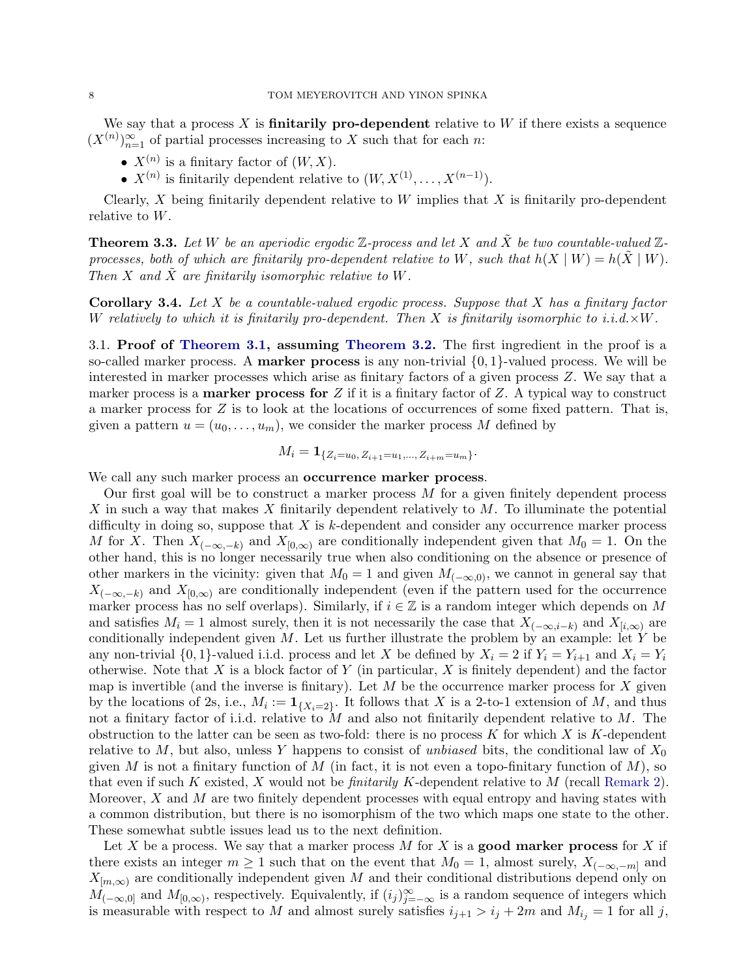We say that a process  $X$  is **finitarily pro-dependent** relative to  $W$  if there exists a sequence  $(X^{(n)})_{n=1}^{\infty}$  of partial processes increasing to X such that for each n:

- $X^{(n)}$  is a finitary factor of  $(W, X)$ .
- $X^{(n)}$  is finitarily dependent relative to  $(W, X^{(1)}, \ldots, X^{(n-1)})$ .

Clearly, X being finitarily dependent relative to W implies that X is finitarily pro-dependent relative to W.

<span id="page-7-1"></span>**Theorem 3.3.** Let W be an aperiodic ergodic  $\mathbb{Z}$ -process and let X and  $\tilde{X}$  be two countable-valued  $\mathbb{Z}$ processes, both of which are finitarily pro-dependent relative to W, such that  $h(X \mid W) = h(\tilde{X} \mid W)$ . Then X and  $\tilde{X}$  are finitarily isomorphic relative to W.

**Corollary 3.4.** Let X be a countable-valued ergodic process. Suppose that X has a finitary factor W relatively to which it is finitarily pro-dependent. Then X is finitarily isomorphic to i.i.d. $\times W$ .

<span id="page-7-0"></span>3.1. Proof of [Theorem 3.1,](#page-6-0) assuming [Theorem 3.2.](#page-6-1) The first ingredient in the proof is a so-called marker process. A **marker process** is any non-trivial  $\{0, 1\}$ -valued process. We will be interested in marker processes which arise as finitary factors of a given process Z. We say that a marker process is a **marker process for**  $Z$  if it is a finitary factor of  $Z$ . A typical way to construct a marker process for Z is to look at the locations of occurrences of some fixed pattern. That is, given a pattern  $u = (u_0, \ldots, u_m)$ , we consider the marker process M defined by

$$
M_i = \mathbf{1}_{\{Z_i = u_0, Z_{i+1} = u_1, \dots, Z_{i+m} = u_m\}}.
$$

We call any such marker process an **occurrence marker process**.

Our first goal will be to construct a marker process  $M$  for a given finitely dependent process X in such a way that makes X finitarily dependent relatively to  $M$ . To illuminate the potential difficulty in doing so, suppose that  $X$  is  $k$ -dependent and consider any occurrence marker process M for X. Then  $X_{(-\infty,-k)}$  and  $X_{[0,\infty)}$  are conditionally independent given that  $M_0 = 1$ . On the other hand, this is no longer necessarily true when also conditioning on the absence or presence of other markers in the vicinity: given that  $M_0 = 1$  and given  $M_{(-\infty,0)}$ , we cannot in general say that  $X_{(-\infty,-k)}$  and  $X_{[0,\infty)}$  are conditionally independent (even if the pattern used for the occurrence marker process has no self overlaps). Similarly, if  $i \in \mathbb{Z}$  is a random integer which depends on M and satisfies  $M_i = 1$  almost surely, then it is not necessarily the case that  $X_{(-\infty,i-k)}$  and  $X_{[i,\infty)}$  are conditionally independent given  $M$ . Let us further illustrate the problem by an example: let  $Y$  be any non-trivial  $\{0,1\}$ -valued i.i.d. process and let X be defined by  $X_i = 2$  if  $Y_i = Y_{i+1}$  and  $X_i = Y_i$ otherwise. Note that  $X$  is a block factor of  $Y$  (in particular,  $X$  is finitely dependent) and the factor map is invertible (and the inverse is finitary). Let  $M$  be the occurrence marker process for  $X$  given by the locations of 2s, i.e.,  $M_i := \mathbf{1}_{\{X_i = 2\}}$ . It follows that X is a 2-to-1 extension of M, and thus not a finitary factor of i.i.d. relative to  $M$  and also not finitarily dependent relative to  $M$ . The obstruction to the latter can be seen as two-fold: there is no process  $K$  for which  $X$  is  $K$ -dependent relative to  $M$ , but also, unless Y happens to consist of unbiased bits, the conditional law of  $X_0$ given M is not a finitary function of M (in fact, it is not even a topo-finitary function of M), so that even if such K existed, X would not be *finitarily K*-dependent relative to M (recall [Remark 2\)](#page-6-2). Moreover,  $X$  and  $M$  are two finitely dependent processes with equal entropy and having states with a common distribution, but there is no isomorphism of the two which maps one state to the other. These somewhat subtle issues lead us to the next definition.

Let X be a process. We say that a marker process  $M$  for X is a **good marker process** for X if there exists an integer  $m \ge 1$  such that on the event that  $M_0 = 1$ , almost surely,  $X_{(-\infty,-m]}$  and  $X_{[m,\infty)}$  are conditionally independent given M and their conditional distributions depend only on  $M_{(-\infty,0]}$  and  $M_{[0,\infty)}$ , respectively. Equivalently, if  $(i_j)_{j=-\infty}^{\infty}$  is a random sequence of integers which is measurable with respect to M and almost surely satisfies  $i_{j+1} > i_j + 2m$  and  $M_{i_j} = 1$  for all j,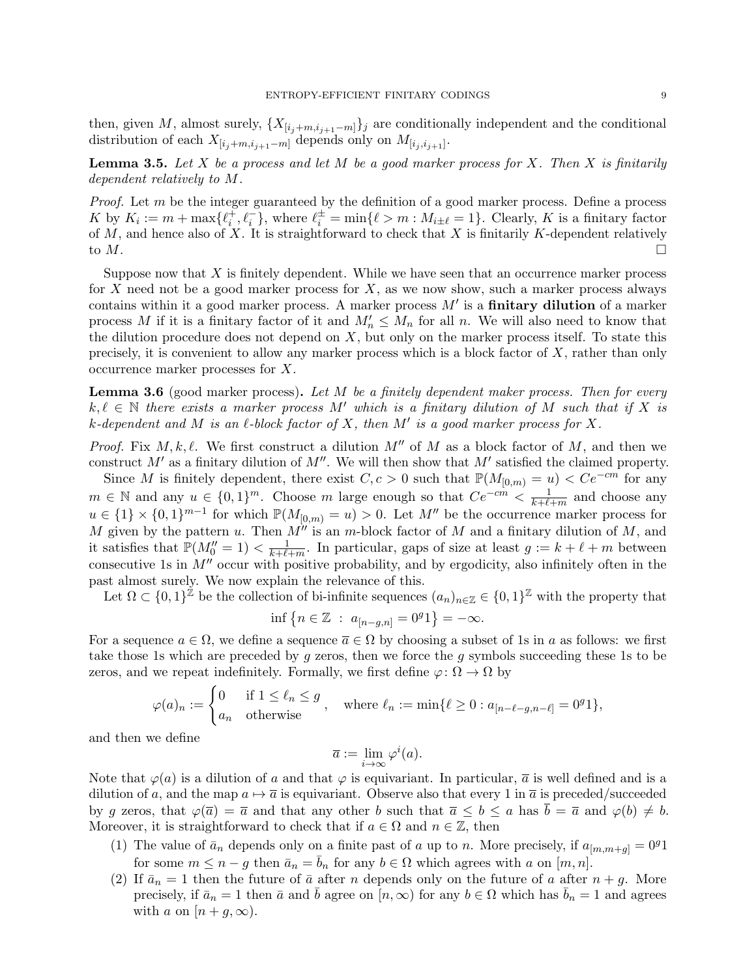then, given M, almost surely,  $\{X_{[i_j+m,i_{j+1}-m]}\}_j$  are conditionally independent and the conditional distribution of each  $X_{[i_j+m,i_{j+1}-m]}$  depends only on  $M_{[i_j,i_{j+1}]}$ .

<span id="page-8-1"></span>**Lemma 3.5.** Let  $X$  be a process and let  $M$  be a good marker process for  $X$ . Then  $X$  is finitarily dependent relatively to M.

*Proof.* Let  $m$  be the integer guaranteed by the definition of a good marker process. Define a process K by  $K_i := m + \max\{\ell_i^+, \ell_i^-\}$ , where  $\ell_i^{\pm} = \min\{\ell > m : M_{i\pm\ell} = 1\}$ . Clearly, K is a finitary factor of M, and hence also of X. It is straightforward to check that X is finitarily K-dependent relatively to  $M$ .

Suppose now that  $X$  is finitely dependent. While we have seen that an occurrence marker process for X need not be a good marker process for X, as we now show, such a marker process always contains within it a good marker process. A marker process  $M'$  is a **finitary dilution** of a marker process M if it is a finitary factor of it and  $M'_n \leq M_n$  for all n. We will also need to know that the dilution procedure does not depend on  $X$ , but only on the marker process itself. To state this precisely, it is convenient to allow any marker process which is a block factor of  $X$ , rather than only occurrence marker processes for X.

<span id="page-8-0"></span>**Lemma 3.6** (good marker process). Let M be a finitely dependent maker process. Then for every  $k, \ell \in \mathbb{N}$  there exists a marker process M' which is a finitary dilution of M such that if X is k-dependent and M is an  $\ell$ -block factor of X, then M' is a good marker process for X.

*Proof.* Fix  $M, k, \ell$ . We first construct a dilution  $M''$  of M as a block factor of M, and then we construct  $M'$  as a finitary dilution of  $M''$ . We will then show that  $M'$  satisfied the claimed property.

Since M is finitely dependent, there exist  $C, c > 0$  such that  $\mathbb{P}(M_{[0,m]} = u) < C e^{-cm}$  for any  $m \in \mathbb{N}$  and any  $u \in \{0,1\}^m$ . Choose m large enough so that  $Ce^{-cm} < \frac{1}{k+\ell}$ .  $\frac{1}{k+\ell+m}$  and choose any  $u \in \{1\} \times \{0,1\}^{m-1}$  for which  $\mathbb{P}(M_{[0,m)} = u) > 0$ . Let M'' be the occurrence marker process for M given by the pattern u. Then  $M^{\prime\prime}$  is an m-block factor of M and a finitary dilution of M, and it satisfies that  $\mathbb{P}(M_0''=1)<\frac{1}{k+\ell}$ .  $\frac{1}{k+\ell+m}$ . In particular, gaps of size at least  $g := k + \ell + m$  between consecutive 1s in  $M''$  occur with positive probability, and by ergodicity, also infinitely often in the past almost surely. We now explain the relevance of this.

Let  $\Omega \subset \{0,1\}^{\tilde{Z}}$  be the collection of bi-infinite sequences  $(a_n)_{n \in \mathbb{Z}} \in \{0,1\}^{\mathbb{Z}}$  with the property that

$$
\inf \{ n \in \mathbb{Z} \; : \; a_{[n-g,n]} = 0^g 1 \} = -\infty.
$$

For a sequence  $a \in \Omega$ , we define a sequence  $\overline{a} \in \Omega$  by choosing a subset of 1s in a as follows: we first take those 1s which are preceded by g zeros, then we force the g symbols succeeding these 1s to be zeros, and we repeat indefinitely. Formally, we first define  $\varphi \colon \Omega \to \Omega$  by

$$
\varphi(a)_n := \begin{cases} 0 & \text{if } 1 \le \ell_n \le g \\ a_n & \text{otherwise} \end{cases}, \quad \text{where } \ell_n := \min\{\ell \ge 0 : a_{[n-\ell-g,n-\ell]} = 0^g 1\},
$$

and then we define

$$
\overline{a} := \lim_{i \to \infty} \varphi^i(a).
$$

Note that  $\varphi(a)$  is a dilution of a and that  $\varphi$  is equivariant. In particular,  $\bar{a}$  is well defined and is a dilution of a, and the map  $a \mapsto \overline{a}$  is equivariant. Observe also that every 1 in  $\overline{a}$  is preceded/succeeded by g zeros, that  $\varphi(\overline{a}) = \overline{a}$  and that any other b such that  $\overline{a} \leq b \leq a$  has  $b = \overline{a}$  and  $\varphi(b) \neq b$ . Moreover, it is straightforward to check that if  $a \in \Omega$  and  $n \in \mathbb{Z}$ , then

- (1) The value of  $\bar{a}_n$  depends only on a finite past of a up to n. More precisely, if  $a_{[m,m+q]} = 0^g1$ for some  $m \leq n - g$  then  $\bar{a}_n = \bar{b}_n$  for any  $b \in \Omega$  which agrees with a on  $[m, n]$ .
- (2) If  $\bar{a}_n = 1$  then the future of  $\bar{a}$  after n depends only on the future of a after  $n + g$ . More precisely, if  $\bar{a}_n = 1$  then  $\bar{a}$  and b agree on  $[n, \infty)$  for any  $b \in \Omega$  which has  $b_n = 1$  and agrees with a on  $[n+g,\infty)$ .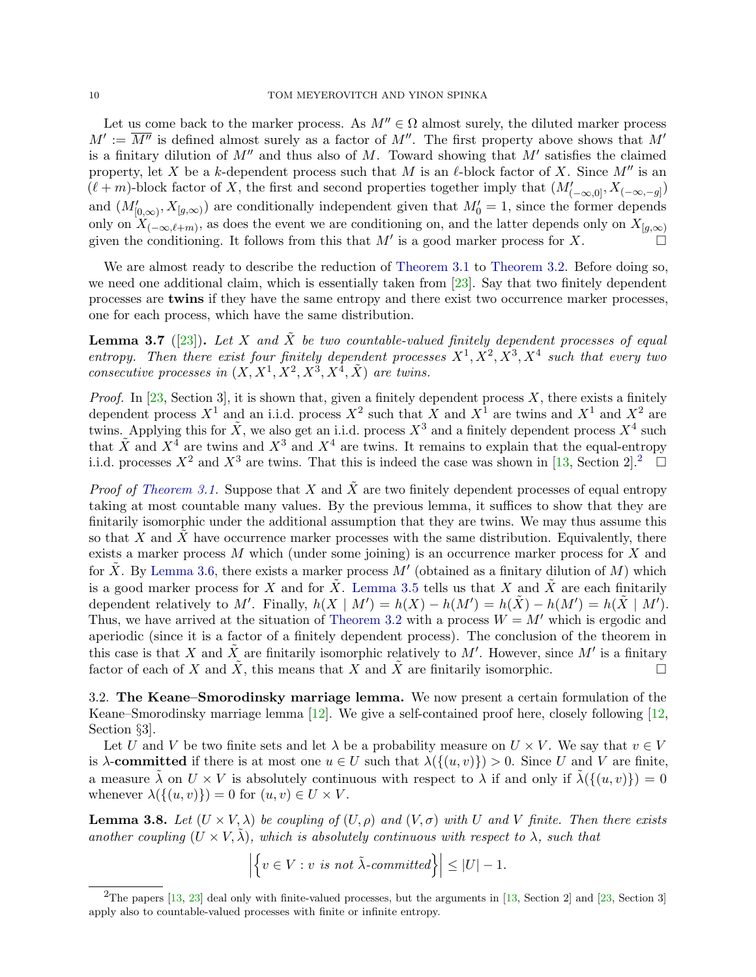Let us come back to the marker process. As  $M'' \in \Omega$  almost surely, the diluted marker process  $M' := \overline{M''}$  is defined almost surely as a factor of  $M''$ . The first property above shows that  $M'$ is a finitary dilution of  $M''$  and thus also of M. Toward showing that  $M'$  satisfies the claimed property, let X be a k-dependent process such that M is an  $\ell$ -block factor of X. Since M'' is an  $(\ell+m)$ -block factor of X, the first and second properties together imply that  $(M'_{(-\infty,0]}, X_{(-\infty,-g]})$ and  $(M'_{[0,\infty)}, X_{[g,\infty)})$  are conditionally independent given that  $M'_0 = 1$ , since the former depends only on  $X_{(-\infty,\ell+m)}$ , as does the event we are conditioning on, and the latter depends only on  $X_{[g,\infty)}$ given the conditioning. It follows from this that M' is a good marker process for X.

We are almost ready to describe the reduction of [Theorem 3.1](#page-6-0) to [Theorem 3.2.](#page-6-1) Before doing so, we need one additional claim, which is essentially taken from [\[23\]](#page-36-1). Say that two finitely dependent processes are twins if they have the same entropy and there exist two occurrence marker processes, one for each process, which have the same distribution.

<span id="page-9-0"></span>**Lemma 3.7** ([\[23\]](#page-36-1)). Let X and X be two countable-valued finitely dependent processes of equal entropy. Then there exist four finitely dependent processes  $X^1, X^2, X^3, X^4$  such that every two consecutive processes in  $(X, X^1, X^2, X^3, X^4, \tilde{X})$  are twins.

*Proof.* In [\[23,](#page-36-1) Section 3], it is shown that, given a finitely dependent process  $X$ , there exists a finitely dependent process  $X^1$  and an i.i.d. process  $X^2$  such that X and  $X^1$  are twins and  $X^1$  and  $X^2$  are twins. Applying this for  $\tilde{X}$ , we also get an i.i.d. process  $X^3$  and a finitely dependent process  $X^4$  such that  $\tilde{X}$  and  $X^4$  are twins and  $X^3$  and  $X^4$  are twins. It remains to explain that the equal-entropy i.i.d. processes  $X^2$  $X^2$  and  $X^3$  are twins. That this is indeed the case was shown in [\[13,](#page-35-2) Section 2].<sup>2</sup>  $\Box$ 

*Proof of [Theorem 3.1.](#page-6-0)* Suppose that X and  $\tilde{X}$  are two finitely dependent processes of equal entropy taking at most countable many values. By the previous lemma, it suffices to show that they are finitarily isomorphic under the additional assumption that they are twins. We may thus assume this so that  $X$  and  $X$  have occurrence marker processes with the same distribution. Equivalently, there exists a marker process  $M$  which (under some joining) is an occurrence marker process for  $X$  and for  $\tilde{X}$ . By [Lemma 3.6,](#page-8-0) there exists a marker process  $M'$  (obtained as a finitary dilution of M) which is a good marker process for X and for X. [Lemma 3.5](#page-8-1) tells us that X and X are each finitarily dependent relatively to M'. Finally,  $h(X \mid M') = h(X) - h(M') = h(\tilde{X}) - h(M') = h(\tilde{X} \mid M')$ . Thus, we have arrived at the situation of [Theorem 3.2](#page-6-1) with a process  $W = M'$  which is ergodic and aperiodic (since it is a factor of a finitely dependent process). The conclusion of the theorem in this case is that X and  $\tilde{X}$  are finitarily isomorphic relatively to M'. However, since M' is a finitary factor of each of X and  $\tilde{X}$ , this means that X and  $\tilde{X}$  are finitarily isomorphic.

3.2. The Keane–Smorodinsky marriage lemma. We now present a certain formulation of the Keane–Smorodinsky marriage lemma [\[12\]](#page-35-5). We give a self-contained proof here, closely following [\[12,](#page-35-5) Section §3].

Let U and V be two finite sets and let  $\lambda$  be a probability measure on  $U \times V$ . We say that  $v \in V$ is  $\lambda$ -committed if there is at most one  $u \in U$  such that  $\lambda(\{(u, v)\}) > 0$ . Since U and V are finite, a measure  $\lambda$  on  $U \times V$  is absolutely continuous with respect to  $\lambda$  if and only if  $\tilde{\lambda}(\{(u, v)\}) = 0$ whenever  $\lambda(\{(u, v)\}) = 0$  for  $(u, v) \in U \times V$ .

<span id="page-9-2"></span>**Lemma 3.8.** Let  $(U \times V, \lambda)$  be coupling of  $(U, \rho)$  and  $(V, \sigma)$  with U and V finite. Then there exists another coupling  $(U \times V, \tilde{\lambda})$ , which is absolutely continuous with respect to  $\lambda$ , such that

$$
\left| \left\{ v \in V : v \text{ is not } \tilde{\lambda} \text{-}committed \right\} \right| \leq |U| - 1.
$$

<span id="page-9-1"></span><sup>&</sup>lt;sup>2</sup>The papers [\[13,](#page-35-2) [23\]](#page-36-1) deal only with finite-valued processes, but the arguments in [13, Section 2] and [\[23,](#page-36-1) Section 3] apply also to countable-valued processes with finite or infinite entropy.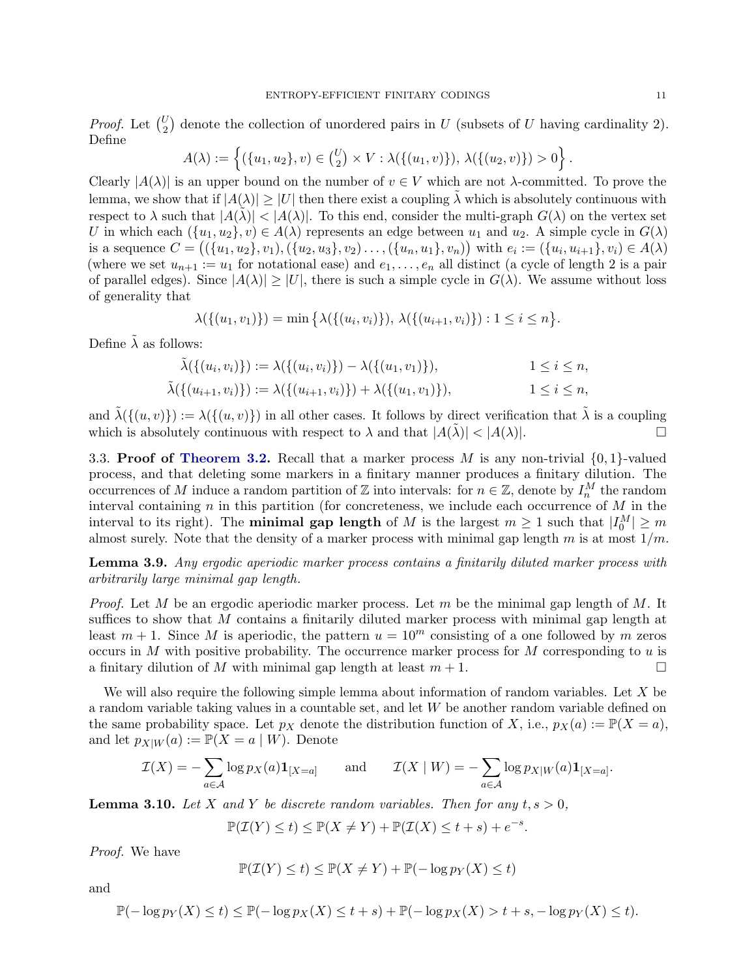*Proof.* Let  $\binom{U}{2}$  denote the collection of unordered pairs in U (subsets of U having cardinality 2). Define

$$
A(\lambda) := \left\{ (\{u_1, u_2\}, v) \in {U \choose 2} \times V : \lambda(\{(u_1, v)\}), \lambda(\{(u_2, v)\}) > 0 \right\}.
$$

Clearly  $|A(\lambda)|$  is an upper bound on the number of  $v \in V$  which are not  $\lambda$ -committed. To prove the lemma, we show that if  $|A(\lambda)| \geq |U|$  then there exist a coupling  $\lambda$  which is absolutely continuous with respect to  $\lambda$  such that  $|A(\lambda)| < |A(\lambda)|$ . To this end, consider the multi-graph  $G(\lambda)$  on the vertex set U in which each  $({u_1, u_2}, v) \in A(\lambda)$  represents an edge between  $u_1$  and  $u_2$ . A simple cycle in  $G(\lambda)$ is a sequence  $C = ((\{u_1, u_2\}, v_1), (\{u_2, u_3\}, v_2), \ldots, (\{u_n, u_1\}, v_n))$  with  $e_i := (\{u_i, u_{i+1}\}, v_i) \in A(\lambda)$ (where we set  $u_{n+1} := u_1$  for notational ease) and  $e_1, \ldots, e_n$  all distinct (a cycle of length 2 is a pair of parallel edges). Since  $|A(\lambda)| \geq |U|$ , there is such a simple cycle in  $G(\lambda)$ . We assume without loss of generality that

$$
\lambda(\{(u_1, v_1)\}) = \min \{ \lambda(\{(u_i, v_i)\}), \lambda(\{(u_{i+1}, v_i)\}) : 1 \le i \le n \}.
$$

Define  $\tilde{\lambda}$  as follows:

$$
\tilde{\lambda}(\{(u_i, v_i)\}) := \lambda(\{(u_i, v_i)\}) - \lambda(\{(u_1, v_1)\}), \qquad 1 \le i \le n,
$$
  

$$
\tilde{\lambda}(\{(u_{i+1}, v_i)\}) := \lambda(\{(u_{i+1}, v_i)\}) + \lambda(\{(u_1, v_1)\}), \qquad 1 \le i \le n,
$$

and  $\tilde{\lambda}(\{(u, v)\}) := \lambda(\{(u, v)\})$  in all other cases. It follows by direct verification that  $\tilde{\lambda}$  is a coupling which is absolutely continuous with respect to  $\lambda$  and that  $|A(\tilde{\lambda})| < |A(\lambda)|$ .

3.3. **Proof of [Theorem 3.2.](#page-6-1)** Recall that a marker process M is any non-trivial  $\{0, 1\}$ -valued process, and that deleting some markers in a finitary manner produces a finitary dilution. The occurrences of M induce a random partition of  $\mathbb Z$  into intervals: for  $n \in \mathbb Z$ , denote by  $I_n^M$  the random interval containing  $n$  in this partition (for concreteness, we include each occurrence of  $M$  in the interval to its right). The **minimal gap length** of M is the largest  $m \ge 1$  such that  $|I_0^M| \ge m$ almost surely. Note that the density of a marker process with minimal gap length m is at most  $1/m$ .

<span id="page-10-0"></span>Lemma 3.9. Any ergodic aperiodic marker process contains a finitarily diluted marker process with arbitrarily large minimal gap length.

*Proof.* Let M be an ergodic aperiodic marker process. Let m be the minimal gap length of M. It suffices to show that M contains a finitarily diluted marker process with minimal gap length at least  $m + 1$ . Since M is aperiodic, the pattern  $u = 10^m$  consisting of a one followed by m zeros occurs in  $M$  with positive probability. The occurrence marker process for  $M$  corresponding to  $u$  is a finitary dilution of M with minimal gap length at least  $m + 1$ .

We will also require the following simple lemma about information of random variables. Let X be a random variable taking values in a countable set, and let W be another random variable defined on the same probability space. Let  $p_X$  denote the distribution function of X, i.e.,  $p_X(a) := \mathbb{P}(X = a)$ , and let  $p_{X|W}(a) := \mathbb{P}(X = a | W)$ . Denote

$$
\mathcal{I}(X) = -\sum_{a \in \mathcal{A}} \log p_X(a) \mathbf{1}_{[X=a]} \quad \text{and} \quad \mathcal{I}(X \mid W) = -\sum_{a \in \mathcal{A}} \log p_{X|W}(a) \mathbf{1}_{[X=a]}.
$$

<span id="page-10-1"></span>**Lemma 3.10.** Let X and Y be discrete random variables. Then for any  $t, s > 0$ ,

$$
\mathbb{P}(\mathcal{I}(Y) \le t) \le \mathbb{P}(X \ne Y) + \mathbb{P}(\mathcal{I}(X) \le t + s) + e^{-s}
$$

.

Proof. We have

$$
\mathbb{P}(\mathcal{I}(Y) \le t) \le \mathbb{P}(X \ne Y) + \mathbb{P}(-\log p_Y(X) \le t)
$$

and

$$
\mathbb{P}(-\log p_Y(X) \le t) \le \mathbb{P}(-\log p_X(X) \le t + s) + \mathbb{P}(-\log p_X(X) > t + s, -\log p_Y(X) \le t).
$$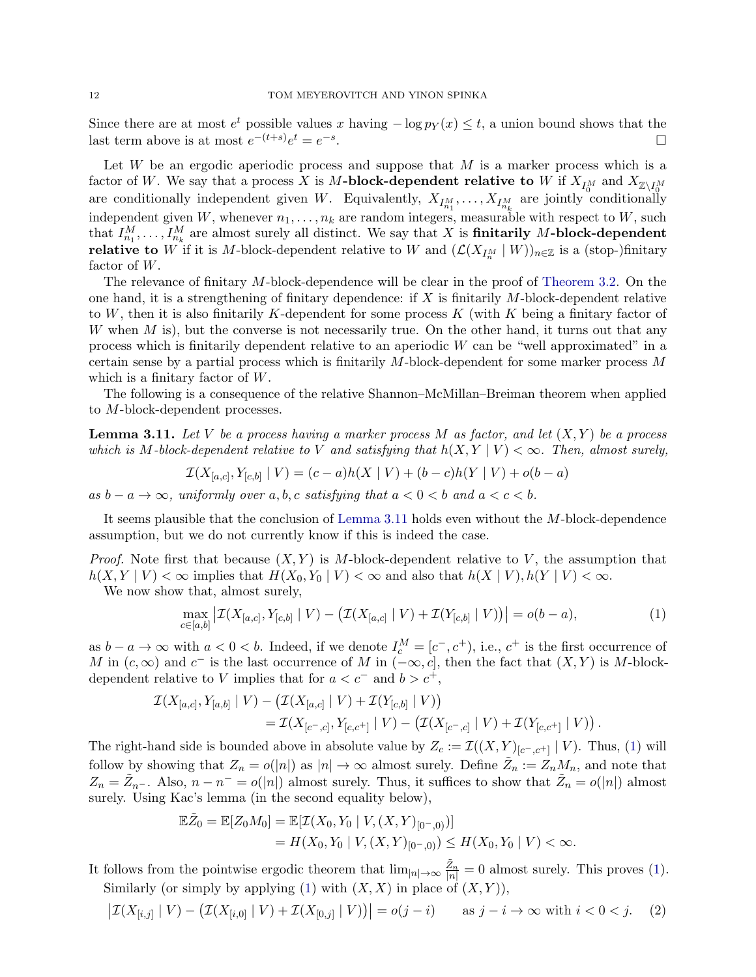Since there are at most  $e^t$  possible values x having  $-\log p_Y(x) \le t$ , a union bound shows that the last term above is at most  $e^{-(t+s)}e^t = e^{-s}$ . В последните последните последните последните последните последните последните последните последните последн<br>В последните последните последните последните последните последните последните последните последните последнит

Let  $W$  be an ergodic aperiodic process and suppose that  $M$  is a marker process which is a factor of W. We say that a process X is M-block-dependent relative to W if  $X_{I_0^M}$  and  $X_{\mathbb{Z}\setminus I_0^M}$ are conditionally independent given W. Equivalently,  $X_{I_{n_1}^M}, \ldots, X_{I_{n_k}^M}$  are jointly conditionally independent given W, whenever  $n_1, \ldots, n_k$  are random integers, measurable with respect to W, such that  $I_{n_1}^M, \ldots, I_{n_k}^M$  are almost surely all distinct. We say that X is **finitarily** M-block-dependent **relative to** W if it is M-block-dependent relative to W and  $(\mathcal{L}(X_{I_n^M} \mid W))_{n \in \mathbb{Z}}$  is a (stop-)finitary factor of W.

The relevance of finitary M-block-dependence will be clear in the proof of [Theorem 3.2.](#page-6-1) On the one hand, it is a strengthening of finitary dependence: if  $X$  is finitarily  $M$ -block-dependent relative to W, then it is also finitarily K-dependent for some process  $K$  (with  $K$  being a finitary factor of W when  $M$  is), but the converse is not necessarily true. On the other hand, it turns out that any process which is finitarily dependent relative to an aperiodic W can be "well approximated" in a certain sense by a partial process which is finitarily M-block-dependent for some marker process M which is a finitary factor of W.

The following is a consequence of the relative Shannon–McMillan–Breiman theorem when applied to M-block-dependent processes.

<span id="page-11-0"></span>**Lemma 3.11.** Let V be a process having a marker process M as factor, and let  $(X, Y)$  be a process which is M-block-dependent relative to V and satisfying that  $h(X, Y | V) < \infty$ . Then, almost surely,

$$
\mathcal{I}(X_{[a,c]}, Y_{[c,b]} \mid V) = (c-a)h(X \mid V) + (b-c)h(Y \mid V) + o(b-a)
$$

as  $b - a \rightarrow \infty$ , uniformly over a, b, c satisfying that  $a < 0 < b$  and  $a < c < b$ .

It seems plausible that the conclusion of [Lemma 3.11](#page-11-0) holds even without the M-block-dependence assumption, but we do not currently know if this is indeed the case.

*Proof.* Note first that because  $(X, Y)$  is M-block-dependent relative to V, the assumption that  $h(X, Y | V) < \infty$  implies that  $H(X_0, Y_0 | V) < \infty$  and also that  $h(X | V), h(Y | V) < \infty$ .

We now show that, almost surely,

<span id="page-11-1"></span>
$$
\max_{c \in [a,b]} \left| \mathcal{I}(X_{[a,c]}, Y_{[c,b]} \mid V) - \left( \mathcal{I}(X_{[a,c]} \mid V) + \mathcal{I}(Y_{[c,b]} \mid V) \right) \right| = o(b-a),\tag{1}
$$

as  $b - a \to \infty$  with  $a < 0 < b$ . Indeed, if we denote  $I_c^M = [c^-, c^+]$ , i.e.,  $c^+$  is the first occurrence of M in  $(c, \infty)$  and  $c^-$  is the last occurrence of M in  $(-\infty, c]$ , then the fact that  $(X, Y)$  is M-blockdependent relative to V implies that for  $a < c^-$  and  $b > c^+$ ,

$$
\mathcal{I}(X_{[a,c]}, Y_{[a,b]}\mid V) - (\mathcal{I}(X_{[a,c]}\mid V) + \mathcal{I}(Y_{[c,b]}\mid V)) \n= \mathcal{I}(X_{[c^-,c]}, Y_{[c,c^+]}\mid V) - (\mathcal{I}(X_{[c^-,c]}\mid V) + \mathcal{I}(Y_{[c,c^+]}\mid V)).
$$

The right-hand side is bounded above in absolute value by  $Z_c := \mathcal{I}((X,Y)_{[c^-,c^+]} \mid V)$ . Thus, [\(1\)](#page-11-1) will follow by showing that  $Z_n = o(|n|)$  as  $|n| \to \infty$  almost surely. Define  $\tilde{Z}_n := Z_n M_n$ , and note that  $Z_n = \tilde{Z}_{n-}$ . Also,  $n - n^- = o(|n|)$  almost surely. Thus, it suffices to show that  $\tilde{Z}_n = o(|n|)$  almost surely. Using Kac's lemma (in the second equality below),

$$
\mathbb{E}\tilde{Z}_0 = \mathbb{E}[Z_0M_0] = \mathbb{E}[\mathcal{I}(X_0, Y_0 \mid V, (X, Y)_{[0^-,0)})]
$$
  
=  $H(X_0, Y_0 \mid V, (X, Y)_{[0^-,0)}) \le H(X_0, Y_0 \mid V) < \infty.$ 

It follows from the pointwise ergodic theorem that  $\lim_{|n|\to\infty}\frac{\tilde{Z}_n}{|n|}=0$  almost surely. This proves [\(1\)](#page-11-1). Similarly (or simply by applying [\(1\)](#page-11-1) with  $(X, X)$  in place of  $(X, Y)$ ),

<span id="page-11-2"></span>
$$
\left|\mathcal{I}(X_{[i,j]}\mid V) - \left(\mathcal{I}(X_{[i,0]}\mid V) + \mathcal{I}(X_{[0,j]}\mid V)\right)\right| = o(j-i) \quad \text{as } j-i \to \infty \text{ with } i < 0 < j. \tag{2}
$$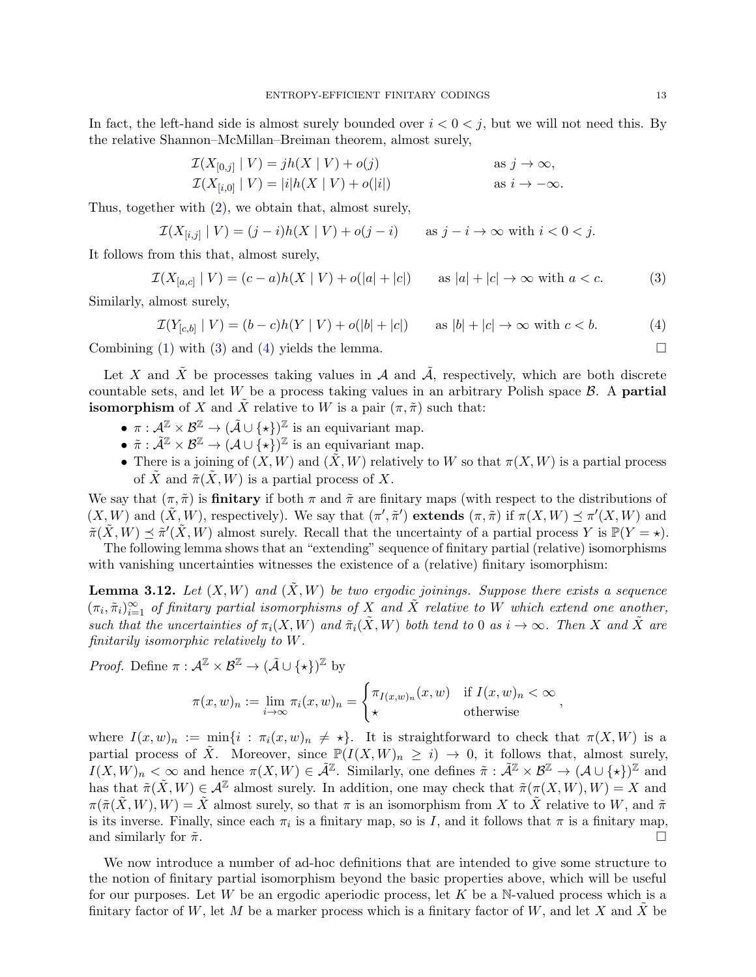In fact, the left-hand side is almost surely bounded over  $i < 0 < j$ , but we will not need this. By the relative Shannon–McMillan–Breiman theorem, almost surely,

$$
\mathcal{I}(X_{[0,j]} \mid V) = jh(X \mid V) + o(j) \qquad \text{as } j \to \infty,
$$
  

$$
\mathcal{I}(X_{[i,0]} \mid V) = |i|h(X \mid V) + o(|i|) \qquad \text{as } i \to -\infty.
$$

Thus, together with [\(2\)](#page-11-2), we obtain that, almost surely,

$$
\mathcal{I}(X_{[i,j]}\mid V) = (j-i)h(X\mid V) + o(j-i) \quad \text{as } j-i \to \infty \text{ with } i < 0 < j.
$$

It follows from this that, almost surely,

<span id="page-12-0"></span>
$$
\mathcal{I}(X_{[a,c]} \mid V) = (c-a)h(X \mid V) + o(|a| + |c|) \qquad \text{as } |a| + |c| \to \infty \text{ with } a < c. \tag{3}
$$

Similarly, almost surely,

<span id="page-12-1"></span> $\mathcal{I}(Y_{[c,b]} | V) = (b - c)h(Y | V) + o(|b| + |c|)$  as  $|b| + |c| \to \infty$  with  $c < b$ . (4)

Combining [\(1\)](#page-11-1) with [\(3\)](#page-12-0) and [\(4\)](#page-12-1) yields the lemma.  $\square$ 

Let X and  $\tilde{X}$  be processes taking values in A and  $\tilde{A}$ , respectively, which are both discrete countable sets, and let  $W$  be a process taking values in an arbitrary Polish space  $\beta$ . A partial **isomorphism** of X and  $\tilde{X}$  relative to W is a pair  $(\pi, \tilde{\pi})$  such that:

- $\pi : \mathcal{A}^{\mathbb{Z}} \times \mathcal{B}^{\mathbb{Z}} \to (\tilde{\mathcal{A}} \cup {\{\star\}})^{\mathbb{Z}}$  is an equivariant map.
- $\tilde{\pi}: \tilde{\mathcal{A}}^{\mathbb{Z}} \times \mathcal{B}^{\mathbb{Z}} \to (\mathcal{A} \cup {\{\star\}})^{\mathbb{Z}}$  is an equivariant map.
- There is a joining of  $(X, W)$  and  $(\tilde{X}, W)$  relatively to W so that  $\pi(X, W)$  is a partial process of X and  $\tilde{\pi}(X, W)$  is a partial process of X.

We say that  $(\pi, \tilde{\pi})$  is **finitary** if both  $\pi$  and  $\tilde{\pi}$  are finitary maps (with respect to the distributions of  $(X, W)$  and  $(\tilde{X}, W)$ , respectively). We say that  $(\pi', \tilde{\pi}')$  extends  $(\pi, \tilde{\pi})$  if  $\pi(X, W) \preceq \pi'(X, W)$  and  $\tilde{\pi}(\tilde{X}, W) \preceq \tilde{\pi}'(\tilde{X}, W)$  almost surely. Recall that the uncertainty of a partial process Y is  $\mathbb{P}(Y = \star)$ .

The following lemma shows that an "extending" sequence of finitary partial (relative) isomorphisms with vanishing uncertainties witnesses the existence of a (relative) finitary isomorphism:

<span id="page-12-2"></span>**Lemma 3.12.** Let  $(X, W)$  and  $(\tilde{X}, W)$  be two ergodic joinings. Suppose there exists a sequence  $(\pi_i, \tilde{\pi}_i)_{i=1}^{\infty}$  of finitary partial isomorphisms of X and X relative to W which extend one another, such that the uncertainties of  $\pi_i(X, W)$  and  $\tilde{\pi}_i(\tilde{X}, W)$  both tend to 0 as  $i \to \infty$ . Then X and  $\tilde{X}$  are finitarily isomorphic relatively to W.

*Proof.* Define  $\pi : \mathcal{A}^{\mathbb{Z}} \times \mathcal{B}^{\mathbb{Z}} \to (\tilde{\mathcal{A}} \cup {\{\star\}})^{\mathbb{Z}}$  by

$$
\pi(x, w)_n := \lim_{i \to \infty} \pi_i(x, w)_n = \begin{cases} \pi_{I(x, w)_n}(x, w) & \text{if } I(x, w)_n < \infty \\ \star & \text{otherwise} \end{cases}
$$

where  $I(x, w)_n := \min\{i : \pi_i(x, w)_n \neq \star\}.$  It is straightforward to check that  $\pi(X, W)$  is a partial process of  $\tilde{X}$ . Moreover, since  $\mathbb{P}(I(X, W)_n \geq i) \to 0$ , it follows that, almost surely,  $I(X, W)_n < \infty$  and hence  $\pi(X, W) \in \tilde{\mathcal{A}}^{\mathbb{Z}}$ . Similarly, one defines  $\tilde{\pi} : \tilde{\mathcal{A}}^{\mathbb{Z}} \times \mathcal{B}^{\mathbb{Z}} \to (\mathcal{A} \cup \{\star\})^{\mathbb{Z}}$  and has that  $\tilde{\pi}(\tilde{X}, W) \in \mathcal{A}^{\mathbb{Z}}$  almost surely. In addition, one may check that  $\tilde{\pi}(\pi(X, W), W) = X$  and  $\pi(\tilde{\pi}(X, W), W) = \tilde{X}$  almost surely, so that  $\pi$  is an isomorphism from X to  $\tilde{X}$  relative to W, and  $\tilde{\pi}$ is its inverse. Finally, since each  $\pi_i$  is a finitary map, so is I, and it follows that  $\pi$  is a finitary map, and similarly for  $\tilde{\pi}$ .

We now introduce a number of ad-hoc definitions that are intended to give some structure to the notion of finitary partial isomorphism beyond the basic properties above, which will be useful for our purposes. Let W be an ergodic aperiodic process, let K be a N-valued process which is a finitary factor of W, let M be a marker process which is a finitary factor of W, and let X and  $\tilde{X}$  be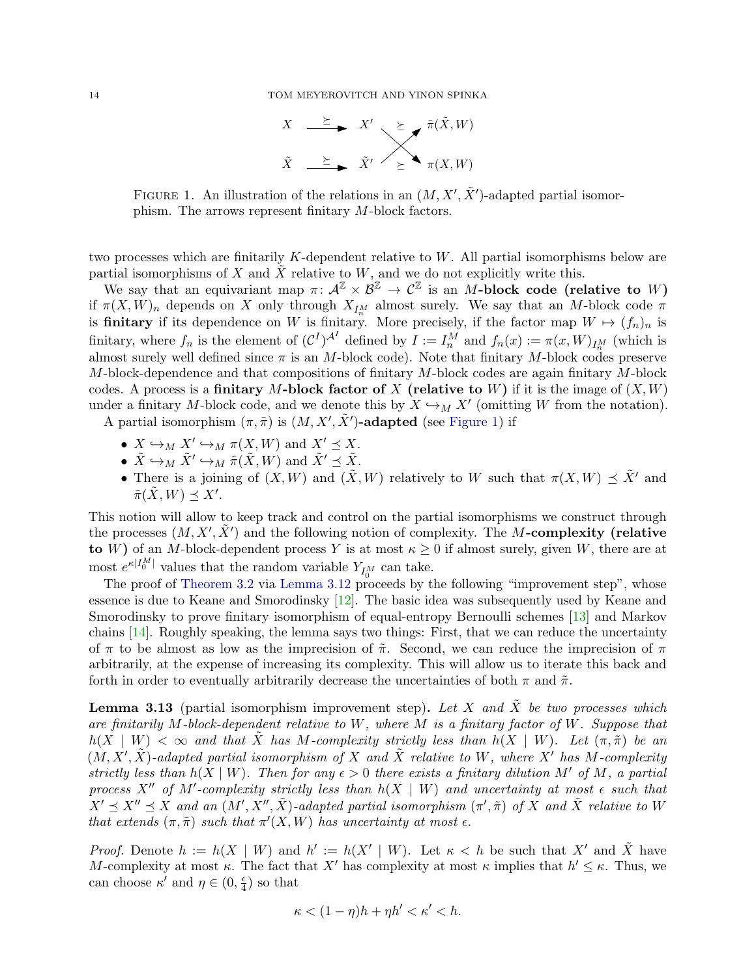

<span id="page-13-0"></span>FIGURE 1. An illustration of the relations in an  $(M, X', \tilde{X}')$ -adapted partial isomorphism. The arrows represent finitary M-block factors.

two processes which are finitarily  $K$ -dependent relative to  $W$ . All partial isomorphisms below are partial isomorphisms of X and  $\tilde{X}$  relative to W, and we do not explicitly write this.

We say that an equivariant map  $\pi: \mathcal{A}^{\mathbb{Z}} \times \mathcal{B}^{\mathbb{Z}} \to \mathcal{C}^{\mathbb{Z}}$  is an M-block code (relative to W) if  $\pi(X, W)_n$  depends on X only through  $X_{I_n^M}$  almost surely. We say that an M-block code  $\pi$ is **finitary** if its dependence on W is finitary. More precisely, if the factor map  $W \mapsto (f_n)_n$  is finitary, where  $f_n$  is the element of  $({\cal C}^I)^{\mathcal{A}^I}$  defined by  $I := I_n^M$  and  $f_n(x) := \pi(x, W)_{I_n^M}$  (which is almost surely well defined since  $\pi$  is an M-block code). Note that finitary M-block codes preserve  $M$ -block-dependence and that compositions of finitary  $M$ -block codes are again finitary  $M$ -block codes. A process is a **finitary M-block factor of X** (relative to W) if it is the image of  $(X, W)$ under a finitary M-block code, and we denote this by  $X \hookrightarrow_M X'$  (omitting W from the notation).

A partial isomorphism  $(\pi, \tilde{\pi})$  is  $(M, X', \tilde{X}')$ -adapted (see [Figure 1\)](#page-13-0) if

- $X \hookrightarrow_M X' \hookrightarrow_M \pi(X, W)$  and  $X' \preceq X$ .
- $\tilde{X} \hookrightarrow_M \tilde{X}' \hookrightarrow_M \tilde{\pi}(X, W)$  and  $\tilde{X}' \preceq \tilde{X}$ .
- There is a joining of  $(X, W)$  and  $(\tilde{X}, W)$  relatively to W such that  $\pi(X, W) \preceq \tilde{X}'$  and  $\tilde{\pi}(\tilde{X}, W) \preceq X'.$

This notion will allow to keep track and control on the partial isomorphisms we construct through the processes  $(M, X', \tilde{X}')$  and the following notion of complexity. The M-complexity (relative to W) of an M-block-dependent process Y is at most  $\kappa \geq 0$  if almost surely, given W, there are at most  $e^{\kappa |I_0^M|}$  values that the random variable  $Y_{I_0^M}$  can take.

The proof of [Theorem 3.2](#page-6-1) via [Lemma 3.12](#page-12-2) proceeds by the following "improvement step", whose essence is due to Keane and Smorodinsky [\[12\]](#page-35-5). The basic idea was subsequently used by Keane and Smorodinsky to prove finitary isomorphism of equal-entropy Bernoulli schemes [\[13\]](#page-35-2) and Markov chains [\[14\]](#page-35-6). Roughly speaking, the lemma says two things: First, that we can reduce the uncertainty of  $\pi$  to be almost as low as the imprecision of  $\tilde{\pi}$ . Second, we can reduce the imprecision of  $\pi$ arbitrarily, at the expense of increasing its complexity. This will allow us to iterate this back and forth in order to eventually arbitrarily decrease the uncertainties of both  $\pi$  and  $\tilde{\pi}$ .

<span id="page-13-1"></span>**Lemma 3.13** (partial isomorphism improvement step). Let X and  $\tilde{X}$  be two processes which are finitarily M-block-dependent relative to W, where M is a finitary factor of W. Suppose that  $h(X \mid W) < \infty$  and that X has M-complexity strictly less than  $h(X \mid W)$ . Let  $(\pi, \tilde{\pi})$  be an  $(M, X', \tilde{X})$ -adapted partial isomorphism of X and  $\tilde{X}$  relative to W, where X' has M-complexity strictly less than  $h(X | W)$ . Then for any  $\epsilon > 0$  there exists a finitary dilution M' of M, a partial process X<sup>n</sup> of M'-complexity strictly less than  $h(X \mid W)$  and uncertainty at most  $\epsilon$  such that  $X' \preceq X'' \preceq X$  and an  $(M', X'', \tilde{X})$ -adapted partial isomorphism  $(\pi', \tilde{\pi})$  of X and  $\tilde{X}$  relative to W that extends  $(\pi, \tilde{\pi})$  such that  $\pi'(X, W)$  has uncertainty at most  $\epsilon$ .

*Proof.* Denote  $h := h(X | W)$  and  $h' := h(X' | W)$ . Let  $\kappa < h$  be such that X' and X' have M-complexity at most  $\kappa$ . The fact that X' has complexity at most  $\kappa$  implies that  $h' \leq \kappa$ . Thus, we can choose  $\kappa'$  and  $\eta \in (0, \frac{\epsilon}{4})$  $\frac{\epsilon}{4}$ ) so that

$$
\kappa < (1 - \eta)h + \eta h' < \kappa' < h.
$$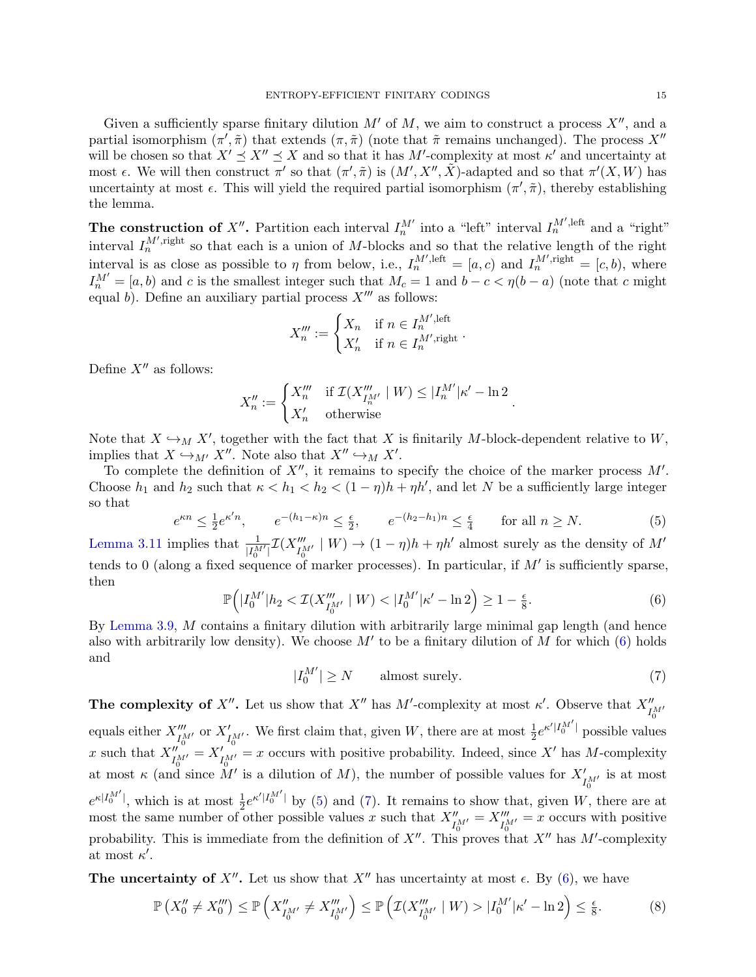Given a sufficiently sparse finitary dilution  $M'$  of  $M$ , we aim to construct a process  $X''$ , and a partial isomorphism  $(\pi', \tilde{\pi})$  that extends  $(\pi, \tilde{\pi})$  (note that  $\tilde{\pi}$  remains unchanged). The process X'' will be chosen so that  $X' \preceq X'' \preceq X$  and so that it has M'-complexity at most  $\kappa'$  and uncertainty at most  $\epsilon$ . We will then construct  $\pi'$  so that  $(\pi', \tilde{\pi})$  is  $(M', X'', \tilde{X})$ -adapted and so that  $\pi'(X, W)$  has uncertainty at most  $\epsilon$ . This will yield the required partial isomorphism  $(\pi', \tilde{\pi})$ , thereby establishing the lemma.

The construction of X''. Partition each interval  $I_n^{M'}$  into a "left" interval  $I_n^{M',\text{left}}$  and a "right" interval  $I_n^{M',\text{right}}$  so that each is a union of M-blocks and so that the relative length of the right interval is as close as possible to  $\eta$  from below, i.e.,  $I_n^{M',\text{left}} = [a, c)$  and  $I_n^{M',\text{right}} = [c, b)$ , where  $I_n^{M'} = [a, b]$  and c is the smallest integer such that  $M_c = 1$  and  $b - c < \eta(b - a)$  (note that c might equal b). Define an auxiliary partial process  $X^{\prime\prime\prime}$  as follows:

$$
X_n''' := \begin{cases} X_n & \text{if } n \in I_n^{M',\text{left}} \\ X_n' & \text{if } n \in I_n^{M',\text{right}} \end{cases}.
$$

Define  $X''$  as follows:

$$
X_n'':=\begin{cases} X_n''' & \text{if }\mathcal{I}(X_{I_n^{M'}}''\mid W)\leq |I_n^{M'}|\kappa'-\ln 2\\ X_n' & \text{otherwise} \end{cases}
$$

Note that  $X \hookrightarrow_M X'$ , together with the fact that X is finitarily M-block-dependent relative to W, implies that  $X \hookrightarrow_{M'} X''$ . Note also that  $X'' \hookrightarrow_M X'$ .

To complete the definition of  $X''$ , it remains to specify the choice of the marker process  $M'$ . Choose  $h_1$  and  $h_2$  such that  $\kappa < h_1 < h_2 < (1 - \eta)h + \eta h'$ , and let N be a sufficiently large integer so that

<span id="page-14-1"></span>
$$
e^{\kappa n} \le \frac{1}{2} e^{\kappa' n}, \qquad e^{-(h_1 - \kappa)n} \le \frac{\epsilon}{2}, \qquad e^{-(h_2 - h_1)n} \le \frac{\epsilon}{4} \qquad \text{for all } n \ge N. \tag{5}
$$

[Lemma 3.11](#page-11-0) implies that  $\frac{1}{|I_0^M|} \mathcal{I}(X_{I_0^M}'' \mid W) \to (1 - \eta)h + \eta h'$  almost surely as the density of  $M'$ tends to 0 (along a fixed sequence of marker processes). In particular, if  $M'$  is sufficiently sparse, then

<span id="page-14-0"></span>
$$
\mathbb{P}\Big(|I_0^{M'}|h_2 < \mathcal{I}(X_{I_0^{M'}}^{m'}|W) < |I_0^{M'}|\kappa' - \ln 2\Big) \ge 1 - \frac{\epsilon}{8}.\tag{6}
$$

By [Lemma 3.9,](#page-10-0) M contains a finitary dilution with arbitrarily large minimal gap length (and hence also with arbitrarily low density). We choose  $M'$  to be a finitary dilution of M for which [\(6\)](#page-14-0) holds and

<span id="page-14-2"></span>
$$
|I_0^{M'}| \ge N \qquad \text{almost surely.} \tag{7}
$$

.

**The complexity of X''.** Let us show that X'' has M'-complexity at most  $\kappa'$ . Observe that  $X''_{I_0^{M'}}$ equals either  $X''_{I_0^M}$  or  $X'_{I_0^M}$ . We first claim that, given W, there are at most  $\frac{1}{2}e^{\kappa' |I_0^{M'}|}$  possible values x such that  $X''_{I_0^{M'}} = X'_{I_0^{M'}} = x$  occurs with positive probability. Indeed, since X' has M-complexity at most  $\kappa$  (and since M' is a dilution of M), the number of possible values for  $X'_{I_0^{M'}}$  is at most 0  $e^{\kappa |I_0^{M'}|}$ , which is at most  $\frac{1}{2}e^{\kappa' |I_0^{M'}|}$  by [\(5\)](#page-14-1) and [\(7\)](#page-14-2). It remains to show that, given W, there are at most the same number of other possible values x such that  $X''_{I_0^{M'}} = X'''_{I_0^{M'}} = x$  occurs with positive probability. This is immediate from the definition of  $X''$ . This proves that  $X''$  has M'-complexity at most  $\kappa'$ .

The uncertainty of  $X''$ . Let us show that  $X''$  has uncertainty at most  $\epsilon$ . By [\(6\)](#page-14-0), we have

<span id="page-14-3"></span>
$$
\mathbb{P}\left(X_0'' \neq X_0'''\right) \leq \mathbb{P}\left(X_{I_0^{M'}}'' \neq X_{I_0^{M'}}''\right) \leq \mathbb{P}\left(\mathcal{I}(X_{I_0^{M'}}'' \mid W) > |I_0^{M'}|\kappa' - \ln 2\right) \leq \frac{\epsilon}{8}.\tag{8}
$$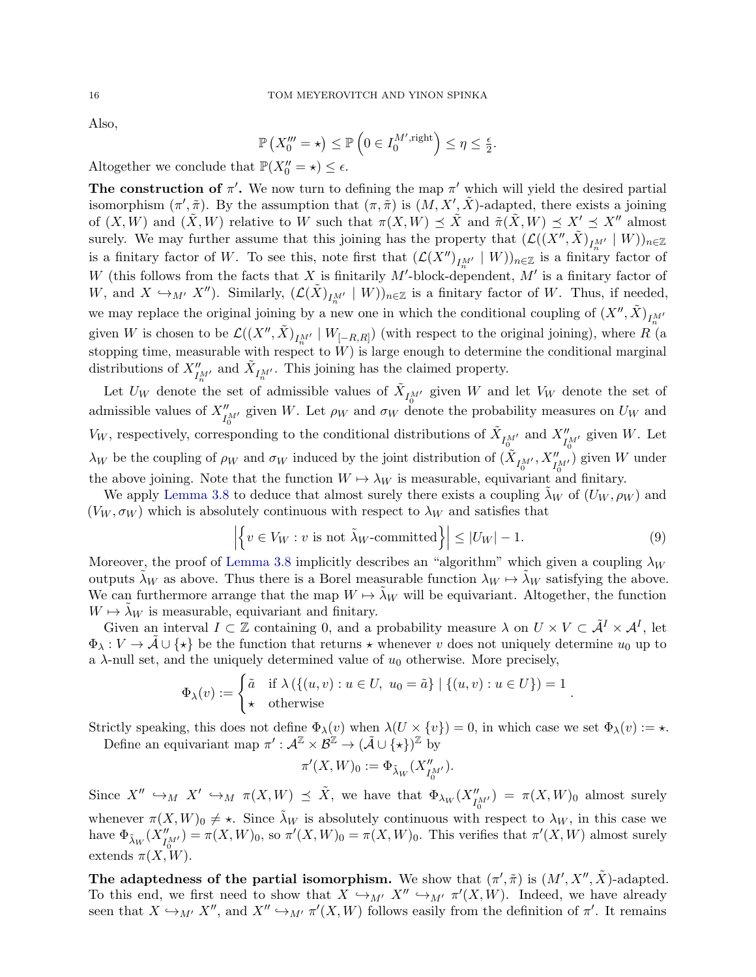Also,

$$
\mathbb{P}\left(X_0''' = \star\right) \le \mathbb{P}\left(0 \in I_0^{M',\text{right}}\right) \le \eta \le \frac{\epsilon}{2}.
$$

Altogether we conclude that  $\mathbb{P}(X_0'' = \star) \leq \epsilon$ .

The construction of  $\pi'$ . We now turn to defining the map  $\pi'$  which will yield the desired partial isomorphism  $(\pi', \tilde{\pi})$ . By the assumption that  $(\pi, \tilde{\pi})$  is  $(M, X', \tilde{X})$ -adapted, there exists a joining of  $(X, W)$  and  $(\tilde{X}, W)$  relative to W such that  $\pi(X, W) \preceq \tilde{X}$  and  $\tilde{\pi}(\tilde{X}, W) \preceq X' \preceq X''$  almost surely. We may further assume that this joining has the property that  $(\mathcal{L}((X'', \tilde{X})_{I_n^{M'}} \mid W))_{n \in \mathbb{Z}}$ is a finitary factor of W. To see this, note first that  $(\mathcal{L}(X'')_{I_{n'}^M} | W))_{n \in \mathbb{Z}}$  is a finitary factor of W (this follows from the facts that X is finitarily M'-block-dependent, M' is a finitary factor of W, and  $X \hookrightarrow_{M'} X''$ ). Similarly,  $(\mathcal{L}(\tilde{X})_{I_{n'}^{M'}} \mid W)_{n \in \mathbb{Z}}$  is a finitary factor of W. Thus, if needed, we may replace the original joining by a new one in which the conditional coupling of  $(X'', \tilde{X})_{I_m^M}$ given W is chosen to be  $\mathcal{L}((X'',\tilde{X})_{I_{n}^{M'}} | W_{[-R,R]})$  (with respect to the original joining), where R (a stopping time, measurable with respect to  $W$ ) is large enough to determine the conditional marginal distributions of  $X''_{I_n^{M'}}$  and  $\tilde{X}_{I_n^{M'}}$ . This joining has the claimed property.

Let  $U_W$  denote the set of admissible values of  $\tilde{X}_{I_0^{M'}}$  given W and let  $V_W$  denote the set of admissible values of  $X''_{I_0^M}$  given W. Let  $\rho_W$  and  $\sigma_W$  denote the probability measures on  $U_W$  and  $V_W$ , respectively, corresponding to the conditional distributions of  $\tilde{X}_{I_0^{M'}}$  and  $X''_{I_0^{M'}}$  given W. Let  $\lambda_W$  be the coupling of  $\rho_W$  and  $\sigma_W$  induced by the joint distribution of  $(\tilde{X}_{I_0^{M'}}, X''_{I_0^{M'}})$  given W under the above joining. Note that the function  $W \mapsto \lambda_W$  is measurable, equivariant and finitary.

We apply [Lemma 3.8](#page-9-2) to deduce that almost surely there exists a coupling  $\lambda_W$  of  $(U_W, \rho_W)$  and  $(V_W, \sigma_W)$  which is absolutely continuous with respect to  $\lambda_W$  and satisfies that

<span id="page-15-0"></span>
$$
\left| \left\{ v \in V_W : v \text{ is not } \tilde{\lambda}_W\text{-committed} \right\} \right| \le |U_W| - 1. \tag{9}
$$

.

Moreover, the proof of [Lemma 3.8](#page-9-2) implicitly describes an "algorithm" which given a coupling  $\lambda_W$ outputs  $\tilde{\lambda}_W$  as above. Thus there is a Borel measurable function  $\lambda_W \mapsto \tilde{\lambda}_W$  satisfying the above. We can furthermore arrange that the map  $W \mapsto \lambda_W$  will be equivariant. Altogether, the function  $W \mapsto \lambda_W$  is measurable, equivariant and finitary.

Given an interval  $I \subset \mathbb{Z}$  containing 0, and a probability measure  $\lambda$  on  $U \times V \subset \tilde{\mathcal{A}}^I \times \mathcal{A}^I$ , let  $\Phi_{\lambda}: V \to \tilde{\mathcal{A}} \cup \{\star\}$  be the function that returns  $\star$  whenever v does not uniquely determine  $u_0$  up to a  $\lambda$ -null set, and the uniquely determined value of  $u_0$  otherwise. More precisely,

$$
\Phi_{\lambda}(v) := \begin{cases} \tilde{a} & \text{if } \lambda \left( \{ (u, v) : u \in U, u_0 = \tilde{a} \} \mid \{ (u, v) : u \in U \} \right) = 1 \\ \star & \text{otherwise} \end{cases}
$$

Strictly speaking, this does not define  $\Phi_{\lambda}(v)$  when  $\lambda(U \times \{v\}) = 0$ , in which case we set  $\Phi_{\lambda}(v) := \star$ .

Define an equivariant map  $\pi': \mathcal{A}^{\mathbb{Z}} \times \mathcal{B}^{\mathbb{Z}} \to (\tilde{\mathcal{A}} \cup {\{\star\}})^{\mathbb{Z}}$  by

$$
\pi'(X,W)_0:=\Phi_{\tilde{\lambda}_W}(X''_{I_0^{M'}}).
$$

Since  $X'' \hookrightarrow_M X' \hookrightarrow_M \pi(X,W) \preceq \tilde{X}$ , we have that  $\Phi_{\lambda_W}(X''_{I_0^{M'}}) = \pi(X,W)_0$  almost surely whenever  $\pi(X, W)_0 \neq \star$ . Since  $\tilde{\lambda}_W$  is absolutely continuous with respect to  $\lambda_W$ , in this case we have  $\Phi_{\tilde{\lambda}_W}(X''_{I_0^{M'}}) = \pi(X, W)_0$ , so  $\pi'(X, W)_0 = \pi(X, W)_0$ . This verifies that  $\pi'(X, W)$  almost surely extends  $\pi(X, W)$ .

The adaptedness of the partial isomorphism. We show that  $(\pi', \tilde{\pi})$  is  $(M', X'', \tilde{X})$ -adapted. To this end, we first need to show that  $X \hookrightarrow_{M'} X'' \hookrightarrow_{M'} \pi'(X, W)$ . Indeed, we have already seen that  $X \hookrightarrow_{M'} X''$ , and  $X'' \hookrightarrow_{M'} \pi'(X, W)$  follows easily from the definition of  $\pi'$ . It remains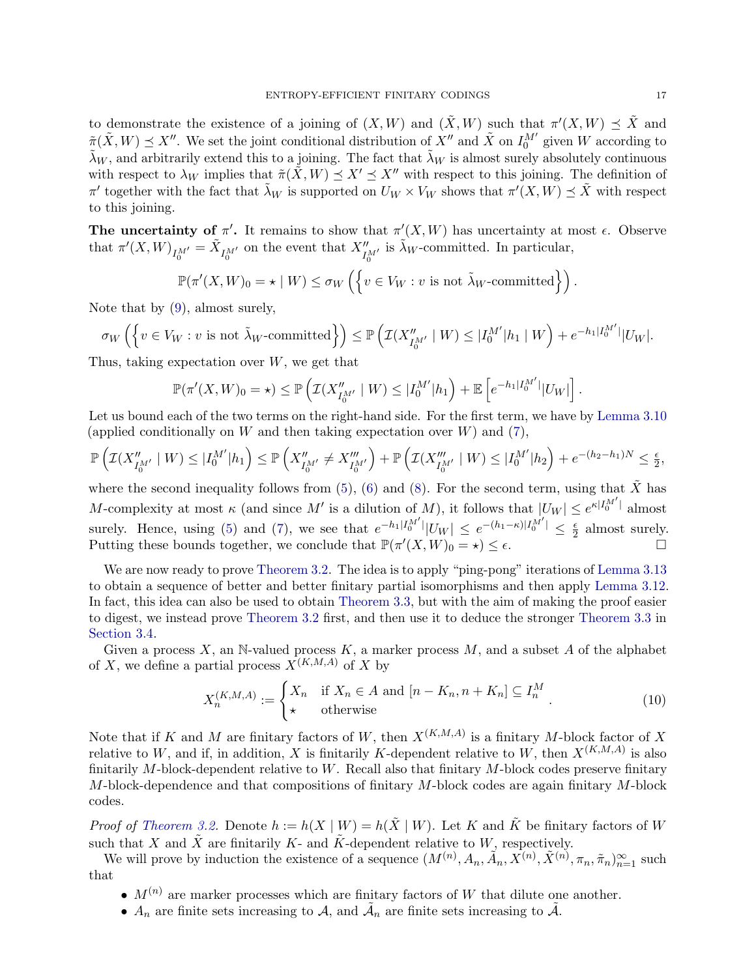to demonstrate the existence of a joining of  $(X, W)$  and  $(\tilde{X}, W)$  such that  $\pi'(X, W) \preceq \tilde{X}$  and  $\tilde{\pi}(\tilde{X}, W) \preceq X''$ . We set the joint conditional distribution of  $X''$  and  $\tilde{X}$  on  $I_0^{M'}$  given W according to  $\tilde{\lambda}_W$ , and arbitrarily extend this to a joining. The fact that  $\tilde{\lambda}_W$  is almost surely absolutely continuous with respect to  $\lambda_W$  implies that  $\tilde{\pi}(\tilde{X}, W) \preceq X' \preceq X''$  with respect to this joining. The definition of  $\pi'$  together with the fact that  $\tilde{\lambda}_W$  is supported on  $U_W \times V_W$  shows that  $\pi'(X, W) \preceq \tilde{X}$  with respect to this joining.

The uncertainty of  $\pi'$ . It remains to show that  $\pi'(X, W)$  has uncertainty at most  $\epsilon$ . Observe that  $\pi'(X, W)_{I_0^M} = \tilde{X}_{I_0^M}$  on the event that  $X''_{I_0^M}$  is  $\tilde{\lambda}_W$ -committed. In particular,

$$
\mathbb{P}(\pi'(X,W)_0 = \star \mid W) \le \sigma_W \left( \left\{ v \in V_W : v \text{ is not } \tilde{\lambda}_W\text{-committed} \right\} \right).
$$

Note that by [\(9\)](#page-15-0), almost surely,

$$
\sigma_W\left(\left\{v \in V_W : v \text{ is not } \tilde{\lambda}_W\text{-committed}\right\}\right) \leq \mathbb{P}\left(\mathcal{I}(X''_{I_0^{M'}} \mid W) \leq |I_0^{M'}|h_1 \mid W\right) + e^{-h_1|I_0^{M'}|}|U_W|.
$$

Thus, taking expectation over  $W$ , we get that

$$
\mathbb{P}(\pi'(X,W)_0 = \star) \le \mathbb{P}\left(\mathcal{I}(X''_{I_0^{M'}} \mid W) \le |I_0^{M'}| h_1\right) + \mathbb{E}\left[e^{-h_1|I_0^{M'}|} |U_W|\right]
$$

Let us bound each of the two terms on the right-hand side. For the first term, we have by [Lemma 3.10](#page-10-1) (applied conditionally on W and then taking expectation over  $W$ ) and  $(7)$ ,

$$
\mathbb{P}\left(\mathcal{I}(X''_{I_0^{M'}}\mid W) \leq |I_0^{M'}| h_1\right) \leq \mathbb{P}\left(X''_{I_0^{M'}} \neq X'''_{I_0^{M'}}\right) + \mathbb{P}\left(\mathcal{I}(X'''_{I_0^{M'}}\mid W) \leq |I_0^{M'}| h_2\right) + e^{-(h_2 - h_1)N} \leq \frac{\epsilon}{2},
$$

where the second inequality follows from  $(5)$ ,  $(6)$  and  $(8)$ . For the second term, using that X has M-complexity at most  $\kappa$  (and since M' is a dilution of M), it follows that  $|U_W| \leq e^{\kappa |I_0^M|}$  almost surely. Hence, using [\(5\)](#page-14-1) and [\(7\)](#page-14-2), we see that  $e^{-h_1|I_0^{M'}|} |U_W| \le e^{-(h_1 - \kappa)|I_0^{M'}|} \le \frac{\epsilon}{2}$  $\frac{\epsilon}{2}$  almost surely. Putting these bounds together, we conclude that  $\mathbb{P}(\pi'(X,W)_0 = \star) \leq \epsilon$ .

We are now ready to prove [Theorem 3.2.](#page-6-1) The idea is to apply "ping-pong" iterations of [Lemma 3.13](#page-13-1) to obtain a sequence of better and better finitary partial isomorphisms and then apply [Lemma 3.12.](#page-12-2) In fact, this idea can also be used to obtain [Theorem 3.3,](#page-7-1) but with the aim of making the proof easier to digest, we instead prove [Theorem 3.2](#page-6-1) first, and then use it to deduce the stronger [Theorem 3.3](#page-7-1) in [Section 3.4.](#page-17-0)

Given a process  $X$ , an N-valued process  $K$ , a marker process  $M$ , and a subset  $A$  of the alphabet of X, we define a partial process  $X^{(K,M,A)}$  of X by

$$
X_n^{(K,M,A)} := \begin{cases} X_n & \text{if } X_n \in A \text{ and } [n - K_n, n + K_n] \subseteq I_n^M \\ \star & \text{otherwise} \end{cases}
$$
(10)

Note that if K and M are finitary factors of W, then  $X^{(K,M,A)}$  is a finitary M-block factor of X relative to W, and if, in addition, X is finitarily K-dependent relative to W, then  $X^{(K,M,A)}$  is also finitarily  $M$ -block-dependent relative to  $W$ . Recall also that finitary  $M$ -block codes preserve finitary  $M$ -block-dependence and that compositions of finitary  $M$ -block codes are again finitary  $M$ -block codes.

*Proof of [Theorem 3.2.](#page-6-1)* Denote  $h := h(X | W) = h(\tilde{X} | W)$ . Let K and  $\tilde{K}$  be finitary factors of W such that X and  $\tilde{X}$  are finitarily K- and  $\tilde{K}$ -dependent relative to W, respectively.

We will prove by induction the existence of a sequence  $(M^{(n)}, A_n, \tilde{A}_n, \tilde{X}^{(n)}, \tilde{X}^{(n)}, \pi_n, \tilde{\pi}_n)_{n=1}^{\infty}$  such that

- $M^{(n)}$  are marker processes which are finitary factors of W that dilute one another.
- $A_n$  are finite sets increasing to  $A$ , and  $\tilde{A}_n$  are finite sets increasing to  $\tilde{A}$ .

.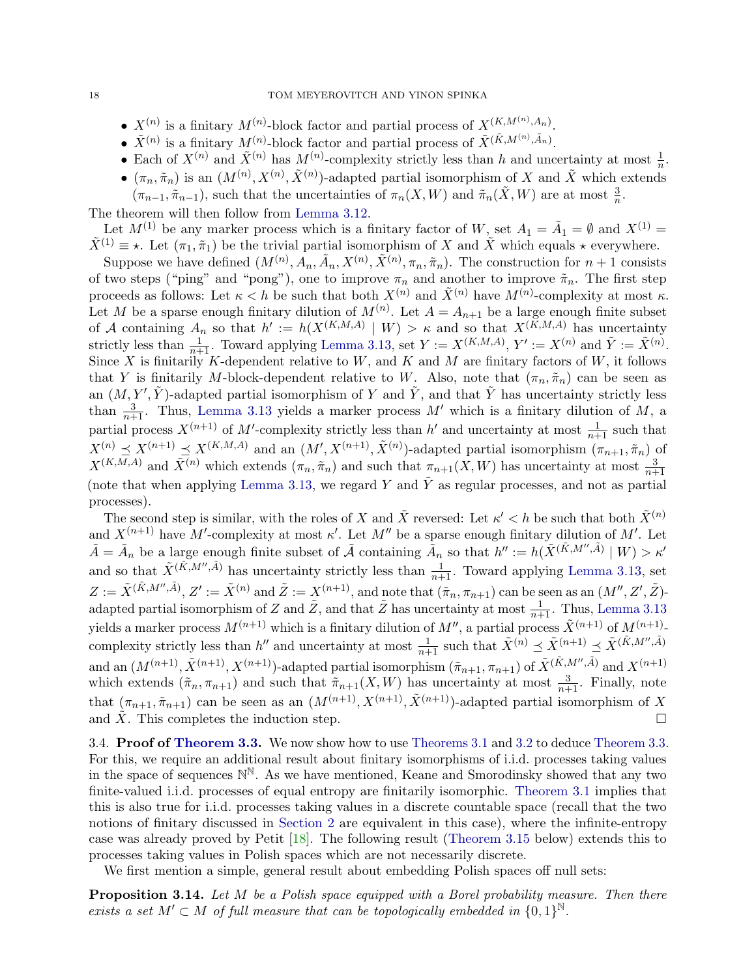- $X^{(n)}$  is a finitary  $M^{(n)}$ -block factor and partial process of  $X^{(K,M^{(n)},A_n)}$ .
- $\tilde{X}^{(n)}$  is a finitary  $M^{(n)}$ -block factor and partial process of  $\tilde{X}^{(\tilde{K},M^{(n)},\tilde{A}_n)}$ .
- Each of  $X^{(n)}$  and  $\tilde{X}^{(n)}$  has  $M^{(n)}$ -complexity strictly less than h and uncertainty at most  $\frac{1}{n}$ .
- $(\pi_n, \tilde{\pi}_n)$  is an  $(M^{(n)}, X^{(n)}, \tilde{X}^{(n)})$ -adapted partial isomorphism of X and X which extends  $(\pi_{n-1}, \tilde{\pi}_{n-1})$ , such that the uncertainties of  $\pi_n(X, W)$  and  $\tilde{\pi}_n(\tilde{X}, W)$  are at most  $\frac{3}{n}$ .

The theorem will then follow from [Lemma 3.12.](#page-12-2)

Let  $M^{(1)}$  be any marker process which is a finitary factor of W, set  $A_1 = \tilde{A}_1 = \emptyset$  and  $X^{(1)} =$  $\tilde{X}^{(1)} \equiv \star$ . Let  $(\pi_1, \tilde{\pi}_1)$  be the trivial partial isomorphism of X and  $\tilde{X}$  which equals  $\star$  everywhere.

Suppose we have defined  $(M^{(n)}, A_n, \tilde{A}_n, X^{(n)}, \tilde{X}^{(n)}, \pi_n, \tilde{\pi}_n)$ . The construction for  $n+1$  consists of two steps ("ping" and "pong"), one to improve  $\pi_n$  and another to improve  $\tilde{\pi}_n$ . The first step proceeds as follows: Let  $\kappa < h$  be such that both  $X^{(n)}$  and  $\tilde{X}^{(n)}$  have  $M^{(n)}$ -complexity at most  $\kappa$ . Let M be a sparse enough finitary dilution of  $M^{(n)}$ . Let  $A = A_{n+1}$  be a large enough finite subset of A containing  $A_n$  so that  $h' := h(X^{(K,M,A)} | W) > \kappa$  and so that  $X^{(K,M,A)}$  has uncertainty strictly less than  $\frac{1}{n+1}$ . Toward applying [Lemma 3.13,](#page-13-1) set  $Y := X^{(K,M,A)}, Y' := X^{(n)}$  and  $\tilde{Y} := \tilde{X}^{(n)}$ . Since X is finitarily K-dependent relative to  $W$ , and  $K$  and  $M$  are finitary factors of  $W$ , it follows that Y is finitarily M-block-dependent relative to W. Also, note that  $(\pi_n, \tilde{\pi}_n)$  can be seen as an  $(M, Y', \tilde{Y})$ -adapted partial isomorphism of Y and  $\tilde{Y}$ , and that  $\tilde{Y}$  has uncertainty strictly less than  $\frac{3}{n+1}$ . Thus, [Lemma 3.13](#page-13-1) yields a marker process M' which is a finitary dilution of M, a partial process  $X^{(n+1)}$  of M'-complexity strictly less than h' and uncertainty at most  $\frac{1}{n+1}$  such that  $X^{(n)} \preceq X^{(n+1)} \preceq X^{(K,M,A)}$  and an  $(M', X^{(n+1)}, \tilde{X}^{(n)})$ -adapted partial isomorphism  $(\pi_{n+1}, \tilde{\pi}_n)$  of  $X^{(K,M,A)}$  and  $\tilde{X}^{(n)}$  which extends  $(\pi_n, \tilde{\pi}_n)$  and such that  $\pi_{n+1}(X, W)$  has uncertainty at most  $\frac{3}{n+1}$ (note that when applying [Lemma 3.13,](#page-13-1) we regard Y and  $\tilde{Y}$  as regular processes, and not as partial processes).

The second step is similar, with the roles of X and  $\tilde{X}$  reversed: Let  $\kappa' < h$  be such that both  $\tilde{X}^{(n)}$ and  $X^{(n+1)}$  have M'-complexity at most  $\kappa'$ . Let M'' be a sparse enough finitary dilution of M'. Let  $\tilde{A} = \tilde{A}_n$  be a large enough finite subset of  $\tilde{A}$  containing  $\tilde{A}_n$  so that  $h'':= h(\tilde{X}^{(\tilde{K},M'',\tilde{A})} | W) > \kappa'$ and so that  $\tilde{X}^{(\tilde{K},M'',\tilde{A})}$  has uncertainty strictly less than  $\frac{1}{n+1}$ . Toward applying [Lemma 3.13,](#page-13-1) set  $Z := \tilde{X}^{(\tilde{K},M'',\tilde{A})}, Z' := \tilde{X}^{(n)}$  and  $\tilde{Z} := X^{(n+1)}$ , and note that  $(\tilde{\pi}_n, \pi_{n+1})$  can be seen as an  $(M'', Z', \tilde{Z})$ adapted partial isomorphism of Z and  $\tilde{Z}$ , and that  $\tilde{Z}$  has uncertainty at most  $\frac{1}{n+1}$ . Thus, [Lemma 3.13](#page-13-1) yields a marker process  $M^{(n+1)}$  which is a finitary dilution of  $M''$ , a partial process  $\tilde{X}^{(n+1)}$  of  $M^{(n+1)}$ . complexity strictly less than h'' and uncertainty at most  $\frac{1}{n+1}$  such that  $\tilde{X}^{(n)} \preceq \tilde{X}^{(n+1)} \preceq \tilde{X}^{(\tilde{K},M'',\tilde{A})}$ and an  $(M^{(n+1)}, \tilde{X}^{(n+1)}, X^{(n+1)})$ -adapted partial isomorphism  $(\tilde{\pi}_{n+1}, \pi_{n+1})$  of  $\tilde{X}^{(\tilde{K}, M'', \tilde{A})}$  and  $X^{(n+1)}$ which extends  $(\tilde{\pi}_n, \pi_{n+1})$  and such that  $\tilde{\pi}_{n+1}(X, W)$  has uncertainty at most  $\frac{3}{n+1}$ . Finally, note that  $(\pi_{n+1}, \tilde{\pi}_{n+1})$  can be seen as an  $(M^{(n+1)}, X^{(n+1)}, \tilde{X}^{(n+1)})$ -adapted partial isomorphism of X and  $\tilde{X}$ . This completes the induction step.

<span id="page-17-0"></span>3.4. Proof of [Theorem 3.3.](#page-7-1) We now show how to use [Theorems 3.1](#page-6-0) and [3.2](#page-6-1) to deduce [Theorem 3.3.](#page-7-1) For this, we require an additional result about finitary isomorphisms of i.i.d. processes taking values in the space of sequences  $\mathbb{N}^{\mathbb{N}}$ . As we have mentioned, Keane and Smorodinsky showed that any two finite-valued i.i.d. processes of equal entropy are finitarily isomorphic. [Theorem 3.1](#page-6-0) implies that this is also true for i.i.d. processes taking values in a discrete countable space (recall that the two notions of finitary discussed in [Section 2](#page-3-0) are equivalent in this case), where the infinite-entropy case was already proved by Petit [\[18\]](#page-36-4). The following result [\(Theorem 3.15](#page-18-0) below) extends this to processes taking values in Polish spaces which are not necessarily discrete.

We first mention a simple, general result about embedding Polish spaces off null sets:

<span id="page-17-1"></span>**Proposition 3.14.** Let  $M$  be a Polish space equipped with a Borel probability measure. Then there exists a set  $M' \subset M$  of full measure that can be topologically embedded in  $\{0,1\}^{\mathbb{N}}$ .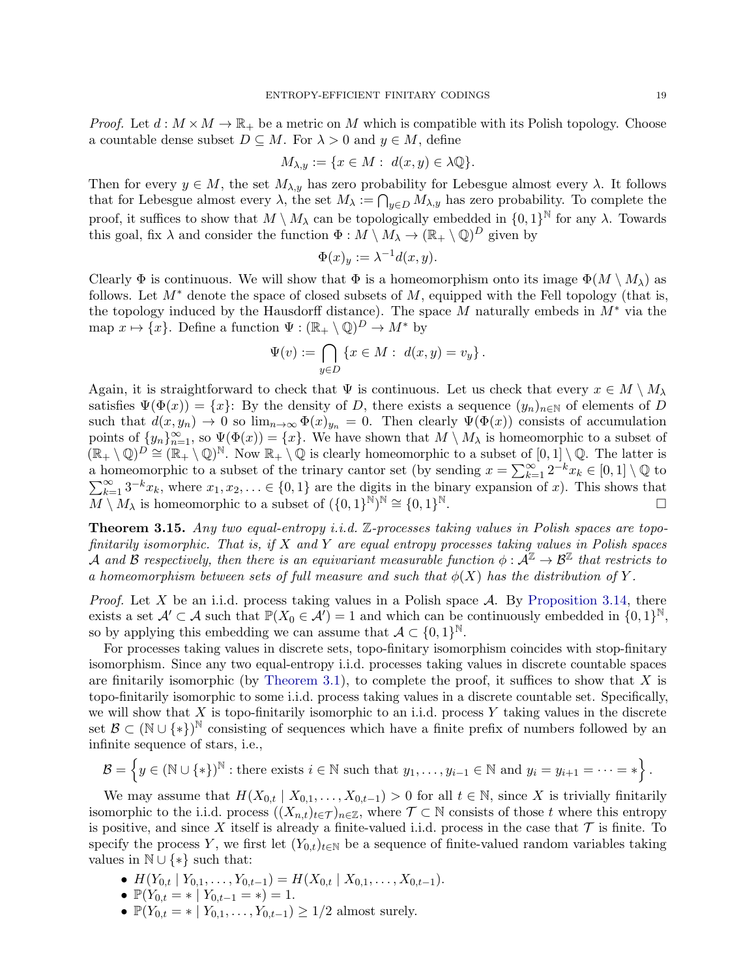*Proof.* Let  $d : M \times M \to \mathbb{R}_+$  be a metric on M which is compatible with its Polish topology. Choose a countable dense subset  $D \subseteq M$ . For  $\lambda > 0$  and  $y \in M$ , define

$$
M_{\lambda,y} := \{ x \in M : d(x,y) \in \lambda \mathbb{Q} \}.
$$

Then for every  $y \in M$ , the set  $M_{\lambda,y}$  has zero probability for Lebesgue almost every  $\lambda$ . It follows that for Lebesgue almost every  $\lambda$ , the set  $M_{\lambda} := \bigcap_{y \in D} M_{\lambda,y}$  has zero probability. To complete the proof, it suffices to show that  $M \setminus M_\lambda$  can be topologically embedded in  $\{0,1\}^{\mathbb{N}}$  for any  $\lambda$ . Towards this goal, fix  $\lambda$  and consider the function  $\Phi: M \setminus M_\lambda \to (\mathbb{R}_+ \setminus \mathbb{Q})^D$  given by

$$
\Phi(x)_y := \lambda^{-1} d(x, y).
$$

Clearly  $\Phi$  is continuous. We will show that  $\Phi$  is a homeomorphism onto its image  $\Phi(M \setminus M_\lambda)$  as follows. Let  $M^*$  denote the space of closed subsets of M, equipped with the Fell topology (that is, the topology induced by the Hausdorff distance). The space M naturally embeds in  $M^*$  via the map  $x \mapsto \{x\}$ . Define a function  $\Psi : (\mathbb{R}_+ \setminus \mathbb{Q})^D \to M^*$  by

$$
\Psi(v) := \bigcap_{y \in D} \{ x \in M : d(x, y) = v_y \}.
$$

Again, it is straightforward to check that  $\Psi$  is continuous. Let us check that every  $x \in M \setminus M_\lambda$ satisfies  $\Psi(\Phi(x)) = \{x\}$ : By the density of D, there exists a sequence  $(y_n)_{n\in\mathbb{N}}$  of elements of D such that  $d(x, y_n) \to 0$  so  $\lim_{n\to\infty} \Phi(x)_{y_n} = 0$ . Then clearly  $\Psi(\Phi(x))$  consists of accumulation points of  $\{y_n\}_{n=1}^{\infty}$ , so  $\Psi(\Phi(x)) = \{x\}$ . We have shown that  $M \setminus M_\lambda$  is homeomorphic to a subset of  $(\mathbb{R}_+ \setminus \mathbb{Q})^D \cong (\mathbb{R}_+ \setminus \mathbb{Q})^{\mathbb{N}}$ . Now  $\mathbb{R}_+ \setminus \mathbb{Q}$  is clearly homeomorphic to a subset of  $[0,1] \setminus \mathbb{Q}$ . The latter is a homeomorphic to a subset of the trinary cantor set (by sending  $x = \sum_{k=1}^{\infty} 2^{-k} x_k \in [0,1] \setminus \mathbb{Q}$  to  $\sum_{k=1}^{\infty} 3^{-k}x_k$ , where  $x_1, x_2, \ldots \in \{0, 1\}$  are the digits in the binary expansion of x). This shows that  $M \setminus M_\lambda$  is homeomorphic to a subset of  $(\{0,1\}^{\mathbb{N}})^{\mathbb{N}} \cong \{0,1\}$ N.

<span id="page-18-0"></span>**Theorem 3.15.** Any two equal-entropy i.i.d.  $\mathbb{Z}$ -processes taking values in Polish spaces are topofinitarily isomorphic. That is, if  $X$  and  $Y$  are equal entropy processes taking values in Polish spaces A and B respectively, then there is an equivariant measurable function  $\phi : \tilde{\mathcal{A}}^{\mathbb{Z}} \to \mathcal{B}^{\mathbb{Z}}$  that restricts to a homeomorphism between sets of full measure and such that  $\phi(X)$  has the distribution of Y.

*Proof.* Let X be an i.i.d. process taking values in a Polish space  $A$ . By [Proposition 3.14,](#page-17-1) there exists a set  $\mathcal{A}' \subset \mathcal{A}$  such that  $\mathbb{P}(X_0 \in \mathcal{A}') = 1$  and which can be continuously embedded in  $\{0,1\}^{\mathbb{N}},$ so by applying this embedding we can assume that  $A \subset \{0,1\}^{\mathbb{N}}$ .

For processes taking values in discrete sets, topo-finitary isomorphism coincides with stop-finitary isomorphism. Since any two equal-entropy i.i.d. processes taking values in discrete countable spaces are finitarily isomorphic (by [Theorem 3.1\)](#page-6-0), to complete the proof, it suffices to show that  $X$  is topo-finitarily isomorphic to some i.i.d. process taking values in a discrete countable set. Specifically, we will show that X is topo-finitarily isomorphic to an i.i.d. process Y taking values in the discrete set  $\mathcal{B} \subset (\mathbb{N} \cup \{*\})^{\mathbb{N}}$  consisting of sequences which have a finite prefix of numbers followed by an infinite sequence of stars, i.e.,

$$
\mathcal{B} = \left\{ y \in (\mathbb{N} \cup \{*\})^{\mathbb{N}} : \text{there exists } i \in \mathbb{N} \text{ such that } y_1, \dots, y_{i-1} \in \mathbb{N} \text{ and } y_i = y_{i+1} = \dots = * \right\}.
$$

We may assume that  $H(X_{0,t} | X_{0,1},...,X_{0,t-1}) > 0$  for all  $t \in \mathbb{N}$ , since X is trivially finitarily isomorphic to the i.i.d. process  $((X_{n,t})_{t\in\mathcal{T}})_{n\in\mathbb{Z}}$ , where  $\mathcal{T}\subset\mathbb{N}$  consists of those t where this entropy is positive, and since X itself is already a finite-valued i.i.d. process in the case that  $\mathcal T$  is finite. To specify the process Y, we first let  $(Y_{0,t})_{t\in\mathbb{N}}$  be a sequence of finite-valued random variables taking values in  $\mathbb{N} \cup \{*\}$  such that:

- $H(Y_{0,t} | Y_{0,1}, \ldots, Y_{0,t-1}) = H(X_{0,t} | X_{0,1}, \ldots, X_{0,t-1}).$
- $\mathbb{P}(Y_{0,t} = * | Y_{0,t-1} = *) = 1.$
- $\mathbb{P}(Y_{0,t} = * | Y_{0,1}, \ldots, Y_{0,t-1}) \geq 1/2$  almost surely.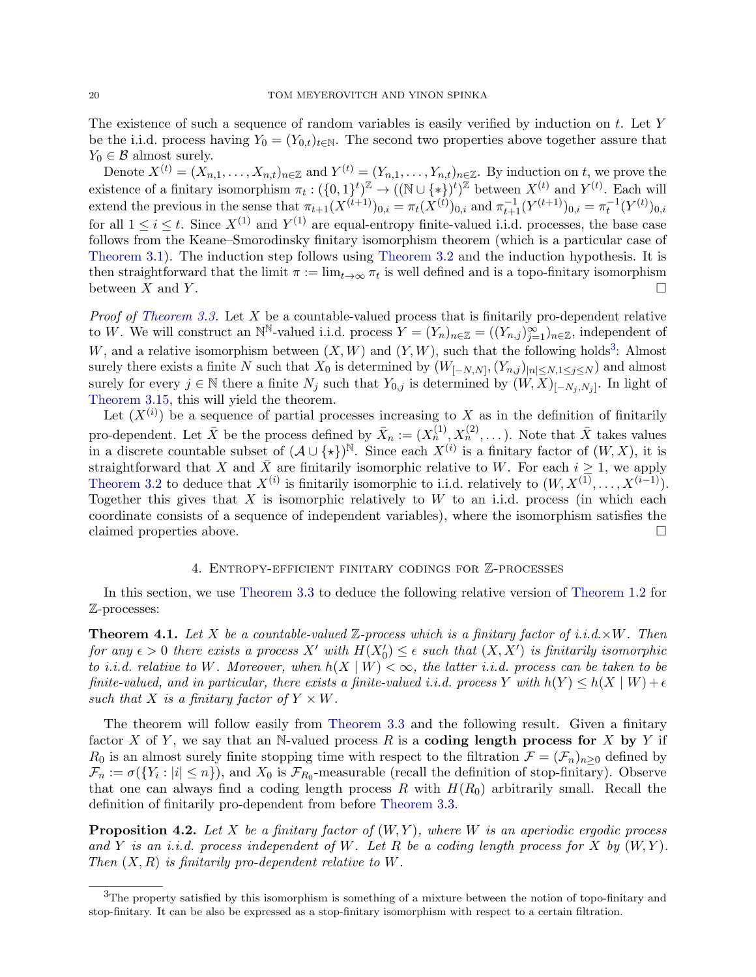The existence of such a sequence of random variables is easily verified by induction on  $t$ . Let Y be the i.i.d. process having  $Y_0 = (Y_{0,t})_{t \in \mathbb{N}}$ . The second two properties above together assure that  $Y_0 \in \mathcal{B}$  almost surely.

Denote  $X^{(t)} = (X_{n,1}, \ldots, X_{n,t})_{n \in \mathbb{Z}}$  and  $Y^{(t)} = (Y_{n,1}, \ldots, Y_{n,t})_{n \in \mathbb{Z}}$ . By induction on t, we prove the existence of a finitary isomorphism  $\pi_t: (\{0,1\}^t)^{\mathbb{Z}} \to ((\mathbb{N} \cup \{*\})^t)^{\mathbb{Z}}$  between  $X^{(t)}$  and  $Y^{(t)}$ . Each will extend the previous in the sense that  $\pi_{t+1}(X^{(t+1)})_{0,i} = \pi_t(X^{(t)})_{0,i}$  and  $\pi_{t+1}^{-1}(Y^{(t+1)})_{0,i} = \pi_t^{-1}(Y^{(t)})_{0,i}$ for all  $1 \leq i \leq t$ . Since  $X^{(1)}$  and  $Y^{(1)}$  are equal-entropy finite-valued i.i.d. processes, the base case follows from the Keane–Smorodinsky finitary isomorphism theorem (which is a particular case of [Theorem 3.1\)](#page-6-0). The induction step follows using [Theorem 3.2](#page-6-1) and the induction hypothesis. It is then straightforward that the limit  $\pi := \lim_{t \to \infty} \pi_t$  is well defined and is a topo-finitary isomorphism between X and Y.

*Proof of [Theorem 3.3.](#page-7-1)* Let  $X$  be a countable-valued process that is finitarily pro-dependent relative to W. We will construct an N<sup>N</sup>-valued i.i.d. process  $Y = (Y_n)_{n \in \mathbb{Z}} = ((Y_{n,j})_{j=1}^{\infty})_{n \in \mathbb{Z}}$ , independent of W, and a relative isomorphism between  $(X, W)$  and  $(Y, W)$ , such that the following holds<sup>[3](#page-19-1)</sup>: Almost surely there exists a finite N such that  $X_0$  is determined by  $(W_{[-N,N]},(Y_{n,j})_{|n|\leq N,1\leq j\leq N})$  and almost surely for every  $j \in \mathbb{N}$  there a finite  $N_j$  such that  $Y_{0,j}$  is determined by  $(W, \overline{X})_{[-N_j, N_j]}$ . In light of [Theorem 3.15,](#page-18-0) this will yield the theorem.

Let  $(X^{(i)})$  be a sequence of partial processes increasing to X as in the definition of finitarily pro-dependent. Let  $\bar{X}$  be the process defined by  $\bar{X}_n := (X_n^{(1)}, X_n^{(2)}, \dots)$ . Note that  $\bar{X}$  takes values in a discrete countable subset of  $({\cal A} \cup {\{\star\}})^{\mathbb{N}}$ . Since each  $X^{(i)}$  is a finitary factor of  $(W, X)$ , it is straightforward that X and  $\bar{X}$  are finitarily isomorphic relative to W. For each  $i \geq 1$ , we apply [Theorem 3.2](#page-6-1) to deduce that  $X^{(i)}$  is finitarily isomorphic to i.i.d. relatively to  $(W, X^{(1)}, \ldots, X^{(i-1)})$ . Together this gives that  $X$  is isomorphic relatively to  $W$  to an i.i.d. process (in which each coordinate consists of a sequence of independent variables), where the isomorphism satisfies the claimed properties above.

#### 4. Entropy-efficient finitary codings for Z-processes

<span id="page-19-0"></span>In this section, we use [Theorem 3.3](#page-7-1) to deduce the following relative version of [Theorem 1.2](#page-1-0) for Z-processes:

<span id="page-19-3"></span>**Theorem 4.1.** Let X be a countable-valued Z-process which is a finitary factor of i.i.d. $\times W$ . Then for any  $\epsilon > 0$  there exists a process X' with  $H(X'_0) \leq \epsilon$  such that  $(X, X')$  is finitarily isomorphic to i.i.d. relative to W. Moreover, when  $h(X | W) < \infty$ , the latter i.i.d. process can be taken to be finite-valued, and in particular, there exists a finite-valued i.i.d. process Y with  $h(Y) \leq h(X \mid W) + \epsilon$ such that X is a finitary factor of  $Y \times W$ .

The theorem will follow easily from [Theorem 3.3](#page-7-1) and the following result. Given a finitary factor X of Y, we say that an N-valued process R is a coding length process for X by Y if  $R_0$  is an almost surely finite stopping time with respect to the filtration  $\mathcal{F} = (\mathcal{F}_n)_{n\geq 0}$  defined by  $\mathcal{F}_n := \sigma(\{Y_i : |i| \leq n\}),$  and  $X_0$  is  $\mathcal{F}_{R_0}$ -measurable (recall the definition of stop-finitary). Observe that one can always find a coding length process R with  $H(R_0)$  arbitrarily small. Recall the definition of finitarily pro-dependent from before [Theorem 3.3.](#page-7-1)

<span id="page-19-2"></span>**Proposition 4.2.** Let X be a finitary factor of  $(W, Y)$ , where W is an aperiodic ergodic process and Y is an i.i.d. process independent of W. Let R be a coding length process for X by  $(W, Y)$ . Then  $(X, R)$  is finitarily pro-dependent relative to W.

<span id="page-19-1"></span><sup>&</sup>lt;sup>3</sup>The property satisfied by this isomorphism is something of a mixture between the notion of topo-finitary and stop-finitary. It can be also be expressed as a stop-finitary isomorphism with respect to a certain filtration.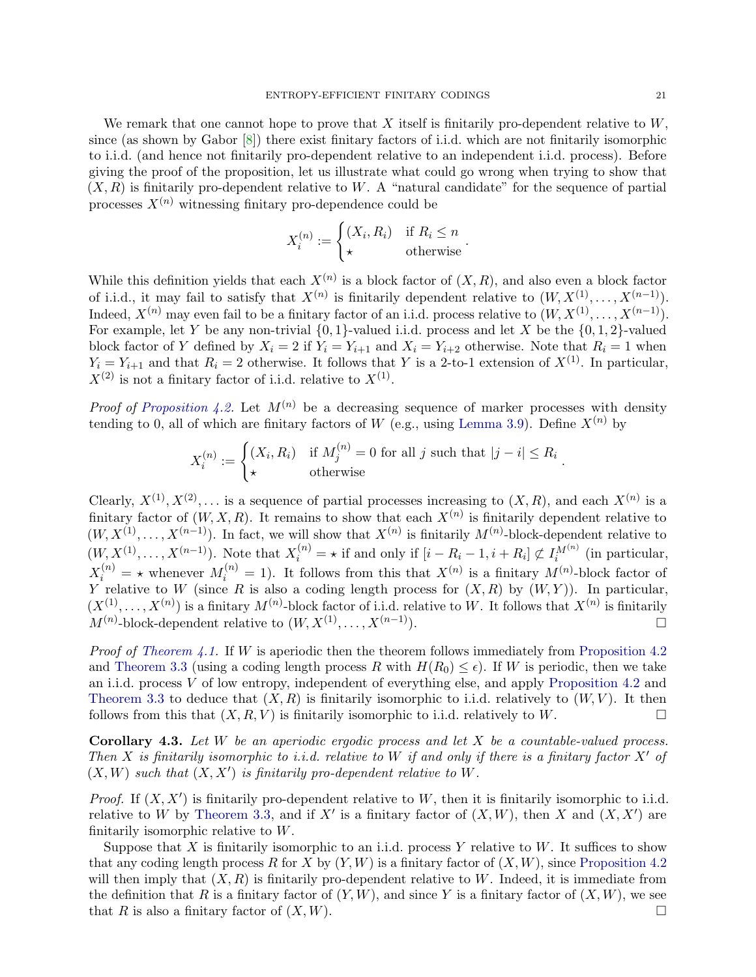We remark that one cannot hope to prove that X itself is finitarily pro-dependent relative to  $W$ , since (as shown by Gabor  $[8]$ ) there exist finitary factors of i.i.d. which are not finitarily isomorphic to i.i.d. (and hence not finitarily pro-dependent relative to an independent i.i.d. process). Before giving the proof of the proposition, let us illustrate what could go wrong when trying to show that  $(X, R)$  is finitarily pro-dependent relative to W. A "natural candidate" for the sequence of partial processes  $X^{(n)}$  witnessing finitary pro-dependence could be

$$
X_i^{(n)} := \begin{cases} (X_i, R_i) & \text{if } R_i \le n \\ \star & \text{otherwise} \end{cases}.
$$

While this definition yields that each  $X^{(n)}$  is a block factor of  $(X, R)$ , and also even a block factor of i.i.d., it may fail to satisfy that  $X^{(n)}$  is finitarily dependent relative to  $(W, X^{(1)}, \ldots, X^{(n-1)})$ . Indeed,  $X^{(n)}$  may even fail to be a finitary factor of an i.i.d. process relative to  $(W, X^{(1)}, \ldots, X^{(n-1)})$ . For example, let Y be any non-trivial  $\{0,1\}$ -valued i.i.d. process and let X be the  $\{0,1,2\}$ -valued block factor of Y defined by  $X_i = 2$  if  $Y_i = Y_{i+1}$  and  $X_i = Y_{i+2}$  otherwise. Note that  $R_i = 1$  when  $Y_i = Y_{i+1}$  and that  $R_i = 2$  otherwise. It follows that Y is a 2-to-1 extension of  $X^{(1)}$ . In particular,  $X^{(2)}$  is not a finitary factor of i.i.d. relative to  $X^{(1)}$ .

*Proof of [Proposition 4.2.](#page-19-2)* Let  $M^{(n)}$  be a decreasing sequence of marker processes with density tending to 0, all of which are finitary factors of W (e.g., using [Lemma 3.9\)](#page-10-0). Define  $X^{(n)}$  by

$$
X_i^{(n)} := \begin{cases} (X_i, R_i) & \text{if } M_j^{(n)} = 0 \text{ for all } j \text{ such that } |j - i| \le R_i \\ \star & \text{otherwise} \end{cases}
$$

Clearly,  $X^{(1)}, X^{(2)}, \ldots$  is a sequence of partial processes increasing to  $(X, R)$ , and each  $X^{(n)}$  is a finitary factor of  $(W, X, R)$ . It remains to show that each  $X^{(n)}$  is finitarily dependent relative to  $(W, X^{(1)}, \ldots, X^{(n-1)})$ . In fact, we will show that  $X^{(n)}$  is finitarily  $M^{(n)}$ -block-dependent relative to  $(W, X^{(1)}, \ldots, X^{(n-1)})$ . Note that  $X_i^{(n)} = \star$  if and only if  $[i - R_i - 1, i + R_i] \not\subset I_i^{M^{(n)}}$  (in particular,  $X_i^{(n)} = \star$  whenever  $M_i^{(n)} = 1$ . It follows from this that  $X^{(n)}$  is a finitary  $M^{(n)}$ -block factor of  $\overline{Y}^i$  relative to W (since R is also a coding length process for  $(X, R)$  by  $(W, Y)$ ). In particular,  $(X^{(1)},\ldots,X^{(n)})$  is a finitary  $M^{(n)}$ -block factor of i.i.d. relative to W. It follows that  $X^{(n)}$  is finitarily  $M^{(n)}$ -block-dependent relative to  $(W, X^{(1)}, \ldots, X^{(n-1)})$ .

Proof of [Theorem 4.1.](#page-19-3) If W is aperiodic then the theorem follows immediately from [Proposition 4.2](#page-19-2) and [Theorem 3.3](#page-7-1) (using a coding length process R with  $H(R_0) \leq \epsilon$ ). If W is periodic, then we take an i.i.d. process V of low entropy, independent of everything else, and apply [Proposition 4.2](#page-19-2) and [Theorem 3.3](#page-7-1) to deduce that  $(X, R)$  is finitarily isomorphic to i.i.d. relatively to  $(W, V)$ . It then follows from this that  $(X, R, V)$  is finitarily isomorphic to i.i.d. relatively to W.

**Corollary 4.3.** Let  $W$  be an aperiodic ergodic process and let  $X$  be a countable-valued process. Then X is finitarily isomorphic to i.i.d. relative to W if and only if there is a finitary factor X' of  $(X, W)$  such that  $(X, X')$  is finitarily pro-dependent relative to W.

*Proof.* If  $(X, X')$  is finitarily pro-dependent relative to W, then it is finitarily isomorphic to i.i.d. relative to W by [Theorem 3.3,](#page-7-1) and if X' is a finitary factor of  $(X, W)$ , then X and  $(X, X')$  are finitarily isomorphic relative to W.

Suppose that X is finitarily isomorphic to an i.i.d. process Y relative to W. It suffices to show that any coding length process R for X by  $(Y, W)$  is a finitary factor of  $(X, W)$ , since [Proposition 4.2](#page-19-2) will then imply that  $(X, R)$  is finitarily pro-dependent relative to W. Indeed, it is immediate from the definition that R is a finitary factor of  $(Y, W)$ , and since Y is a finitary factor of  $(X, W)$ , we see that R is also a finitary factor of  $(X, W)$ .

.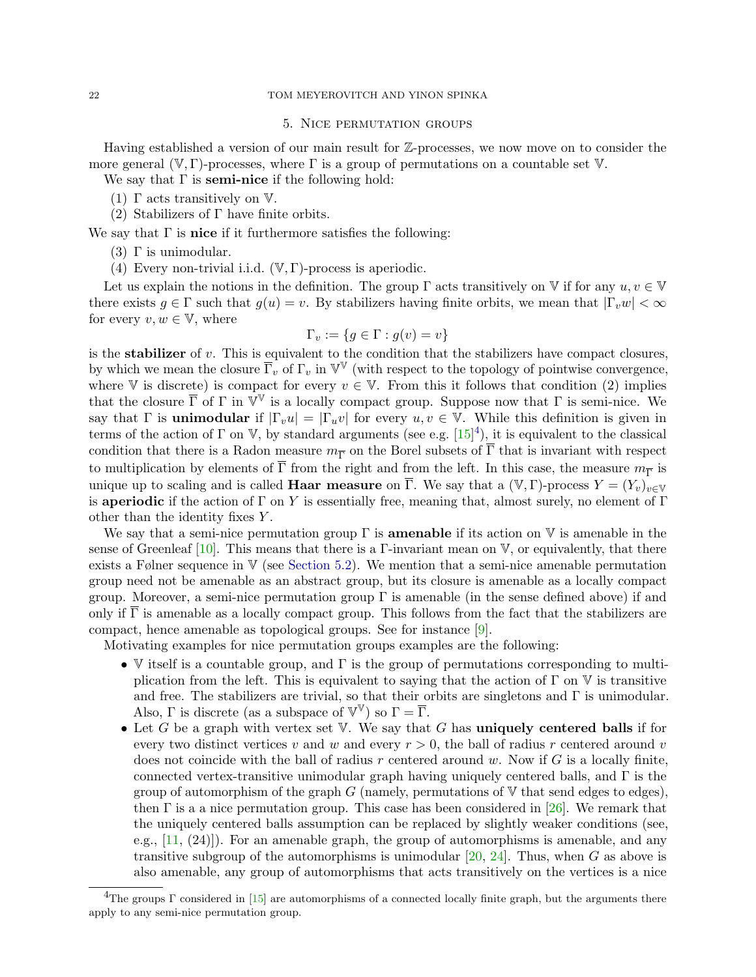#### 5. Nice permutation groups

<span id="page-21-0"></span>Having established a version of our main result for Z-processes, we now move on to consider the more general  $(V, \Gamma)$ -processes, where  $\Gamma$  is a group of permutations on a countable set V.

We say that  $\Gamma$  is **semi-nice** if the following hold:

- (1)  $\Gamma$  acts transitively on  $V$ .
- (2) Stabilizers of  $\Gamma$  have finite orbits.

We say that  $\Gamma$  is nice if it furthermore satisfies the following:

- (3)  $\Gamma$  is unimodular.
- (4) Every non-trivial i.i.d.  $(\mathbb{V}, \Gamma)$ -process is aperiodic.

Let us explain the notions in the definition. The group  $\Gamma$  acts transitively on  $\mathbb V$  if for any  $u, v \in \mathbb V$ there exists  $g \in \Gamma$  such that  $g(u) = v$ . By stabilizers having finite orbits, we mean that  $|\Gamma_v w| < \infty$ for every  $v, w \in V$ , where

$$
\Gamma_v := \{ g \in \Gamma : g(v) = v \}
$$

is the **stabilizer** of v. This is equivalent to the condition that the stabilizers have compact closures, by which we mean the closure  $\overline{\Gamma}_v$  of  $\Gamma_v$  in  $\mathbb{V}^{\mathbb{V}}$  (with respect to the topology of pointwise convergence, where V is discrete) is compact for every  $v \in V$ . From this it follows that condition (2) implies that the closure  $\bar{\Gamma}$  of  $\Gamma$  in  $\tilde{V}^{\mathbb{V}}$  is a locally compact group. Suppose now that  $\Gamma$  is semi-nice. We say that  $\Gamma$  is **unimodular** if  $|\Gamma_v u| = |\Gamma_u v|$  for every  $u, v \in \mathbb{V}$ . While this definition is given in terms of the action of  $\Gamma$  on V, by standard arguments (see e.g.  $[15]^4$  $[15]^4$ ), it is equivalent to the classical condition that there is a Radon measure  $m_{\overline{\Gamma}}$  on the Borel subsets of  $\Gamma$  that is invariant with respect to multiplication by elements of  $\Gamma$  from the right and from the left. In this case, the measure  $m_{\overline{\Gamma}}$  is unique up to scaling and is called **Haar measure** on  $\overline{\Gamma}$ . We say that a  $(\mathbb{V}, \Gamma)$ -process  $Y = (Y_v)_{v \in \mathbb{V}}$ is aperiodic if the action of  $\Gamma$  on Y is essentially free, meaning that, almost surely, no element of  $\Gamma$ other than the identity fixes Y .

We say that a semi-nice permutation group  $\Gamma$  is **amenable** if its action on  $V$  is amenable in the sense of Greenleaf [\[10\]](#page-35-8). This means that there is a Γ-invariant mean on  $V$ , or equivalently, that there exists a Følner sequence in  $V$  (see [Section 5.2\)](#page-23-1). We mention that a semi-nice amenable permutation group need not be amenable as an abstract group, but its closure is amenable as a locally compact group. Moreover, a semi-nice permutation group Γ is amenable (in the sense defined above) if and only if  $\overline{\Gamma}$  is amenable as a locally compact group. This follows from the fact that the stabilizers are compact, hence amenable as topological groups. See for instance [\[9\]](#page-35-9).

Motivating examples for nice permutation groups examples are the following:

- V itself is a countable group, and  $\Gamma$  is the group of permutations corresponding to multiplication from the left. This is equivalent to saying that the action of  $\Gamma$  on  $\mathbb V$  is transitive and free. The stabilizers are trivial, so that their orbits are singletons and  $\Gamma$  is unimodular. Also,  $\Gamma$  is discrete (as a subspace of  $\mathbb{V}^{\mathbb{V}}$ ) so  $\Gamma = \overline{\Gamma}$ .
- Let G be a graph with vertex set V. We say that G has **uniquely centered balls** if for every two distinct vertices v and w and every  $r > 0$ , the ball of radius r centered around v does not coincide with the ball of radius r centered around w. Now if  $G$  is a locally finite, connected vertex-transitive unimodular graph having uniquely centered balls, and  $\Gamma$  is the group of automorphism of the graph  $G$  (namely, permutations of  $V$  that send edges to edges), then  $\Gamma$  is a a nice permutation group. This case has been considered in [\[26\]](#page-36-5). We remark that the uniquely centered balls assumption can be replaced by slightly weaker conditions (see, e.g., [\[11,](#page-35-10) (24)]). For an amenable graph, the group of automorphisms is amenable, and any transitive subgroup of the automorphisms is unimodular  $[20, 24]$  $[20, 24]$ . Thus, when G as above is also amenable, any group of automorphisms that acts transitively on the vertices is a nice

<span id="page-21-1"></span><sup>&</sup>lt;sup>4</sup>The groups Γ considered in [\[15\]](#page-35-7) are automorphisms of a connected locally finite graph, but the arguments there apply to any semi-nice permutation group.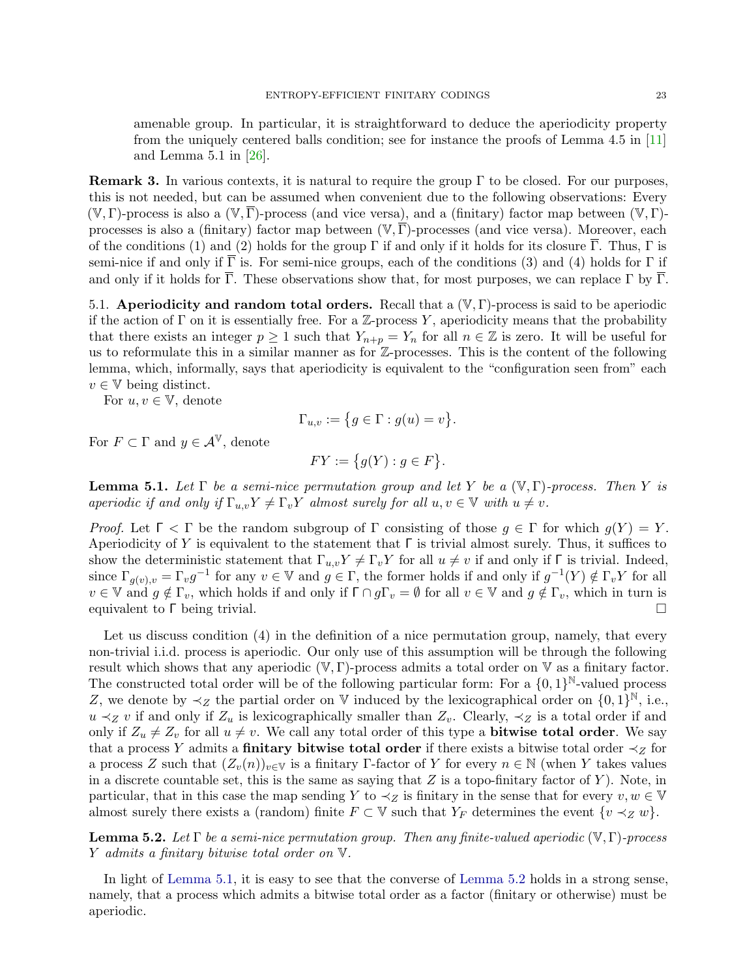amenable group. In particular, it is straightforward to deduce the aperiodicity property from the uniquely centered balls condition; see for instance the proofs of Lemma 4.5 in [\[11\]](#page-35-10) and Lemma 5.1 in [\[26\]](#page-36-5).

<span id="page-22-2"></span>**Remark 3.** In various contexts, it is natural to require the group  $\Gamma$  to be closed. For our purposes, this is not needed, but can be assumed when convenient due to the following observations: Every  $(\mathbb{V}, \Gamma)$ -process is also a  $(\mathbb{V}, \overline{\Gamma})$ -process (and vice versa), and a (finitary) factor map between  $(\mathbb{V}, \Gamma)$ processes is also a (finitary) factor map between  $(\mathbb{V}, \overline{\Gamma})$ -processes (and vice versa). Moreover, each of the conditions (1) and (2) holds for the group  $\Gamma$  if and only if it holds for its closure  $\Gamma$ . Thus,  $\Gamma$  is semi-nice if and only if  $\overline{\Gamma}$  is. For semi-nice groups, each of the conditions (3) and (4) holds for  $\Gamma$  if and only if it holds for  $\overline{\Gamma}$ . These observations show that, for most purposes, we can replace  $\Gamma$  by  $\overline{\Gamma}$ .

5.1. Aperiodicity and random total orders. Recall that a  $(\mathbb{V}, \Gamma)$ -process is said to be aperiodic if the action of  $\Gamma$  on it is essentially free. For a Z-process Y, aperiodicity means that the probability that there exists an integer  $p \ge 1$  such that  $Y_{n+p} = Y_n$  for all  $n \in \mathbb{Z}$  is zero. It will be useful for us to reformulate this in a similar manner as for Z-processes. This is the content of the following lemma, which, informally, says that aperiodicity is equivalent to the "configuration seen from" each  $v \in V$  being distinct.

For  $u, v \in \mathbb{V}$ , denote

$$
\Gamma_{u,v} := \{ g \in \Gamma : g(u) = v \}.
$$

For  $F \subset \Gamma$  and  $y \in \mathcal{A}^{\mathbb{V}}$ , denote

$$
FY := \{ g(Y) : g \in F \}.
$$

<span id="page-22-0"></span>**Lemma 5.1.** Let  $\Gamma$  be a semi-nice permutation group and let Y be a  $(\mathbb{V}, \Gamma)$ -process. Then Y is aperiodic if and only if  $\Gamma_{u,v} Y \neq \Gamma_v Y$  almost surely for all  $u, v \in V$  with  $u \neq v$ .

Proof. Let  $\Gamma$   $\subset$   $\Gamma$  be the random subgroup of  $\Gamma$  consisting of those  $g \in \Gamma$  for which  $g(Y) = Y$ . Aperiodicity of Y is equivalent to the statement that  $\Gamma$  is trivial almost surely. Thus, it suffices to show the deterministic statement that  $\Gamma_{u,v}Y \neq \Gamma_vY$  for all  $u \neq v$  if and only if  $\Gamma$  is trivial. Indeed, since  $\Gamma_{g(v),v} = \Gamma_v g^{-1}$  for any  $v \in V$  and  $g \in \Gamma$ , the former holds if and only if  $g^{-1}(Y) \notin \Gamma_v Y$  for all  $v \in \mathbb{V}$  and  $g \notin \Gamma_v$ , which holds if and only if  $\Gamma \cap g\Gamma_v = \emptyset$  for all  $v \in \mathbb{V}$  and  $g \notin \Gamma_v$ , which in turn is equivalent to Γ being trivial.

Let us discuss condition (4) in the definition of a nice permutation group, namely, that every non-trivial i.i.d. process is aperiodic. Our only use of this assumption will be through the following result which shows that any aperiodic  $(\mathbb{V}, \Gamma)$ -process admits a total order on  $\mathbb{V}$  as a finitary factor. The constructed total order will be of the following particular form: For a  $\{0,1\}^{\mathbb{N}}$ -valued process Z, we denote by  $\prec_Z$  the partial order on V induced by the lexicographical order on  $\{0,1\}^{\mathbb{N}},$  i.e.,  $u \prec_Z v$  if and only if  $Z_u$  is lexicographically smaller than  $Z_v$ . Clearly,  $\prec_Z$  is a total order if and only if  $Z_u \neq Z_v$  for all  $u \neq v$ . We call any total order of this type a **bitwise total order**. We say that a process Y admits a **finitary bitwise total order** if there exists a bitwise total order  $\prec_Z$  for a process Z such that  $(Z_v(n))_{v\in\mathbb{V}}$  is a finitary Γ-factor of Y for every  $n \in \mathbb{N}$  (when Y takes values in a discrete countable set, this is the same as saying that  $Z$  is a topo-finitary factor of  $Y$ ). Note, in particular, that in this case the map sending Y to  $\prec_Z$  is finitary in the sense that for every  $v, w \in V$ almost surely there exists a (random) finite  $F \subset V$  such that  $Y_F$  determines the event  $\{v \prec_Z w\}$ .

<span id="page-22-1"></span>**Lemma 5.2.** Let  $\Gamma$  be a semi-nice permutation group. Then any finite-valued aperiodic ( $\mathbb{V}, \Gamma$ )-process Y admits a finitary bitwise total order on V.

In light of [Lemma 5.1,](#page-22-0) it is easy to see that the converse of [Lemma 5.2](#page-22-1) holds in a strong sense, namely, that a process which admits a bitwise total order as a factor (finitary or otherwise) must be aperiodic.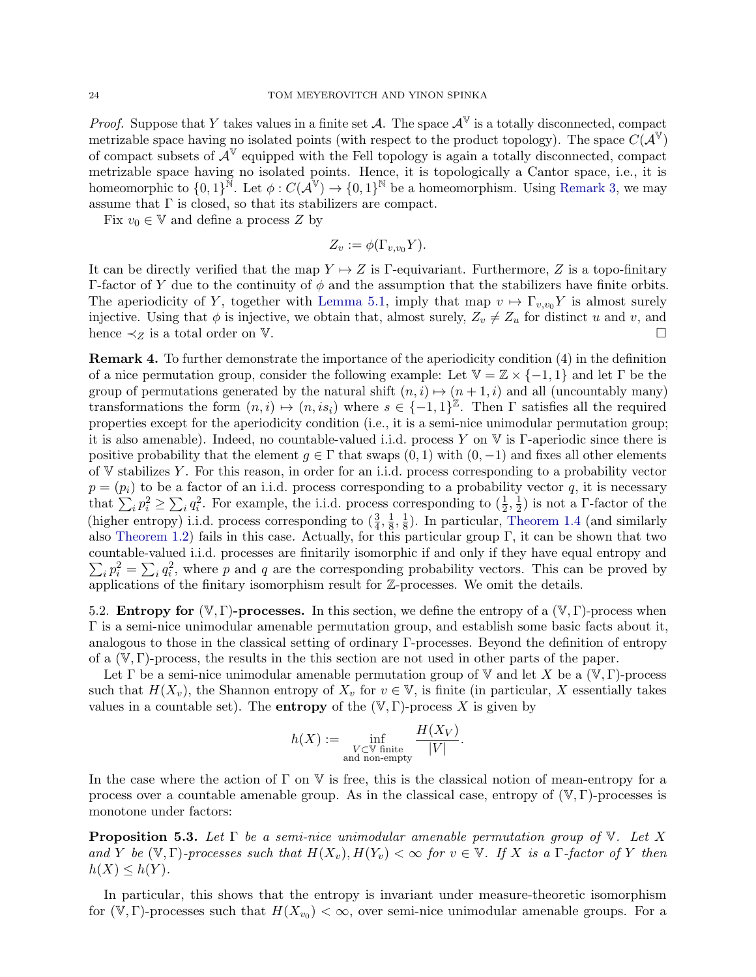*Proof.* Suppose that Y takes values in a finite set  $\mathcal{A}$ . The space  $\mathcal{A}^{\mathbb{V}}$  is a totally disconnected, compact metrizable space having no isolated points (with respect to the product topology). The space  $C(\mathcal{A}^{\mathbb{V}})$ of compact subsets of  $\mathcal{A}^{\mathbb{V}}$  equipped with the Fell topology is again a totally disconnected, compact metrizable space having no isolated points. Hence, it is topologically a Cantor space, i.e., it is homeomorphic to  $\{0,1\}^{\mathbb{N}}$ . Let  $\phi: C(\mathcal{A}^{\mathbb{V}}) \to \{0,1\}^{\mathbb{N}}$  be a homeomorphism. Using [Remark 3,](#page-22-2) we may assume that  $\Gamma$  is closed, so that its stabilizers are compact.

Fix  $v_0 \in V$  and define a process Z by

$$
Z_v := \phi(\Gamma_{v,v_0} Y).
$$

It can be directly verified that the map  $Y \mapsto Z$  is Γ-equivariant. Furthermore, Z is a topo-finitary Γ-factor of Y due to the continuity of  $\phi$  and the assumption that the stabilizers have finite orbits. The aperiodicity of Y, together with [Lemma 5.1,](#page-22-0) imply that map  $v \mapsto \Gamma_{v,v_0} Y$  is almost surely injective. Using that  $\phi$  is injective, we obtain that, almost surely,  $Z_v \neq Z_u$  for distinct u and v, and hence  $\prec_Z$  is a total order on V.

<span id="page-23-0"></span>Remark 4. To further demonstrate the importance of the aperiodicity condition (4) in the definition of a nice permutation group, consider the following example: Let  $\mathbb{V} = \mathbb{Z} \times \{-1,1\}$  and let  $\Gamma$  be the group of permutations generated by the natural shift  $(n, i) \mapsto (n + 1, i)$  and all (uncountably many) transformations the form  $(n, i) \mapsto (n, is_i)$  where  $s \in \{-1, 1\}^{\mathbb{Z}}$ . Then  $\Gamma$  satisfies all the required properties except for the aperiodicity condition (i.e., it is a semi-nice unimodular permutation group; it is also amenable). Indeed, no countable-valued i.i.d. process Y on V is Γ-aperiodic since there is positive probability that the element  $q \in \Gamma$  that swaps  $(0, 1)$  with  $(0, -1)$  and fixes all other elements of V stabilizes Y . For this reason, in order for an i.i.d. process corresponding to a probability vector  $p = (p_i)$  to be a factor of an i.i.d. process corresponding to a probability vector q, it is necessary that  $\sum_i p_i^2 \ge \sum_i q_i^2$ . For example, the i.i.d. process corresponding to  $(\frac{1}{2}, \frac{1}{2})$  $(\frac{1}{2})$  is not a Γ-factor of the (higher entropy) i.i.d. process corresponding to  $(\frac{3}{4}, \frac{1}{8})$  $\frac{1}{8}, \frac{1}{8}$  $\frac{1}{8}$ ). In particular, [Theorem 1.4](#page-2-0) (and similarly also [Theorem 1.2\)](#page-1-0) fails in this case. Actually, for this particular group  $\Gamma$ , it can be shown that two countable-valued i.i.d. processes are finitarily isomorphic if and only if they have equal entropy and  $\sum_i p_i^2 = \sum_i q_i^2$ , where p and q are the corresponding probability vectors. This can be proved by applications of the finitary isomorphism result for  $\mathbb{Z}$ -processes. We omit the details.

<span id="page-23-1"></span>5.2. **Entropy for**  $(\mathbb{V}, \Gamma)$ -**processes.** In this section, we define the entropy of a  $(\mathbb{V}, \Gamma)$ -process when Γ is a semi-nice unimodular amenable permutation group, and establish some basic facts about it, analogous to those in the classical setting of ordinary Γ-processes. Beyond the definition of entropy of a  $(V, \Gamma)$ -process, the results in the this section are not used in other parts of the paper.

Let  $\Gamma$  be a semi-nice unimodular amenable permutation group of  $\mathbb {V}$  and let X be a  $(\mathbb {V}, \Gamma)$ -process such that  $H(X_v)$ , the Shannon entropy of  $X_v$  for  $v \in V$ , is finite (in particular, X essentially takes values in a countable set). The **entropy** of the  $(V, \Gamma)$ -process X is given by

$$
h(X) := \inf_{\substack{V \subset \mathbb{V} \text{ finite} \\ \text{and non-empty}}} \frac{H(X_V)}{|V|}.
$$

In the case where the action of  $\Gamma$  on  $\mathbb V$  is free, this is the classical notion of mean-entropy for a process over a countable amenable group. As in the classical case, entropy of  $(\mathbb{V}, \Gamma)$ -processes is monotone under factors:

<span id="page-23-2"></span>**Proposition 5.3.** Let  $\Gamma$  be a semi-nice unimodular amenable permutation group of  $\nabla$ . Let X and Y be  $(\mathbb{V}, \Gamma)$ -processes such that  $H(X_v), H(Y_v) < \infty$  for  $v \in \mathbb{V}$ . If X is a  $\Gamma$ -factor of Y then  $h(X) \leq h(Y)$ .

In particular, this shows that the entropy is invariant under measure-theoretic isomorphism for  $(\overline{V}, \Gamma)$ -processes such that  $H(X_{v_0}) < \infty$ , over semi-nice unimodular amenable groups. For a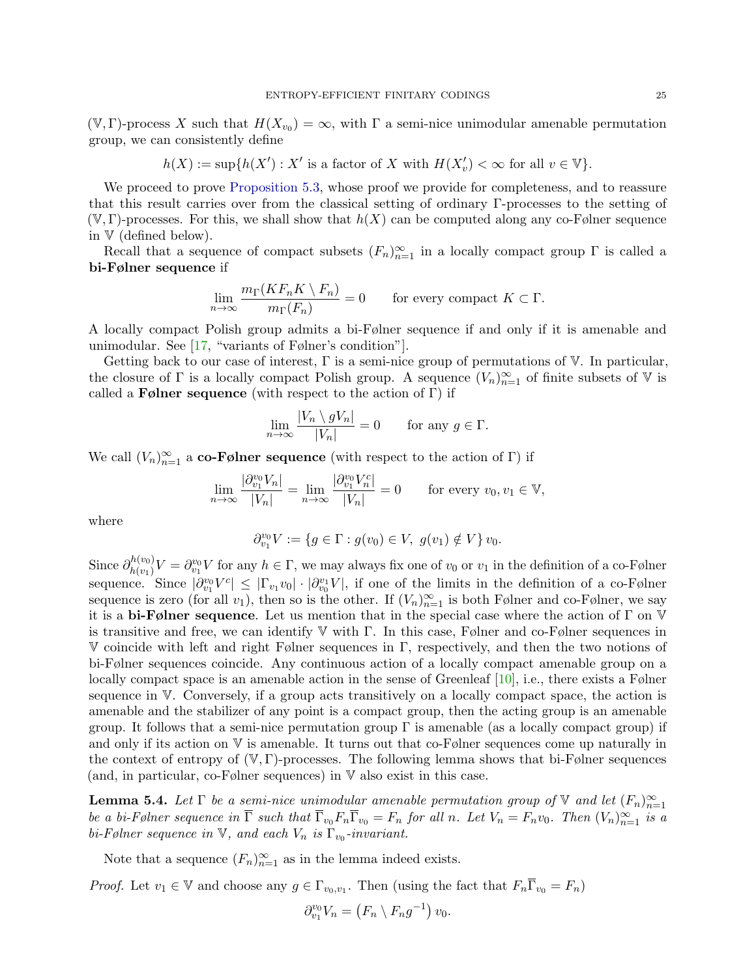$(\mathbb{V}, \Gamma)$ -process X such that  $H(X_{v_0}) = \infty$ , with  $\Gamma$  a semi-nice unimodular amenable permutation group, we can consistently define

$$
h(X) := \sup\{h(X') : X' \text{ is a factor of } X \text{ with } H(X'_v) < \infty \text{ for all } v \in \mathbb{V}\}.
$$

We proceed to prove [Proposition 5.3,](#page-23-2) whose proof we provide for completeness, and to reassure that this result carries over from the classical setting of ordinary Γ-processes to the setting of  $(V, \Gamma)$ -processes. For this, we shall show that  $h(X)$  can be computed along any co-Følner sequence in V (defined below).

Recall that a sequence of compact subsets  $(F_n)_{n=1}^{\infty}$  in a locally compact group  $\Gamma$  is called a bi-Følner sequence if

$$
\lim_{n \to \infty} \frac{m_{\Gamma}(KF_n K \setminus F_n)}{m_{\Gamma}(F_n)} = 0 \quad \text{for every compact } K \subset \Gamma.
$$

A locally compact Polish group admits a bi-Følner sequence if and only if it is amenable and unimodular. See [\[17,](#page-35-11) "variants of Følner's condition"].

Getting back to our case of interest,  $\Gamma$  is a semi-nice group of permutations of  $\mathbb{V}$ . In particular, the closure of  $\Gamma$  is a locally compact Polish group. A sequence  $(V_n)_{n=1}^{\infty}$  of finite subsets of V is called a **F**ølner sequence (with respect to the action of Γ) if

$$
\lim_{n \to \infty} \frac{|V_n \setminus gV_n|}{|V_n|} = 0 \quad \text{for any } g \in \Gamma.
$$

We call  $(V_n)_{n=1}^{\infty}$  a co-Følner sequence (with respect to the action of Γ) if

$$
\lim_{n \to \infty} \frac{|\partial_{v_1}^{v_0} V_n|}{|V_n|} = \lim_{n \to \infty} \frac{|\partial_{v_1}^{v_0} V_n^c|}{|V_n|} = 0 \quad \text{for every } v_0, v_1 \in \mathbb{V},
$$

where

$$
\partial_{v_1}^{v_0}V:=\{g\in \Gamma: g(v_0)\in V,\ g(v_1)\notin V\}\,v_0.
$$

Since  $\partial_{h(v_1)}^{h(v_0)}$  $h_{(v_1)}^{(v_0)}V = \partial_{v_1}^{v_0}V$  for any  $h \in \Gamma$ , we may always fix one of  $v_0$  or  $v_1$  in the definition of a co-Følner sequence. Since  $|\partial_{v_1}^{v_0}V^c| \leq |\Gamma_{v_1}v_0| \cdot |\partial_{v_0}^{v_1}V|$ , if one of the limits in the definition of a co-Følner sequence is zero (for all  $v_1$ ), then so is the other. If  $(V_n)_{n=1}^{\infty}$  is both Følner and co-Følner, we say it is a bi-Følner sequence. Let us mention that in the special case where the action of  $\Gamma$  on  $\mathbb {V}$ is transitive and free, we can identify  $\mathbb V$  with Γ. In this case, Følner and co-Følner sequences in V coincide with left and right Følner sequences in Γ, respectively, and then the two notions of bi-Følner sequences coincide. Any continuous action of a locally compact amenable group on a locally compact space is an amenable action in the sense of Greenleaf  $[10]$ , i.e., there exists a Følner sequence in V. Conversely, if a group acts transitively on a locally compact space, the action is amenable and the stabilizer of any point is a compact group, then the acting group is an amenable group. It follows that a semi-nice permutation group  $\Gamma$  is amenable (as a locally compact group) if and only if its action on V is amenable. It turns out that co-Følner sequences come up naturally in the context of entropy of  $(V, \Gamma)$ -processes. The following lemma shows that bi-Følner sequences (and, in particular, co-Følner sequences) in V also exist in this case.

<span id="page-24-0"></span>**Lemma 5.4.** Let  $\Gamma$  be a semi-nice unimodular amenable permutation group of  $\mathbb{V}$  and let  $(F_n)_{n=1}^{\infty}$ be a bi-Følner sequence in  $\overline{\Gamma}$  such that  $\overline{\Gamma}_{v_0}F_n\overline{\Gamma}_{v_0} = F_n$  for all n. Let  $V_n = F_nv_0$ . Then  $(V_n)_{n=1}^{\infty}$  is a bi-Følner sequence in  $\mathbb{V}$ , and each  $V_n$  is  $\Gamma_{v_0}$ -invariant.

Note that a sequence  $(F_n)_{n=1}^{\infty}$  as in the lemma indeed exists.

*Proof.* Let  $v_1 \in \mathbb{V}$  and choose any  $g \in \Gamma_{v_0,v_1}$ . Then (using the fact that  $F_n \overline{\Gamma}_{v_0} = F_n$ )

$$
\partial_{v_1}^{v_0} V_n = (F_n \setminus F_n g^{-1}) v_0.
$$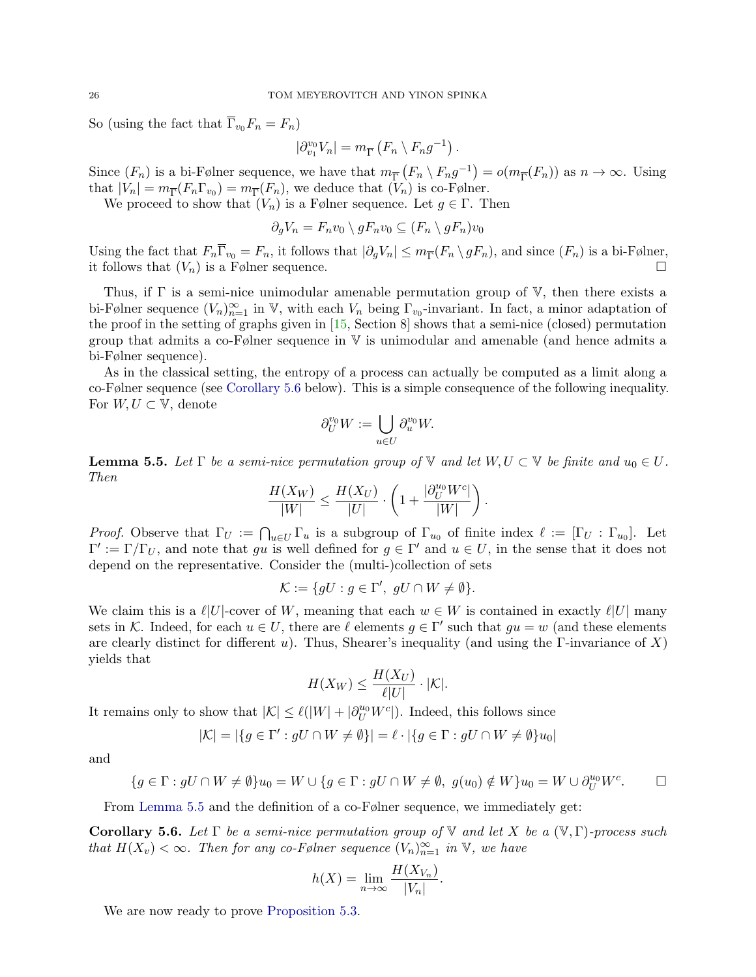So (using the fact that  $\Gamma_{v_0}F_n = F_n$ )

$$
|\partial_{v_1}^{v_0} V_n| = m_{\overline{\Gamma}} \left( F_n \setminus F_n g^{-1} \right).
$$

Since  $(F_n)$  is a bi-Følner sequence, we have that  $m_{\overline{\Gamma}}(F_n \setminus F_n g^{-1}) = o(m_{\overline{\Gamma}}(F_n))$  as  $n \to \infty$ . Using that  $|V_n| = m_{\overline{\Gamma}}(F_n \Gamma_{v_0}) = m_{\overline{\Gamma}}(F_n)$ , we deduce that  $(V_n)$  is co-Følner.

We proceed to show that  $(V_n)$  is a Følner sequence. Let  $g \in \Gamma$ . Then

$$
\partial_g V_n = F_n v_0 \setminus g F_n v_0 \subseteq (F_n \setminus g F_n) v_0
$$

Using the fact that  $F_n \Gamma_{v_0} = F_n$ , it follows that  $|\partial_g V_n| \leq m_{\overline{\Gamma}}(F_n \setminus gF_n)$ , and since  $(F_n)$  is a bi-Følner, it follows that  $(V_n)$  is a Følner sequence.

Thus, if  $\Gamma$  is a semi-nice unimodular amenable permutation group of  $\mathbb{V}$ , then there exists a bi-Følner sequence  $(V_n)_{n=1}^{\infty}$  in V, with each  $V_n$  being  $\Gamma_{v_0}$ -invariant. In fact, a minor adaptation of the proof in the setting of graphs given in [\[15,](#page-35-7) Section 8] shows that a semi-nice (closed) permutation group that admits a co-Følner sequence in V is unimodular and amenable (and hence admits a bi-Følner sequence).

As in the classical setting, the entropy of a process can actually be computed as a limit along a co-Følner sequence (see [Corollary 5.6](#page-25-0) below). This is a simple consequence of the following inequality. For  $W, U \subset V$ , denote

$$
\partial_U^{v_0} W := \bigcup_{u \in U} \partial_u^{v_0} W.
$$

<span id="page-25-1"></span>**Lemma 5.5.** Let  $\Gamma$  be a semi-nice permutation group of  $\mathbb{V}$  and let  $W, U \subset \mathbb{V}$  be finite and  $u_0 \in U$ . Then

$$
\frac{H(X_W)}{|W|} \le \frac{H(X_U)}{|U|} \cdot \left(1 + \frac{|\partial_U^{u_0} W^c|}{|W|}\right).
$$

*Proof.* Observe that  $\Gamma_U := \bigcap_{u \in U} \Gamma_u$  is a subgroup of  $\Gamma_{u_0}$  of finite index  $\ell := [\Gamma_U : \Gamma_{u_0}]$ . Let  $\Gamma' := \Gamma/\Gamma_U$ , and note that gu is well defined for  $g \in \Gamma'$  and  $u \in U$ , in the sense that it does not depend on the representative. Consider the (multi-)collection of sets

$$
\mathcal{K} := \{ gU : g \in \Gamma', \ gU \cap W \neq \emptyset \}.
$$

We claim this is a  $\ell |U|$ -cover of W, meaning that each  $w \in W$  is contained in exactly  $\ell |U|$  many sets in K. Indeed, for each  $u \in U$ , there are  $\ell$  elements  $g \in \Gamma'$  such that  $gu = w$  (and these elements are clearly distinct for different u). Thus, Shearer's inequality (and using the  $\Gamma$ -invariance of X) yields that

$$
H(X_W) \le \frac{H(X_U)}{\ell|U|} \cdot |\mathcal{K}|.
$$

It remains only to show that  $|K| \leq \ell(|W| + |\partial_U^{u_0} W^c|)$ . Indeed, this follows since

$$
|\mathcal{K}|=|\{g\in \Gamma': gU\cap W\neq \emptyset\}|=\ell\cdot |\{g\in \Gamma:gU\cap W\neq \emptyset\}u_0|
$$

and

$$
\{g \in \Gamma : gU \cap W \neq \emptyset\} u_0 = W \cup \{g \in \Gamma : gU \cap W \neq \emptyset, g(u_0) \notin W\} u_0 = W \cup \partial_U^{u_0} W^c. \square
$$

From [Lemma 5.5](#page-25-1) and the definition of a co-Følner sequence, we immediately get:

<span id="page-25-0"></span>**Corollary 5.6.** Let  $\Gamma$  be a semi-nice permutation group of  $\mathbb{V}$  and let X be a  $(\mathbb{V}, \Gamma)$ -process such that  $H(X_v) < \infty$ . Then for any co-Følner sequence  $(V_n)_{n=1}^{\infty}$  in  $V$ , we have

$$
h(X) = \lim_{n \to \infty} \frac{H(X_{V_n})}{|V_n|}.
$$

We are now ready to prove [Proposition 5.3.](#page-23-2)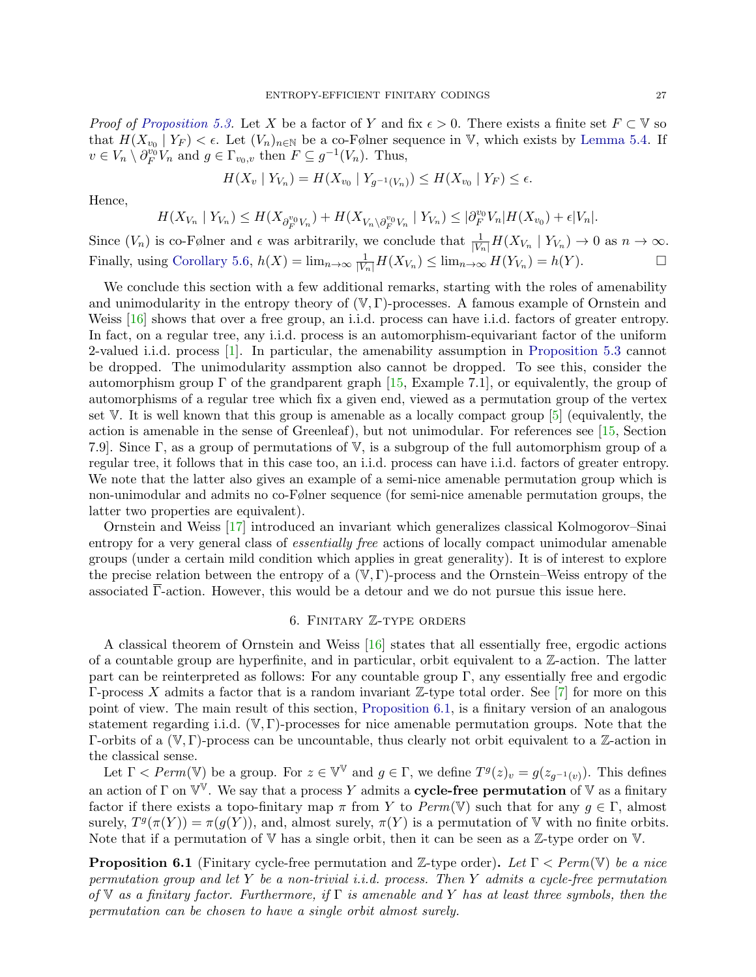*Proof of [Proposition 5.3.](#page-23-2)* Let X be a factor of Y and fix  $\epsilon > 0$ . There exists a finite set  $F \subset V$  so that  $H(X_{v_0} | Y_F) < \epsilon$ . Let  $(V_n)_{n \in \mathbb{N}}$  be a co-Følner sequence in V, which exists by [Lemma 5.4.](#page-24-0) If  $v \in V_n \setminus \partial_F^{v_0} V_n$  and  $g \in \Gamma_{v_0,v}$  then  $F \subseteq g^{-1}(V_n)$ . Thus,

$$
H(X_v | Y_{V_n}) = H(X_{v_0} | Y_{g^{-1}(V_n)}) \le H(X_{v_0} | Y_F) \le \epsilon.
$$

Hence,

$$
H(X_{V_n} | Y_{V_n}) \leq H(X_{\partial_F^{v_0} V_n}) + H(X_{V_n \setminus \partial_F^{v_0} V_n} | Y_{V_n}) \leq |\partial_F^{v_0} V_n| H(X_{v_0}) + \epsilon |V_n|.
$$

Since  $(V_n)$  is co-Følner and  $\epsilon$  was arbitrarily, we conclude that  $\frac{1}{|V_n|}H(X_{V_n} | Y_{V_n}) \to 0$  as  $n \to \infty$ . Finally, using [Corollary 5.6,](#page-25-0)  $h(X) = \lim_{n \to \infty} \frac{1}{|V_n|} H(X_{V_n}) \le \lim_{n \to \infty} H(Y_{V_n}) = h(Y)$ .

We conclude this section with a few additional remarks, starting with the roles of amenability and unimodularity in the entropy theory of  $(\mathbb{V}, \Gamma)$ -processes. A famous example of Ornstein and Weiss [\[16\]](#page-35-12) shows that over a free group, an i.i.d. process can have i.i.d. factors of greater entropy. In fact, on a regular tree, any i.i.d. process is an automorphism-equivariant factor of the uniform 2-valued i.i.d. process [\[1\]](#page-35-13). In particular, the amenability assumption in [Proposition 5.3](#page-23-2) cannot be dropped. The unimodularity assmption also cannot be dropped. To see this, consider the automorphism group  $\Gamma$  of the grandparent graph [\[15,](#page-35-7) Example 7.1], or equivalently, the group of automorphisms of a regular tree which fix a given end, viewed as a permutation group of the vertex set V. It is well known that this group is amenable as a locally compact group [\[5\]](#page-35-14) (equivalently, the action is amenable in the sense of Greenleaf), but not unimodular. For references see [\[15,](#page-35-7) Section 7.9]. Since Γ, as a group of permutations of V, is a subgroup of the full automorphism group of a regular tree, it follows that in this case too, an i.i.d. process can have i.i.d. factors of greater entropy. We note that the latter also gives an example of a semi-nice amenable permutation group which is non-unimodular and admits no co-Følner sequence (for semi-nice amenable permutation groups, the latter two properties are equivalent).

Ornstein and Weiss [\[17\]](#page-35-11) introduced an invariant which generalizes classical Kolmogorov–Sinai entropy for a very general class of essentially free actions of locally compact unimodular amenable groups (under a certain mild condition which applies in great generality). It is of interest to explore the precise relation between the entropy of a  $(\mathbb{V}, \Gamma)$ -process and the Ornstein–Weiss entropy of the associated  $\overline{\Gamma}$ -action. However, this would be a detour and we do not pursue this issue here.

### 6. Finitary Z-type orders

<span id="page-26-0"></span>A classical theorem of Ornstein and Weiss [\[16\]](#page-35-12) states that all essentially free, ergodic actions of a countable group are hyperfinite, and in particular, orbit equivalent to a  $\mathbb{Z}$ -action. The latter part can be reinterpreted as follows: For any countable group  $\Gamma$ , any essentially free and ergodic Γ-process X admits a factor that is a random invariant Z-type total order. See [\[7\]](#page-35-15) for more on this point of view. The main result of this section, [Proposition 6.1,](#page-26-1) is a finitary version of an analogous statement regarding i.i.d.  $(\mathbb{V}, \Gamma)$ -processes for nice amenable permutation groups. Note that the Γ-orbits of a  $(V, Γ)$ -process can be uncountable, thus clearly not orbit equivalent to a Z-action in the classical sense.

Let  $\Gamma < Perm(\mathbb{V})$  be a group. For  $z \in \mathbb{V}^{\mathbb{V}}$  and  $g \in \Gamma$ , we define  $T^g(z)_v = g(z_{g^{-1}(v)})$ . This defines an action of  $\Gamma$  on  $\mathbb{V}^{\mathbb{V}}$ . We say that a process Y admits a **cycle-free permutation** of  $\mathbb{V}$  as a finitary factor if there exists a topo-finitary map  $\pi$  from Y to  $Perm(\mathbb{V})$  such that for any  $q \in \Gamma$ , almost surely,  $T^g(\pi(Y)) = \pi(g(Y))$ , and, almost surely,  $\pi(Y)$  is a permutation of V with no finite orbits. Note that if a permutation of  $V$  has a single orbit, then it can be seen as a  $\mathbb{Z}$ -type order on  $V$ .

<span id="page-26-1"></span>**Proposition 6.1** (Finitary cycle-free permutation and Z-type order). Let  $\Gamma$  < Perm(V) be a nice permutation group and let Y be a non-trivial i.i.d. process. Then Y admits a cycle-free permutation of V as a finitary factor. Furthermore, if  $\Gamma$  is amenable and Y has at least three symbols, then the permutation can be chosen to have a single orbit almost surely.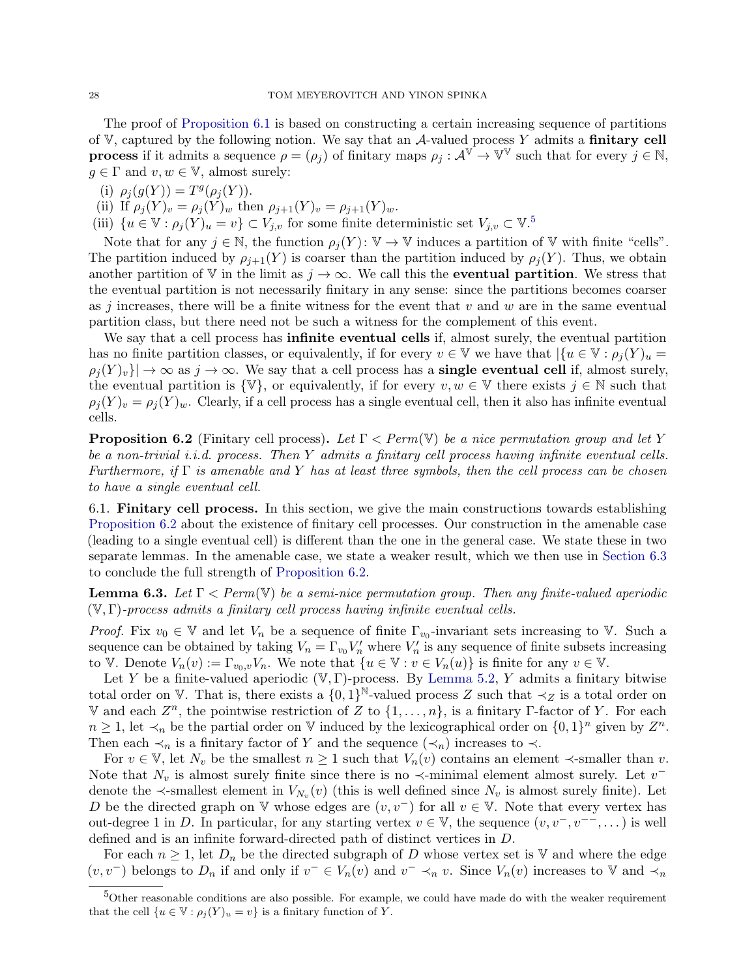The proof of [Proposition 6.1](#page-26-1) is based on constructing a certain increasing sequence of partitions of  $V$ , captured by the following notion. We say that an  $A$ -valued process Y admits a finitary cell **process** if it admits a sequence  $\rho = (\rho_j)$  of finitary maps  $\rho_j : \mathcal{A}^{\mathbb{V}} \to \mathbb{V}^{\mathbb{V}}$  such that for every  $j \in \mathbb{N}$ ,  $g \in \Gamma$  and  $v, w \in \mathbb{V}$ , almost surely:

- (i)  $\rho_j(g(Y)) = T^g(\rho_j(Y)).$
- (ii) If  $\rho_j(Y)_v = \rho_j(Y)_w$  then  $\rho_{j+1}(Y)_v = \rho_{j+1}(Y)_w$ .
- (iii)  $\{u \in \mathbb{V} : \rho_j(Y)_u = v\} \subset V_{j,v}$  for some finite deterministic set  $V_{j,v} \subset \mathbb{V}$ .<sup>[5](#page-27-0)</sup>

Note that for any  $j \in \mathbb{N}$ , the function  $\rho_j(Y)$ :  $\mathbb{V} \to \mathbb{V}$  induces a partition of  $\mathbb{V}$  with finite "cells". The partition induced by  $\rho_{i+1}(Y)$  is coarser than the partition induced by  $\rho_i(Y)$ . Thus, we obtain another partition of V in the limit as  $j \to \infty$ . We call this the **eventual partition**. We stress that the eventual partition is not necessarily finitary in any sense: since the partitions becomes coarser as j increases, there will be a finite witness for the event that  $v$  and  $w$  are in the same eventual partition class, but there need not be such a witness for the complement of this event.

We say that a cell process has **infinite eventual cells** if, almost surely, the eventual partition has no finite partition classes, or equivalently, if for every  $v \in V$  we have that  $|\{u \in V : \rho_i(Y)u\}|\leq$  $\rho_j(Y)_v\}\rightarrow \infty$  as  $j\rightarrow \infty$ . We say that a cell process has a **single eventual cell** if, almost surely, the eventual partition is  $\{V\}$ , or equivalently, if for every  $v, w \in V$  there exists  $j \in \mathbb{N}$  such that  $\rho_i(Y)_v = \rho_i(Y)_w$ . Clearly, if a cell process has a single eventual cell, then it also has infinite eventual cells.

<span id="page-27-1"></span>**Proposition 6.2** (Finitary cell process). Let  $\Gamma$  < Perm(V) be a nice permutation group and let Y be a non-trivial *i.i.d.* process. Then Y admits a finitary cell process having infinite eventual cells. Furthermore, if  $\Gamma$  is amenable and Y has at least three symbols, then the cell process can be chosen to have a single eventual cell.

6.1. Finitary cell process. In this section, we give the main constructions towards establishing [Proposition 6.2](#page-27-1) about the existence of finitary cell processes. Our construction in the amenable case (leading to a single eventual cell) is different than the one in the general case. We state these in two separate lemmas. In the amenable case, we state a weaker result, which we then use in [Section 6.3](#page-30-0) to conclude the full strength of [Proposition 6.2.](#page-27-1)

<span id="page-27-2"></span>**Lemma 6.3.** Let  $\Gamma$  < Perm(V) be a semi-nice permutation group. Then any finite-valued aperiodic  $(V, \Gamma)$ -process admits a finitary cell process having infinite eventual cells.

*Proof.* Fix  $v_0 \in V$  and let  $V_n$  be a sequence of finite  $\Gamma_{v_0}$ -invariant sets increasing to V. Such a sequence can be obtained by taking  $V_n = \Gamma_{v_0} V_n'$  where  $V_n'$  is any sequence of finite subsets increasing to V. Denote  $V_n(v) := \Gamma_{v_0,v} V_n$ . We note that  $\{u \in V : v \in V_n(u)\}$  is finite for any  $v \in V$ .

Let Y be a finite-valued aperiodic  $(V, \Gamma)$ -process. By [Lemma 5.2,](#page-22-1) Y admits a finitary bitwise total order on  $\mathbb V$ . That is, there exists a  $\{0,1\}^{\mathbb N}$ -valued process Z such that  $\prec_Z$  is a total order on V and each  $Z^n$ , the pointwise restriction of  $Z$  to  $\{1,\ldots,n\}$ , is a finitary Γ-factor of Y. For each  $n \geq 1$ , let  $\prec_n$  be the partial order on V induced by the lexicographical order on  $\{0,1\}^n$  given by  $Z^n$ . Then each  $\prec_n$  is a finitary factor of Y and the sequence  $(\prec_n)$  increases to  $\prec$ .

For  $v \in V$ , let  $N_v$  be the smallest  $n \geq 1$  such that  $V_n(v)$  contains an element  $\prec$ -smaller than v. Note that  $N_v$  is almost surely finite since there is no  $\prec$ -minimal element almost surely. Let  $v^$ denote the  $\prec$ -smallest element in  $V_{N_v}(v)$  (this is well defined since  $N_v$  is almost surely finite). Let D be the directed graph on V whose edges are  $(v, v^-)$  for all  $v \in V$ . Note that every vertex has out-degree 1 in D. In particular, for any starting vertex  $v \in \mathbb{V}$ , the sequence  $(v, v^-, v^{--}, \dots)$  is well defined and is an infinite forward-directed path of distinct vertices in D.

For each  $n \geq 1$ , let  $D_n$  be the directed subgraph of D whose vertex set is V and where the edge  $(v, v^-)$  belongs to  $D_n$  if and only if  $v^- \in V_n(v)$  and  $v^- \prec_n v$ . Since  $V_n(v)$  increases to V and  $\prec_n$ 

<span id="page-27-0"></span><sup>&</sup>lt;sup>5</sup>Other reasonable conditions are also possible. For example, we could have made do with the weaker requirement that the cell  $\{u \in \mathbb{V} : \rho_i(Y)_u = v\}$  is a finitary function of Y.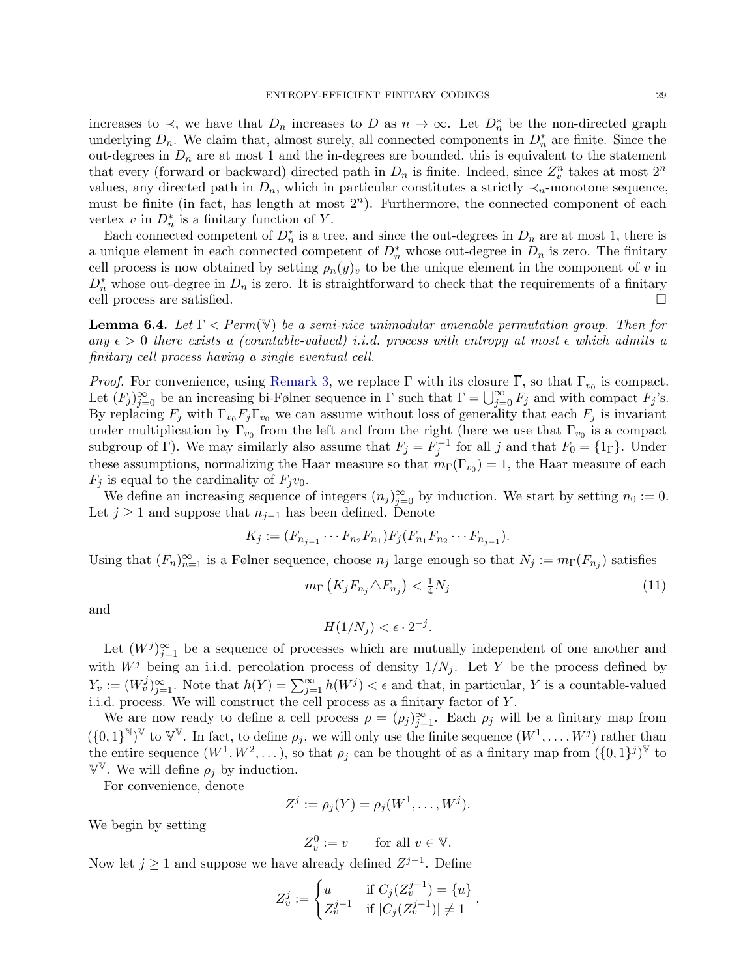increases to  $\prec$ , we have that  $D_n$  increases to D as  $n \to \infty$ . Let  $D_n^*$  be the non-directed graph underlying  $D_n$ . We claim that, almost surely, all connected components in  $D_n^*$  are finite. Since the out-degrees in  $D_n$  are at most 1 and the in-degrees are bounded, this is equivalent to the statement that every (forward or backward) directed path in  $D_n$  is finite. Indeed, since  $Z_v^n$  takes at most  $2^n$ values, any directed path in  $D_n$ , which in particular constitutes a strictly  $\prec_n$ -monotone sequence, must be finite (in fact, has length at most  $2<sup>n</sup>$ ). Furthermore, the connected component of each vertex v in  $D_n^*$  is a finitary function of Y.

Each connected competent of  $D_n^*$  is a tree, and since the out-degrees in  $D_n$  are at most 1, there is a unique element in each connected competent of  $D_n^*$  whose out-degree in  $D_n$  is zero. The finitary cell process is now obtained by setting  $\rho_n(y)_v$  to be the unique element in the component of v in  $D_n^*$  whose out-degree in  $D_n$  is zero. It is straightforward to check that the requirements of a finitary cell process are satisfied.

<span id="page-28-1"></span>**Lemma 6.4.** Let  $\Gamma$  < Perm(V) be a semi-nice unimodular amenable permutation group. Then for any  $\epsilon > 0$  there exists a (countable-valued) i.i.d. process with entropy at most  $\epsilon$  which admits a finitary cell process having a single eventual cell.

*Proof.* For convenience, using [Remark 3,](#page-22-2) we replace  $\Gamma$  with its closure  $\overline{\Gamma}$ , so that  $\Gamma_{v_0}$  is compact. Let  $(F_j)_{j=0}^{\infty}$  be an increasing bi-Følner sequence in  $\Gamma$  such that  $\Gamma = \bigcup_{j=0}^{\infty} F_j$  and with compact  $F_j$ 's. By replacing  $F_j$  with  $\Gamma_{v_0}F_j\Gamma_{v_0}$  we can assume without loss of generality that each  $F_j$  is invariant under multiplication by  $\Gamma_{v_0}$  from the left and from the right (here we use that  $\Gamma_{v_0}$  is a compact subgroup of Γ). We may similarly also assume that  $F_j = F_j^{-1}$  for all j and that  $F_0 = \{1_\Gamma\}$ . Under these assumptions, normalizing the Haar measure so that  $m_{\Gamma}(\Gamma_{v_0}) = 1$ , the Haar measure of each  $F_j$  is equal to the cardinality of  $F_jv_0$ .

We define an increasing sequence of integers  $(n_j)_{j=0}^{\infty}$  by induction. We start by setting  $n_0 := 0$ . Let  $j \geq 1$  and suppose that  $n_{j-1}$  has been defined. Denote

$$
K_j := (F_{n_{j-1}} \cdots F_{n_2} F_{n_1}) F_j (F_{n_1} F_{n_2} \cdots F_{n_{j-1}}).
$$

Using that  $(F_n)_{n=1}^{\infty}$  is a Følner sequence, choose  $n_j$  large enough so that  $N_j := m_{\Gamma}(F_{n_j})$  satisfies

<span id="page-28-0"></span>
$$
m_{\Gamma}\left(K_j F_{n_j} \triangle F_{n_j}\right) < \frac{1}{4} N_j \tag{11}
$$

and

$$
H(1/N_j) < \epsilon \cdot 2^{-j}.
$$

Let  $(W^j)_{j=1}^{\infty}$  be a sequence of processes which are mutually independent of one another and with  $W<sup>j</sup>$  being an i.i.d. percolation process of density  $1/N_j$ . Let Y be the process defined by  $Y_v := (W_v^j)_{j=1}^{\infty}$ . Note that  $h(Y) = \sum_{j=1}^{\infty} h(W^j) < \epsilon$  and that, in particular, Y is a countable-valued i.i.d. process. We will construct the cell process as a finitary factor of Y .

We are now ready to define a cell process  $\rho = (\rho_j)_{j=1}^{\infty}$ . Each  $\rho_j$  will be a finitary map from  $(\{0,1\}^{\mathbb{N}})^{\mathbb{V}}$  to  $\mathbb{V}^{\mathbb{V}}$ . In fact, to define  $\rho_j$ , we will only use the finite sequence  $(W^1,\ldots,W^j)$  rather than the entire sequence  $(W^1, W^2, \dots)$ , so that  $\rho_j$  can be thought of as a finitary map from  $(\{0, 1\}^j)^{\mathbb{V}}$  to  $\mathbb{V}^{\mathbb{V}}$ . We will define  $\rho_j$  by induction.

For convenience, denote

$$
Z^j := \rho_j(Y) = \rho_j(W^1, \dots, W^j).
$$

We begin by setting

$$
Z_v^0 := v \qquad \text{for all } v \in \mathbb{V}.
$$

Now let  $j \geq 1$  and suppose we have already defined  $Z^{j-1}$ . Define

$$
Z_v^j := \begin{cases} u & \text{if } C_j (Z_v^{j-1}) = \{u\} \\ Z_v^{j-1} & \text{if } |C_j (Z_v^{j-1})| \neq 1 \end{cases},
$$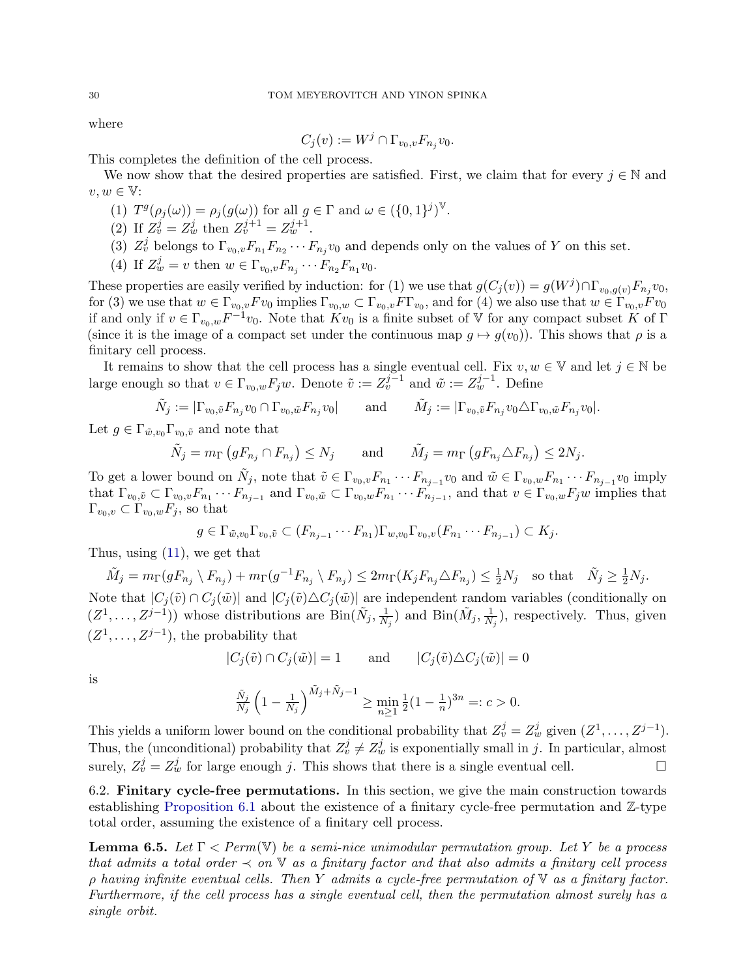where

$$
C_j(v) := W^j \cap \Gamma_{v_0, v} F_{n_j} v_0.
$$

This completes the definition of the cell process.

We now show that the desired properties are satisfied. First, we claim that for every  $j \in \mathbb{N}$  and  $v, w \in \mathbb{V}$ :

- (1)  $T^g(\rho_j(\omega)) = \rho_j(g(\omega))$  for all  $g \in \Gamma$  and  $\omega \in (\{0,1\}^j)^{\mathbb{V}}$ .
- (2) If  $Z_v^j = Z_w^j$  then  $Z_v^{j+1} = Z_w^{j+1}$ .
- (3)  $Z_v^j$  belongs to  $\Gamma_{v_0,v}F_{n_1}F_{n_2}\cdots F_{n_j}v_0$  and depends only on the values of Y on this set.
- (4) If  $Z_w^j = v$  then  $w \in \Gamma_{v_0, v} F_{n_j} \cdots F_{n_2} F_{n_1} v_0$ .

These properties are easily verified by induction: for (1) we use that  $g(C_j(v)) = g(W^j) \cap \Gamma_{v_0, g(v)} F_{n_j} v_0$ , for (3) we use that  $w \in \Gamma_{v_0,v} F v_0$  implies  $\Gamma_{v_0,w} \subset \Gamma_{v_0,v} F \Gamma_{v_0}$ , and for (4) we also use that  $w \in \Gamma_{v_0,v} F v_0$ if and only if  $v \in \Gamma_{v_0,w} F^{-1}v_0$ . Note that  $Kv_0$  is a finite subset of V for any compact subset K of  $\Gamma$ (since it is the image of a compact set under the continuous map  $q \mapsto q(v_0)$ ). This shows that  $\rho$  is a finitary cell process.

It remains to show that the cell process has a single eventual cell. Fix  $v, w \in V$  and let  $j \in N$  be large enough so that  $v \in \Gamma_{v_0,w} F_j w$ . Denote  $\tilde{v} := Z_v^{j-1}$  and  $\tilde{w} := Z_w^{j-1}$ . Define

$$
\tilde{N}_j := |\Gamma_{v_0, \tilde{v}} F_{n_j} v_0 \cap \Gamma_{v_0, \tilde{w}} F_{n_j} v_0| \quad \text{and} \quad \tilde{M}_j := |\Gamma_{v_0, \tilde{v}} F_{n_j} v_0 \triangle \Gamma_{v_0, \tilde{w}} F_{n_j} v_0|.
$$

Let  $g \in \Gamma_{\tilde{w},v_0} \Gamma_{v_0,\tilde{v}}$  and note that

$$
\tilde{N}_j = m_\Gamma \left( g F_{n_j} \cap F_{n_j} \right) \le N_j \quad \text{and} \quad \tilde{M}_j = m_\Gamma \left( g F_{n_j} \triangle F_{n_j} \right) \le 2N_j.
$$

To get a lower bound on  $\tilde{N}_j$ , note that  $\tilde{v} \in \Gamma_{v_0,v} F_{n_1} \cdots F_{n_{j-1}} v_0$  and  $\tilde{w} \in \Gamma_{v_0,w} F_{n_1} \cdots F_{n_{j-1}} v_0$  imply that  $\Gamma_{v_0,\tilde{v}} \subset \Gamma_{v_0,v} F_{n_1} \cdots F_{n_{j-1}}$  and  $\Gamma_{v_0,\tilde{w}} \subset \Gamma_{v_0,w} F_{n_1} \cdots F_{n_{j-1}}$ , and that  $v \in \Gamma_{v_0,w} F_j w$  implies that  $\Gamma_{v_0,v} \subset \Gamma_{v_0,w} F_j$ , so that

$$
g \in \Gamma_{\tilde{w},v_0} \Gamma_{v_0,\tilde{v}} \subset (F_{n_{j-1}} \cdots F_{n_1}) \Gamma_{w,v_0} \Gamma_{v_0,v}(F_{n_1} \cdots F_{n_{j-1}}) \subset K_j.
$$

Thus, using [\(11\)](#page-28-0), we get that

$$
\tilde{M}_j = m_{\Gamma}(gF_{n_j} \setminus F_{n_j}) + m_{\Gamma}(g^{-1}F_{n_j} \setminus F_{n_j}) \le 2m_{\Gamma}(K_jF_{n_j} \triangle F_{n_j}) \le \frac{1}{2}N_j \quad \text{so that} \quad \tilde{N}_j \ge \frac{1}{2}N_j.
$$
  
Note that  $|C_j(\tilde{v}) \cap C_j(\tilde{w})|$  and  $|C_j(\tilde{v}) \triangle C_j(\tilde{w})|$  are independent random variables (conditionally on

 $(Z^1, \ldots, Z^{j-1})$  whose distributions are  $\text{Bin}(\tilde{N}_j, \frac{1}{N})$  $\frac{1}{N_j}$ ) and  $\text{Bin}(\tilde{M}_j, \frac{1}{N_j})$  $\frac{1}{N_j}$ , respectively. Thus, given  $(Z^1, \ldots, Z^{j-1})$ , the probability that

$$
|C_j(\tilde{v}) \cap C_j(\tilde{w})| = 1 \quad \text{and} \quad |C_j(\tilde{v}) \triangle C_j(\tilde{w})| = 0
$$

is

$$
\frac{\tilde{N}_j}{N_j} \left(1 - \frac{1}{N_j}\right)^{\tilde{M}_j + \tilde{N}_j - 1} \ge \min_{n \ge 1} \frac{1}{2} (1 - \frac{1}{n})^{3n} =: c > 0.
$$

This yields a uniform lower bound on the conditional probability that  $Z_v^j = Z_w^j$  given  $(Z^1, \ldots, Z^{j-1})$ . Thus, the (unconditional) probability that  $Z_v^j \neq Z_w^j$  is exponentially small in j. In particular, almost surely,  $Z_v^j = Z_w^j$  for large enough j. This shows that there is a single eventual cell.

6.2. Finitary cycle-free permutations. In this section, we give the main construction towards establishing [Proposition 6.1](#page-26-1) about the existence of a finitary cycle-free permutation and  $\mathbb{Z}$ -type total order, assuming the existence of a finitary cell process.

<span id="page-29-0"></span>**Lemma 6.5.** Let  $\Gamma$  < Perm(V) be a semi-nice unimodular permutation group. Let Y be a process that admits a total order  $\prec$  on  $\mathbb {V}$  as a finitary factor and that also admits a finitary cell process  $ρ$  having infinite eventual cells. Then Y admits a cycle-free permutation of  $∇$  as a finitary factor. Furthermore, if the cell process has a single eventual cell, then the permutation almost surely has a single orbit.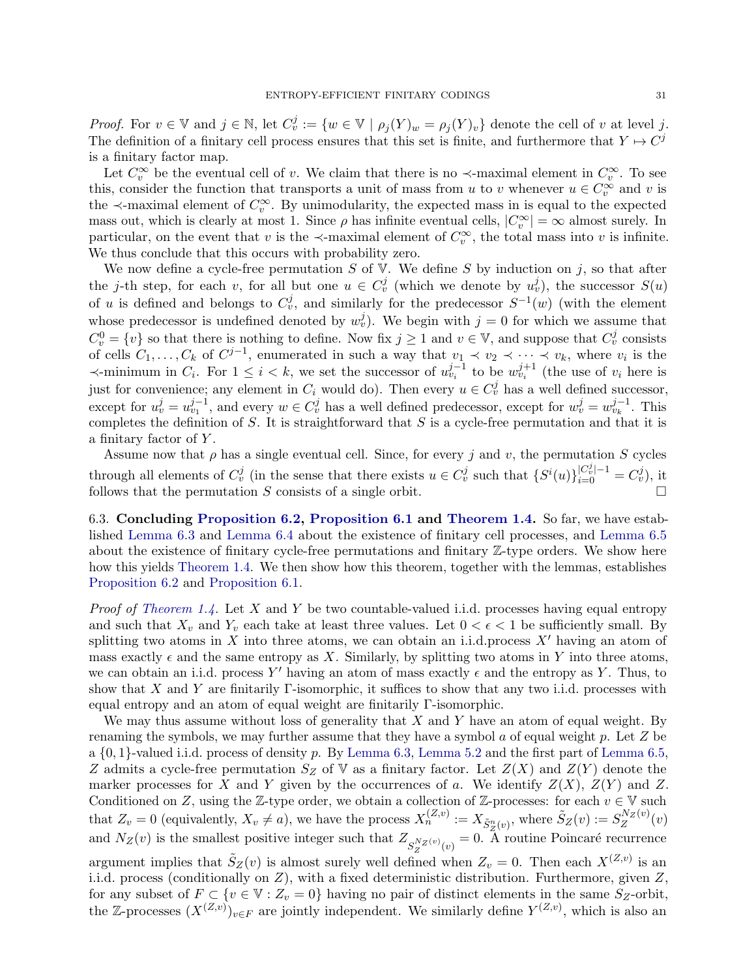*Proof.* For  $v \in V$  and  $j \in N$ , let  $C_v^j := \{w \in V \mid \rho_j(Y)_w = \rho_j(Y)_v\}$  denote the cell of v at level j. The definition of a finitary cell process ensures that this set is finite, and furthermore that  $Y \mapsto C^j$ is a finitary factor map.

Let  $C_v^{\infty}$  be the eventual cell of v. We claim that there is no  $\prec$ -maximal element in  $C_v^{\infty}$ . To see this, consider the function that transports a unit of mass from u to v whenever  $u \in C_v^{\infty}$  and v is the  $\prec$ -maximal element of  $C_v^{\infty}$ . By unimodularity, the expected mass in is equal to the expected mass out, which is clearly at most 1. Since  $\rho$  has infinite eventual cells,  $|C_v^{\infty}| = \infty$  almost surely. In particular, on the event that v is the  $\prec$ -maximal element of  $C_v^{\infty}$ , the total mass into v is infinite. We thus conclude that this occurs with probability zero.

We now define a cycle-free permutation S of V. We define S by induction on j, so that after the j-th step, for each v, for all but one  $u \in C_v^j$  (which we denote by  $u_v^j$ ), the successor  $S(u)$ of u is defined and belongs to  $C_v^j$ , and similarly for the predecessor  $S^{-1}(w)$  (with the element whose predecessor is undefined denoted by  $w_v^j$ ). We begin with  $j = 0$  for which we assume that  $C_v^0 = \{v\}$  so that there is nothing to define. Now fix  $j \ge 1$  and  $v \in \mathbb{V}$ , and suppose that  $C_v^j$  consists of cells  $C_1, \ldots, C_k$  of  $C^{j-1}$ , enumerated in such a way that  $v_1 \prec v_2 \prec \cdots \prec v_k$ , where  $v_i$  is the  $\prec$ -minimum in  $C_i$ . For  $1 \leq i < k$ , we set the successor of  $u_{v_i}^{j-1}$  to be  $w_{v_i}^{j+1}$  (the use of  $v_i$  here is just for convenience; any element in  $C_i$  would do). Then every  $u \in C_v^j$  has a well defined successor, except for  $u_v^j = u_{v_1}^{j-1}$ , and every  $w \in C_v^j$  has a well defined predecessor, except for  $w_v^j = w_{v_k}^{j-1}$ . This completes the definition of  $S$ . It is straightforward that  $S$  is a cycle-free permutation and that it is a finitary factor of Y .

Assume now that  $\rho$  has a single eventual cell. Since, for every j and v, the permutation S cycles through all elements of  $C_v^j$  (in the sense that there exists  $u \in C_v^j$  such that  $\{S^i(u)\}_{i=0}^{|C_v^j|-1} = C_v^j$ ), it follows that the permutation  $S$  consists of a single orbit.

<span id="page-30-0"></span>6.3. Concluding [Proposition 6.2,](#page-27-1) [Proposition 6.1](#page-26-1) and [Theorem 1.4.](#page-2-0) So far, we have established [Lemma 6.3](#page-27-2) and [Lemma 6.4](#page-28-1) about the existence of finitary cell processes, and [Lemma 6.5](#page-29-0) about the existence of finitary cycle-free permutations and finitary Z-type orders. We show here how this yields [Theorem 1.4.](#page-2-0) We then show how this theorem, together with the lemmas, establishes [Proposition 6.2](#page-27-1) and [Proposition 6.1.](#page-26-1)

*Proof of [Theorem 1.4.](#page-2-0)* Let X and Y be two countable-valued i.i.d. processes having equal entropy and such that  $X_v$  and  $Y_v$  each take at least three values. Let  $0 < \epsilon < 1$  be sufficiently small. By splitting two atoms in X into three atoms, we can obtain an i.i.d.process  $X'$  having an atom of mass exactly  $\epsilon$  and the same entropy as X. Similarly, by splitting two atoms in Y into three atoms, we can obtain an i.i.d. process Y' having an atom of mass exactly  $\epsilon$  and the entropy as Y. Thus, to show that X and Y are finitarily Γ-isomorphic, it suffices to show that any two i.i.d. processes with equal entropy and an atom of equal weight are finitarily Γ-isomorphic.

We may thus assume without loss of generality that  $X$  and  $Y$  have an atom of equal weight. By renaming the symbols, we may further assume that they have a symbol  $a$  of equal weight  $p$ . Let  $Z$  be a  $\{0,1\}$ -valued i.i.d. process of density p. By [Lemma 6.3,](#page-27-2) [Lemma 5.2](#page-22-1) and the first part of [Lemma 6.5,](#page-29-0) Z admits a cycle-free permutation  $S_Z$  of V as a finitary factor. Let  $Z(X)$  and  $Z(Y)$  denote the marker processes for X and Y given by the occurrences of a. We identify  $Z(X)$ ,  $Z(Y)$  and Z. Conditioned on Z, using the Z-type order, we obtain a collection of Z-processes: for each  $v \in V$  such that  $Z_v = 0$  (equivalently,  $X_v \neq a$ ), we have the process  $X_n^{(Z,v)} := X_{\tilde{S}_Z^n(v)}$ , where  $\tilde{S}_Z(v) := S_Z^{N_Z(v)}$ and  $N_Z(v)$  is the smallest positive integer such that  $Z_{S_Z^{N_Z(v)}(v)} = 0$ . A routine Poincaré recurrence  $Z^{N Z \left( v \right)} \! \left( v \right)$ argument implies that  $\tilde{S}_Z(v)$  is almost surely well defined when  $Z_v = 0$ . Then each  $X^{(Z,v)}$  is an i.i.d. process (conditionally on Z), with a fixed deterministic distribution. Furthermore, given Z, for any subset of  $F \subset \{v \in \mathbb{V} : Z_v = 0\}$  having no pair of distinct elements in the same  $S_Z$ -orbit, the Z-processes  $(X^{(Z,v)})_{v \in F}$  are jointly independent. We similarly define  $Y^{(Z,v)}$ , which is also an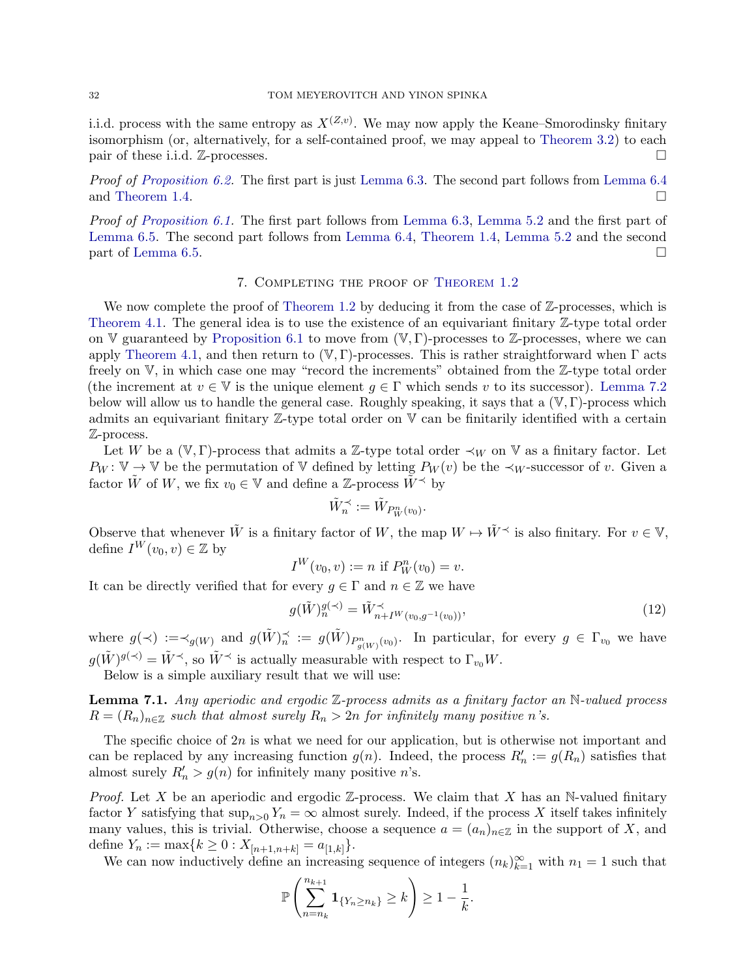i.i.d. process with the same entropy as  $X^{(Z,v)}$ . We may now apply the Keane–Smorodinsky finitary isomorphism (or, alternatively, for a self-contained proof, we may appeal to [Theorem 3.2\)](#page-6-1) to each pair of these i.i.d.  $\mathbb{Z}$ -processes.

Proof of [Proposition 6.2.](#page-27-1) The first part is just [Lemma 6.3.](#page-27-2) The second part follows from [Lemma 6.4](#page-28-1) and [Theorem 1.4.](#page-2-0)  $\Box$ 

Proof of [Proposition 6.1.](#page-26-1) The first part follows from [Lemma 6.3,](#page-27-2) [Lemma 5.2](#page-22-1) and the first part of [Lemma 6.5.](#page-29-0) The second part follows from [Lemma 6.4,](#page-28-1) [Theorem 1.4,](#page-2-0) [Lemma 5.2](#page-22-1) and the second part of [Lemma 6.5.](#page-29-0)

## 7. Completing the proof of [Theorem 1.2](#page-1-0)

<span id="page-31-0"></span>We now complete the proof of [Theorem 1.2](#page-1-0) by deducing it from the case of  $\mathbb{Z}$ -processes, which is [Theorem 4.1.](#page-19-3) The general idea is to use the existence of an equivariant finitary  $\mathbb{Z}$ -type total order on V guaranteed by [Proposition 6.1](#page-26-1) to move from  $(V, \Gamma)$ -processes to Z-processes, where we can apply [Theorem 4.1,](#page-19-3) and then return to  $(V, \Gamma)$ -processes. This is rather straightforward when  $\Gamma$  acts freely on V, in which case one may "record the increments" obtained from the Z-type total order (the increment at  $v \in V$  is the unique element  $g \in \Gamma$  which sends v to its successor). [Lemma 7.2](#page-32-0) below will allow us to handle the general case. Roughly speaking, it says that a  $(\mathbb{V}, \Gamma)$ -process which admits an equivariant finitary Z-type total order on V can be finitarily identified with a certain Z-process.

Let W be a (V, Γ)-process that admits a Z-type total order  $\prec_W$  on V as a finitary factor. Let  $P_W: V \to V$  be the permutation of V defined by letting  $P_W(v)$  be the  $\prec_W$ -successor of v. Given a factor  $\tilde{W}$  of W, we fix  $v_0 \in V$  and define a Z-process  $\tilde{W}^{\preceq}$  by

$$
\tilde{W}_n^\prec:=\tilde{W}_{P_W^n(v_0)}.
$$

Observe that whenever  $\tilde{W}$  is a finitary factor of W, the map  $W \mapsto \tilde{W}^{\prec}$  is also finitary. For  $v \in V$ , define  $I^W(v_0, v) \in \mathbb{Z}$  by

$$
I^W(v_0, v) := n \text{ if } P_W^n(v_0) = v.
$$

It can be directly verified that for every  $g \in \Gamma$  and  $n \in \mathbb{Z}$  we have

<span id="page-31-2"></span>
$$
g(\tilde{W})_n^{g(\prec)} = \tilde{W}_{n+I^W(v_0, g^{-1}(v_0))}^{\prec},\tag{12}
$$

where  $g(\prec) := \prec_{g(W)}$  and  $g(\tilde{W})_{n}^{\prec} := g(\tilde{W})_{P_{g(W)}^n(v_0)}$ . In particular, for every  $g \in \Gamma_{v_0}$  we have  $g(\tilde{W})^{g(\prec)} = \tilde{W}^{\prec}$ , so  $\tilde{W}^{\prec}$  is actually measurable with respect to  $\Gamma_{v_0}W$ .

Below is a simple auxiliary result that we will use:

<span id="page-31-1"></span>**Lemma 7.1.** Any aperiodic and ergodic  $\mathbb{Z}$ -process admits as a finitary factor an N-valued process  $R = (R_n)_{n \in \mathbb{Z}}$  such that almost surely  $R_n > 2n$  for infinitely many positive n's.

The specific choice of 2n is what we need for our application, but is otherwise not important and can be replaced by any increasing function  $g(n)$ . Indeed, the process  $R'_n := g(R_n)$  satisfies that almost surely  $R'_n > g(n)$  for infinitely many positive *n*'s.

*Proof.* Let X be an aperiodic and ergodic  $\mathbb{Z}$ -process. We claim that X has an N-valued finitary factor Y satisfying that  $\sup_{n>0} Y_n = \infty$  almost surely. Indeed, if the process X itself takes infinitely many values, this is trivial. Otherwise, choose a sequence  $a = (a_n)_{n \in \mathbb{Z}}$  in the support of X, and define  $Y_n := \max\{k \geq 0 : X_{[n+1,n+k]} = a_{[1,k]}\}.$ 

We can now inductively define an increasing sequence of integers  $(n_k)_{k=1}^{\infty}$  with  $n_1 = 1$  such that

$$
\mathbb{P}\left(\sum_{n=n_k}^{n_{k+1}}\mathbf{1}_{\{Y_n\geq n_k\}}\geq k\right)\geq 1-\frac{1}{k}.
$$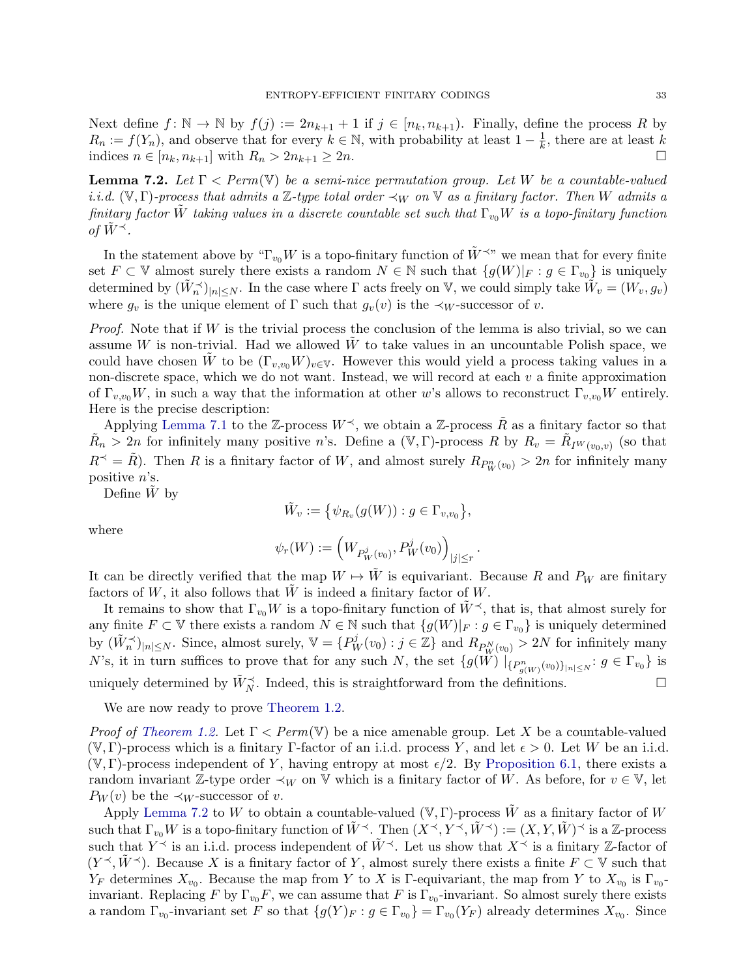Next define  $f: \mathbb{N} \to \mathbb{N}$  by  $f(j) := 2n_{k+1} + 1$  if  $j \in [n_k, n_{k+1})$ . Finally, define the process R by  $R_n := f(Y_n)$ , and observe that for every  $k \in \mathbb{N}$ , with probability at least  $1 - \frac{1}{k}$  $\frac{1}{k}$ , there are at least k indices  $n \in [n_k, n_{k+1}]$  with  $R_n > 2n_{k+1} \geq 2n$ .

<span id="page-32-0"></span>**Lemma 7.2.** Let  $\Gamma$  < Perm(V) be a semi-nice permutation group. Let W be a countable-valued i.i.d. (V, Γ)-process that admits a Z-type total order  $\prec_W$  on V as a finitary factor. Then W admits a finitary factor W taking values in a discrete countable set such that  $\Gamma_{v_0}W$  is a topo-finitary function of  $\tilde{W}^{\prec}$ .

In the statement above by " $\Gamma_{v_0}W$  is a topo-finitary function of  $\tilde{W}^{\prec v}$ " we mean that for every finite set  $F \subset V$  almost surely there exists a random  $N \in \mathbb{N}$  such that  $\{g(W)|_F : g \in \Gamma_{v_0}\}\$  is uniquely determined by  $(\tilde{W}_n^{\prec})_{|n| \leq N}$ . In the case where  $\Gamma$  acts freely on V, we could simply take  $\tilde{W}_v = (W_v, g_v)$ where  $g_v$  is the unique element of  $\Gamma$  such that  $g_v(v)$  is the  $\prec_W$ -successor of v.

*Proof.* Note that if  $W$  is the trivial process the conclusion of the lemma is also trivial, so we can assume  $W$  is non-trivial. Had we allowed  $W$  to take values in an uncountable Polish space, we could have chosen W to be  $(\Gamma_{v,v_0}W)_{v\in V}$ . However this would yield a process taking values in a non-discrete space, which we do not want. Instead, we will record at each  $v$  a finite approximation of  $\Gamma_{v,v_0}W$ , in such a way that the information at other w's allows to reconstruct  $\Gamma_{v,v_0}W$  entirely. Here is the precise description:

Applying [Lemma 7.1](#page-31-1) to the Z-process  $W^{\prec}$ , we obtain a Z-process R as a finitary factor so that  $\tilde{R}_n > 2n$  for infinitely many positive n's. Define a  $(\mathbb{V}, \Gamma)$ -process R by  $R_v = \tilde{R}_{I^W(v_0, v)}$  (so that  $R^{\prec} = R$ ). Then R is a finitary factor of W, and almost surely  $R_{P_W^n(v_0)} > 2n$  for infinitely many positive n's.

Define  $\tilde{W}$  by

$$
\tilde{W}_v := \big\{ \psi_{R_v}(g(W)) : g \in \Gamma_{v,v_0} \big\},\
$$

where

$$
\psi_r(W) := \left( W_{P^j_W(v_0)}, P^j_W(v_0) \right)_{|j| \le r}.
$$

It can be directly verified that the map  $W \mapsto W$  is equivariant. Because R and  $P_W$  are finitary factors of W, it also follows that  $\tilde{W}$  is indeed a finitary factor of W.

It remains to show that  $\Gamma_{v_0}W$  is a topo-finitary function of  $\tilde{W}^{\prec}$ , that is, that almost surely for any finite  $F \subset V$  there exists a random  $N \in \mathbb{N}$  such that  $\{g(W)|_F : g \in \Gamma_{v_0}\}$  is uniquely determined by  $(\tilde{W}_n^{\preceq})_{|n| \leq N}$ . Since, almost surely,  $\mathbb{V} = \{P_W^j(v_0) : j \in \mathbb{Z}\}\$  and  $R_{P_W^N(v_0)} > 2N$  for infinitely many N's, it in turn suffices to prove that for any such N, the set  $\{g(W) | \{P^n_{g(W)}(v_0)\}_{|n|\leq N} : g \in \Gamma_{v_0}\}\$ is uniquely determined by  $\tilde{W}_{N}^{\prec}$ . Indeed, this is straightforward from the definitions.

We are now ready to prove [Theorem 1.2.](#page-1-0)

*Proof of [Theorem 1.2.](#page-1-0)* Let  $\Gamma$  < Perm(V) be a nice amenable group. Let X be a countable-valued  $(V, \Gamma)$ -process which is a finitary Γ-factor of an i.i.d. process Y, and let  $\epsilon > 0$ . Let W be an i.i.d.  $(V, \Gamma)$ -process independent of Y, having entropy at most  $\epsilon/2$ . By [Proposition 6.1,](#page-26-1) there exists a random invariant Z-type order  $\prec_W$  on V which is a finitary factor of W. As before, for  $v \in V$ , let  $P_W(v)$  be the  $\prec_W$ -successor of v.

Apply [Lemma 7.2](#page-32-0) to W to obtain a countable-valued  $(V, \Gamma)$ -process W as a finitary factor of W such that  $\Gamma_{v_0}W$  is a topo-finitary function of  $\tilde{W}^{\prec}$ . Then  $(X^{\prec}, Y^{\prec}, \tilde{W}^{\prec}) := (X, Y, \tilde{W})^{\prec}$  is a Z-process such that  $Y^{\preceq}$  is an i.i.d. process independent of  $\tilde{W}^{\preceq}$ . Let us show that  $X^{\preceq}$  is a finitary Z-factor of  $(Y^{\prec}, \tilde{W}^{\prec})$ . Because X is a finitary factor of Y, almost surely there exists a finite  $F \subset V$  such that  $Y_F$  determines  $X_{v_0}$ . Because the map from Y to X is Γ-equivariant, the map from Y to  $X_{v_0}$  is  $\Gamma_{v_0}$ invariant. Replacing F by  $\Gamma_{v_0}F$ , we can assume that F is  $\Gamma_{v_0}$ -invariant. So almost surely there exists a random  $\Gamma_{v_0}$ -invariant set F so that  $\{g(Y)_F : g \in \Gamma_{v_0}\} = \Gamma_{v_0}(Y_F)$  already determines  $X_{v_0}$ . Since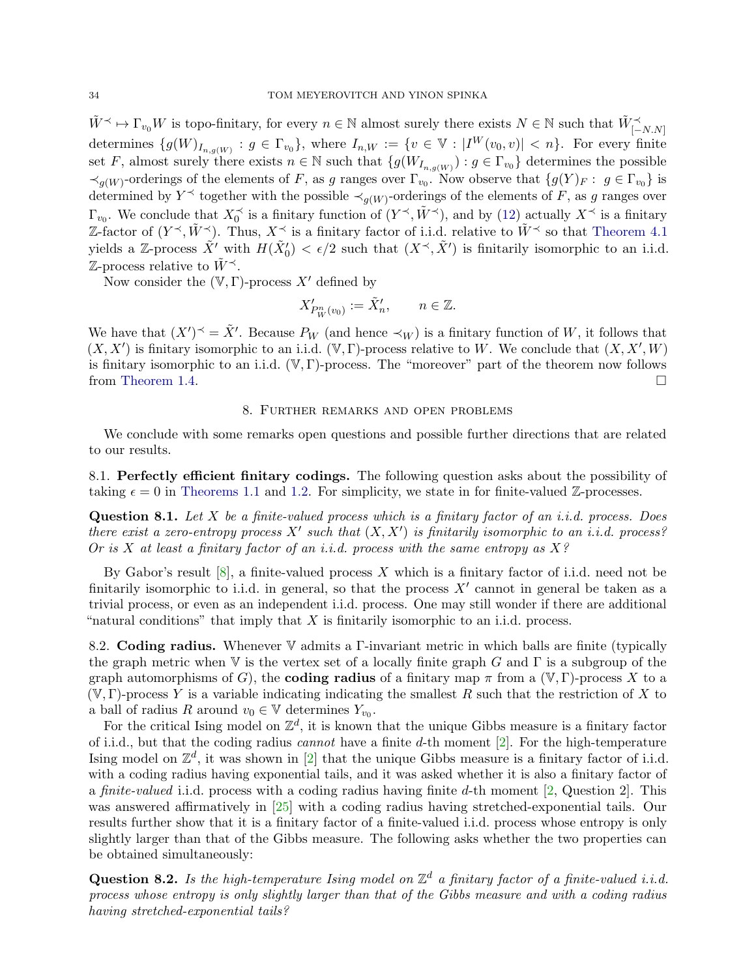$\tilde{W} \prec \rightarrow \Gamma_{v_0} W$  is topo-finitary, for every  $n \in \mathbb{N}$  almost surely there exists  $N \in \mathbb{N}$  such that  $\tilde{W}_{[-N,N]}^{\prec}$ determines  $\{g(W)_{I_{n,g(W)}}: g \in \Gamma_{v_0}\},\$  where  $I_{n,W} := \{v \in \mathbb{V}: |I^W(v_0,v)| < n\}.\$  For every finite set F, almost surely there exists  $n \in \mathbb{N}$  such that  $\{g(W_{I_{n,g(W)}}): g \in \Gamma_{v_0}\}\)$  determines the possible  $\prec_{g(W)}$ -orderings of the elements of F, as g ranges over  $\Gamma_{v_0}$ . Now observe that  $\{g(Y)_F: g \in \Gamma_{v_0}\}\$ is determined by Y<sup> $\prec$ </sup> together with the possible  $\prec_{g(W)}$ -orderings of the elements of F, as g ranges over  $\Gamma_{v_0}$ . We conclude that  $X_0^{\prec}$  is a finitary function of  $(Y^{\prec}, \tilde{W}^{\prec})$ , and by [\(12\)](#page-31-2) actually  $X^{\prec}$  is a finitary Z-factor of  $(Y^{\prec}, \tilde{W}^{\prec})$ . Thus,  $X^{\prec}$  is a finitary factor of i.i.d. relative to  $\tilde{W}^{\prec}$  so that [Theorem 4.1](#page-19-3) yields a Z-process  $\tilde{X}'$  with  $H(\tilde{X}'_0) < \epsilon/2$  such that  $(X^{\prec}, \tilde{X}')$  is finitarily isomorphic to an i.i.d.  $\mathbb{Z}$ -process relative to  $\tilde{W}^{\prec}$ .

Now consider the  $(V, \Gamma)$ -process X' defined by

$$
X'_{P_W^n(v_0)} := \tilde{X}'_n, \qquad n \in \mathbb{Z}.
$$

We have that  $(X')^{\prec} = \tilde{X}'$ . Because  $P_W$  (and hence  $\prec_W$ ) is a finitary function of W, it follows that  $(X, X')$  is finitary isomorphic to an i.i.d.  $(\mathbb{V}, \Gamma)$ -process relative to W. We conclude that  $(X, X', W)$ is finitary isomorphic to an i.i.d.  $(V, \Gamma)$ -process. The "moreover" part of the theorem now follows from [Theorem 1.4.](#page-2-0)  $\Box$ 

### 8. Further remarks and open problems

<span id="page-33-0"></span>We conclude with some remarks open questions and possible further directions that are related to our results.

8.1. Perfectly efficient finitary codings. The following question asks about the possibility of taking  $\epsilon = 0$  in [Theorems 1.1](#page-0-0) and [1.2.](#page-1-0) For simplicity, we state in for finite-valued Z-processes.

**Question 8.1.** Let X be a finite-valued process which is a finitary factor of an i.i.d. process. Does there exist a zero-entropy process X' such that  $(X, X')$  is finitarily isomorphic to an i.i.d. process? Or is X at least a finitary factor of an i.i.d. process with the same entropy as  $X$ ?

By Gabor's result  $[8]$ , a finite-valued process X which is a finitary factor of i.i.d. need not be finitarily isomorphic to i.i.d. in general, so that the process  $X'$  cannot in general be taken as a trivial process, or even as an independent i.i.d. process. One may still wonder if there are additional "natural conditions" that imply that  $X$  is finitarily isomorphic to an i.i.d. process.

8.2. Coding radius. Whenever V admits a Γ-invariant metric in which balls are finite (typically the graph metric when  $\mathbb V$  is the vertex set of a locally finite graph G and  $\Gamma$  is a subgroup of the graph automorphisms of G), the **coding radius** of a finitary map  $\pi$  from a  $(\mathbb{V}, \Gamma)$ -process X to a  $(V, \Gamma)$ -process Y is a variable indicating indicating the smallest R such that the restriction of X to a ball of radius R around  $v_0 \in \mathbb{V}$  determines  $Y_{v_0}$ .

For the critical Ising model on  $\mathbb{Z}^d$ , it is known that the unique Gibbs measure is a finitary factor of i.i.d., but that the coding radius *cannot* have a finite  $d$ -th moment  $[2]$ . For the high-temperature Ising model on  $\mathbb{Z}^d$ , it was shown in [\[2\]](#page-35-0) that the unique Gibbs measure is a finitary factor of i.i.d. with a coding radius having exponential tails, and it was asked whether it is also a finitary factor of a *finite-valued* i.i.d. process with a coding radius having finite d-th moment  $[2,$  Question 2. This was answered affirmatively in [\[25\]](#page-36-8) with a coding radius having stretched-exponential tails. Our results further show that it is a finitary factor of a finite-valued i.i.d. process whose entropy is only slightly larger than that of the Gibbs measure. The following asks whether the two properties can be obtained simultaneously:

**Question 8.2.** Is the high-temperature Ising model on  $\mathbb{Z}^d$  a finitary factor of a finite-valued i.i.d. process whose entropy is only slightly larger than that of the Gibbs measure and with a coding radius having stretched-exponential tails?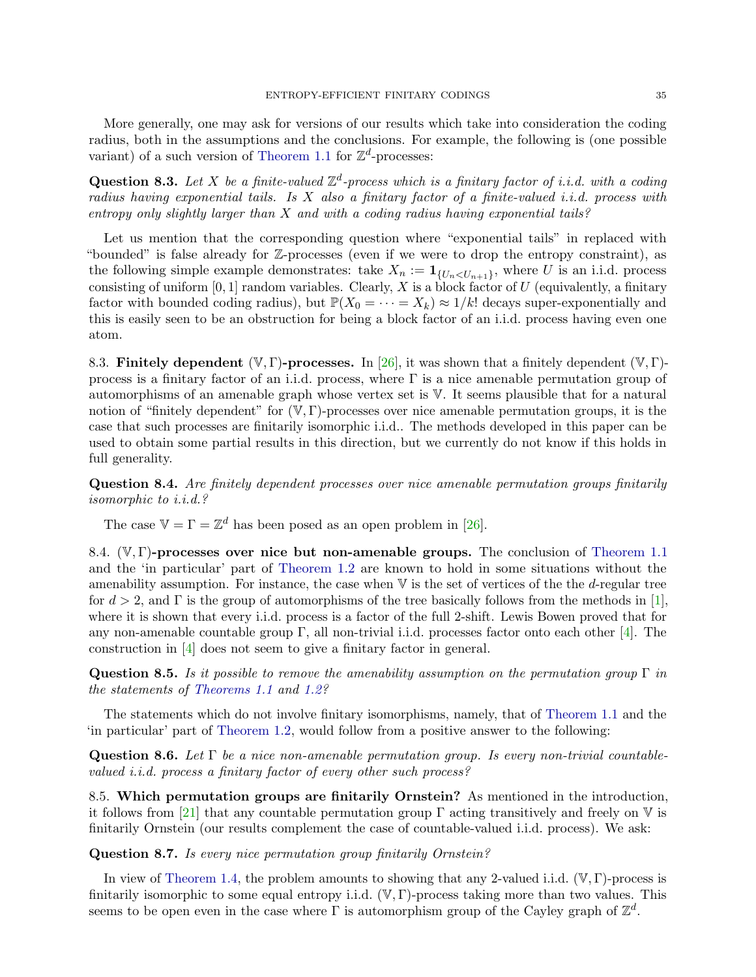More generally, one may ask for versions of our results which take into consideration the coding radius, both in the assumptions and the conclusions. For example, the following is (one possible variant) of a such version of [Theorem 1.1](#page-0-0) for  $\mathbb{Z}^d$ -processes:

**Question 8.3.** Let X be a finite-valued  $\mathbb{Z}^d$ -process which is a finitary factor of i.i.d. with a coding radius having exponential tails. Is X also a finitary factor of a finite-valued i.i.d. process with entropy only slightly larger than  $X$  and with a coding radius having exponential tails?

Let us mention that the corresponding question where "exponential tails" in replaced with "bounded" is false already for Z-processes (even if we were to drop the entropy constraint), as the following simple example demonstrates: take  $X_n := \mathbf{1}_{\{U_n < U_{n+1}\}}$ , where U is an i.i.d. process consisting of uniform  $[0, 1]$  random variables. Clearly, X is a block factor of U (equivalently, a finitary factor with bounded coding radius), but  $\mathbb{P}(X_0 = \cdots = X_k) \approx 1/k!$  decays super-exponentially and this is easily seen to be an obstruction for being a block factor of an i.i.d. process having even one atom.

8.3. Finitely dependent  $(\mathbb{V}, \Gamma)$ -processes. In [\[26\]](#page-36-5), it was shown that a finitely dependent  $(\mathbb{V}, \Gamma)$ process is a finitary factor of an i.i.d. process, where  $\Gamma$  is a nice amenable permutation group of automorphisms of an amenable graph whose vertex set is V. It seems plausible that for a natural notion of "finitely dependent" for  $(\mathbb{V}, \Gamma)$ -processes over nice amenable permutation groups, it is the case that such processes are finitarily isomorphic i.i.d.. The methods developed in this paper can be used to obtain some partial results in this direction, but we currently do not know if this holds in full generality.

Question 8.4. Are finitely dependent processes over nice amenable permutation groups finitarily isomorphic to i.i.d.?

The case  $V = \Gamma = \mathbb{Z}^d$  has been posed as an open problem in [\[26\]](#page-36-5).

8.4.  $(\mathbb{V}, \Gamma)$ -processes over nice but non-amenable groups. The conclusion of [Theorem 1.1](#page-0-0) and the 'in particular' part of [Theorem 1.2](#page-1-0) are known to hold in some situations without the amenability assumption. For instance, the case when  $\nabla$  is the set of vertices of the the d-regular tree for  $d > 2$ , and  $\Gamma$  is the group of automorphisms of the tree basically follows from the methods in [\[1\]](#page-35-13), where it is shown that every i.i.d. process is a factor of the full 2-shift. Lewis Bowen proved that for any non-amenable countable group  $\Gamma$ , all non-trivial i.i.d. processes factor onto each other [\[4\]](#page-35-16). The construction in [\[4\]](#page-35-16) does not seem to give a finitary factor in general.

**Question 8.5.** Is it possible to remove the amenability assumption on the permutation group  $\Gamma$  in the statements of [Theorems 1.1](#page-0-0) and [1.2?](#page-1-0)

The statements which do not involve finitary isomorphisms, namely, that of [Theorem 1.1](#page-0-0) and the 'in particular' part of [Theorem 1.2,](#page-1-0) would follow from a positive answer to the following:

Question 8.6. Let  $\Gamma$  be a nice non-amenable permutation group. Is every non-trivial countablevalued *i.i.d.* process a finitary factor of every other such process?

8.5. Which permutation groups are finitarily Ornstein? As mentioned in the introduction, it follows from [\[21\]](#page-36-3) that any countable permutation group  $\Gamma$  acting transitively and freely on  $\mathbb V$  is finitarily Ornstein (our results complement the case of countable-valued i.i.d. process). We ask:

Question 8.7. Is every nice permutation group finitarily Ornstein?

In view of [Theorem 1.4,](#page-2-0) the problem amounts to showing that any 2-valued i.i.d.  $(\mathbb{V}, \Gamma)$ -process is finitarily isomorphic to some equal entropy i.i.d.  $(\mathbb{V}, \Gamma)$ -process taking more than two values. This seems to be open even in the case where  $\Gamma$  is automorphism group of the Cayley graph of  $\mathbb{Z}^d$ .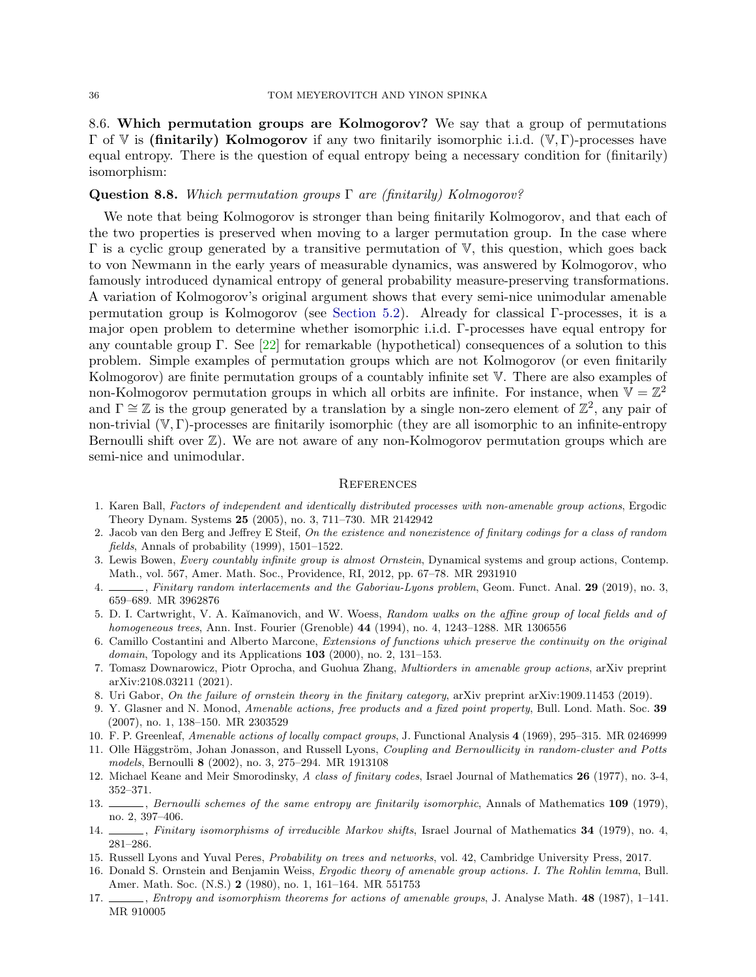8.6. Which permutation groups are Kolmogorov? We say that a group of permutations Γ of V is (finitarily) Kolmogorov if any two finitarily isomorphic i.i.d. (V, Γ)-processes have equal entropy. There is the question of equal entropy being a necessary condition for (finitarily) isomorphism:

#### **Question 8.8.** Which permutation groups  $\Gamma$  are (finitarily) Kolmogorov?

We note that being Kolmogorov is stronger than being finitarily Kolmogorov, and that each of the two properties is preserved when moving to a larger permutation group. In the case where  $\Gamma$  is a cyclic group generated by a transitive permutation of  $V$ , this question, which goes back to von Newmann in the early years of measurable dynamics, was answered by Kolmogorov, who famously introduced dynamical entropy of general probability measure-preserving transformations. A variation of Kolmogorov's original argument shows that every semi-nice unimodular amenable permutation group is Kolmogorov (see [Section 5.2\)](#page-23-1). Already for classical Γ-processes, it is a major open problem to determine whether isomorphic i.i.d. Γ-processes have equal entropy for any countable group Γ. See [\[22\]](#page-36-9) for remarkable (hypothetical) consequences of a solution to this problem. Simple examples of permutation groups which are not Kolmogorov (or even finitarily Kolmogorov) are finite permutation groups of a countably infinite set V. There are also examples of non-Kolmogorov permutation groups in which all orbits are infinite. For instance, when  $\mathbb{V} = \mathbb{Z}^2$ and  $\Gamma \cong \mathbb{Z}$  is the group generated by a translation by a single non-zero element of  $\mathbb{Z}^2$ , any pair of non-trivial (V, Γ)-processes are finitarily isomorphic (they are all isomorphic to an infinite-entropy Bernoulli shift over  $\mathbb{Z}$ ). We are not aware of any non-Kolmogorov permutation groups which are semi-nice and unimodular.

#### **REFERENCES**

- <span id="page-35-13"></span>1. Karen Ball, Factors of independent and identically distributed processes with non-amenable group actions, Ergodic Theory Dynam. Systems 25 (2005), no. 3, 711–730. MR 2142942
- <span id="page-35-0"></span>2. Jacob van den Berg and Jeffrey E Steif, On the existence and nonexistence of finitary codings for a class of random fields, Annals of probability (1999), 1501–1522.
- <span id="page-35-3"></span>3. Lewis Bowen, Every countably infinite group is almost Ornstein, Dynamical systems and group actions, Contemp. Math., vol. 567, Amer. Math. Soc., Providence, RI, 2012, pp. 67–78. MR 2931910
- <span id="page-35-16"></span>4. Finitary random interlacements and the Gaboriau-Lyons problem, Geom. Funct. Anal. 29 (2019), no. 3, 659–689. MR 3962876
- <span id="page-35-14"></span>5. D. I. Cartwright, V. A. Kaĭmanovich, and W. Woess, Random walks on the affine group of local fields and of homogeneous trees, Ann. Inst. Fourier (Grenoble) 44 (1994), no. 4, 1243–1288. MR 1306556
- <span id="page-35-4"></span>6. Camillo Costantini and Alberto Marcone, Extensions of functions which preserve the continuity on the original domain, Topology and its Applications  $103$  (2000), no. 2, 131–153.
- <span id="page-35-15"></span>7. Tomasz Downarowicz, Piotr Oprocha, and Guohua Zhang, Multiorders in amenable group actions, arXiv preprint arXiv:2108.03211 (2021).
- <span id="page-35-1"></span>8. Uri Gabor, On the failure of ornstein theory in the finitary category, arXiv preprint arXiv:1909.11453 (2019).
- <span id="page-35-9"></span>9. Y. Glasner and N. Monod, Amenable actions, free products and a fixed point property, Bull. Lond. Math. Soc. 39 (2007), no. 1, 138–150. MR 2303529
- <span id="page-35-8"></span>10. F. P. Greenleaf, Amenable actions of locally compact groups, J. Functional Analysis 4 (1969), 295–315. MR 0246999
- <span id="page-35-10"></span>11. Olle Häggström, Johan Jonasson, and Russell Lyons, *Coupling and Bernoullicity in random-cluster and Potts* models, Bernoulli 8 (2002), no. 3, 275–294. MR 1913108
- <span id="page-35-5"></span>12. Michael Keane and Meir Smorodinsky, A class of finitary codes, Israel Journal of Mathematics 26 (1977), no. 3-4, 352–371.
- <span id="page-35-2"></span>13. Sernoulli schemes of the same entropy are finitarily isomorphic, Annals of Mathematics 109 (1979), no. 2, 397–406.
- <span id="page-35-6"></span>14.  $\ldots$ , Finitary isomorphisms of irreducible Markov shifts, Israel Journal of Mathematics 34 (1979), no. 4, 281–286.
- <span id="page-35-7"></span>15. Russell Lyons and Yuval Peres, Probability on trees and networks, vol. 42, Cambridge University Press, 2017.
- <span id="page-35-12"></span>16. Donald S. Ornstein and Benjamin Weiss, Ergodic theory of amenable group actions. I. The Rohlin lemma, Bull. Amer. Math. Soc. (N.S.) 2 (1980), no. 1, 161–164. MR 551753
- <span id="page-35-11"></span>17. , Entropy and isomorphism theorems for actions of amenable groups, J. Analyse Math. 48 (1987), 1–141. MR 910005